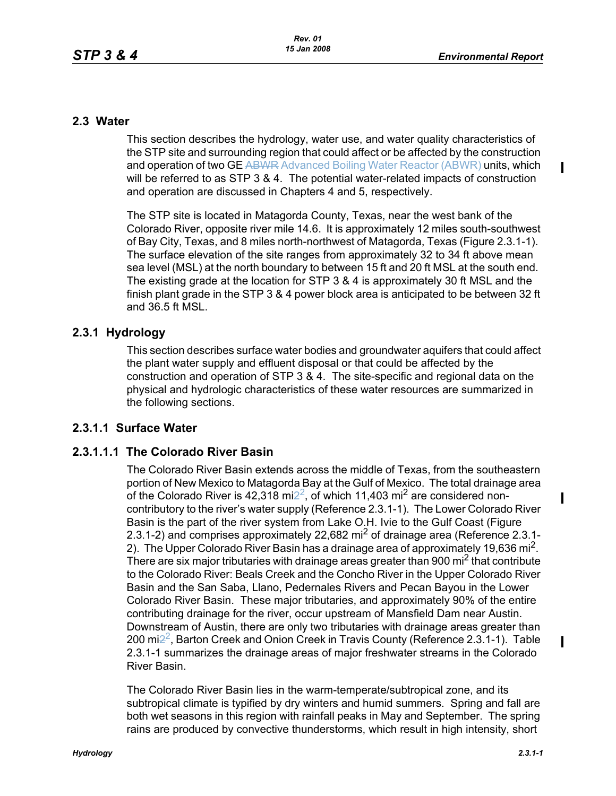П

 $\mathbf{I}$ 

Π

### **2.3 Water**

This section describes the hydrology, water use, and water quality characteristics of the STP site and surrounding region that could affect or be affected by the construction and operation of two GE ABWR Advanced Boiling Water Reactor (ABWR) units, which will be referred to as STP 3 & 4. The potential water-related impacts of construction and operation are discussed in Chapters 4 and 5, respectively.

The STP site is located in Matagorda County, Texas, near the west bank of the Colorado River, opposite river mile 14.6. It is approximately 12 miles south-southwest of Bay City, Texas, and 8 miles north-northwest of Matagorda, Texas (Figure 2.3.1-1). The surface elevation of the site ranges from approximately 32 to 34 ft above mean sea level (MSL) at the north boundary to between 15 ft and 20 ft MSL at the south end. The existing grade at the location for STP 3 & 4 is approximately 30 ft MSL and the finish plant grade in the STP 3 & 4 power block area is anticipated to be between 32 ft and 36.5 ft MSL.

# **2.3.1 Hydrology**

This section describes surface water bodies and groundwater aquifers that could affect the plant water supply and effluent disposal or that could be affected by the construction and operation of STP 3 & 4. The site-specific and regional data on the physical and hydrologic characteristics of these water resources are summarized in the following sections.

# **2.3.1.1 Surface Water**

# **2.3.1.1.1 The Colorado River Basin**

The Colorado River Basin extends across the middle of Texas, from the southeastern portion of New Mexico to Matagorda Bay at the Gulf of Mexico. The total drainage area of the Colorado River is 42,318 mi $2^2$ , of which 11,403 mi<sup>2</sup> are considered noncontributory to the river's water supply (Reference 2.3.1-1). The Lower Colorado River Basin is the part of the river system from Lake O.H. Ivie to the Gulf Coast (Figure 2.3.1-2) and comprises approximately 22,682 mi<sup>2</sup> of drainage area (Reference 2.3.1-2). The Upper Colorado River Basin has a drainage area of approximately 19,636 mi<sup>2</sup>. There are six major tributaries with drainage areas greater than 900 mi<sup>2</sup> that contribute to the Colorado River: Beals Creek and the Concho River in the Upper Colorado River Basin and the San Saba, Llano, Pedernales Rivers and Pecan Bayou in the Lower Colorado River Basin. These major tributaries, and approximately 90% of the entire contributing drainage for the river, occur upstream of Mansfield Dam near Austin. Downstream of Austin, there are only two tributaries with drainage areas greater than 200 mi22, Barton Creek and Onion Creek in Travis County (Reference 2.3.1-1). Table 2.3.1-1 summarizes the drainage areas of major freshwater streams in the Colorado River Basin.

The Colorado River Basin lies in the warm-temperate/subtropical zone, and its subtropical climate is typified by dry winters and humid summers. Spring and fall are both wet seasons in this region with rainfall peaks in May and September. The spring rains are produced by convective thunderstorms, which result in high intensity, short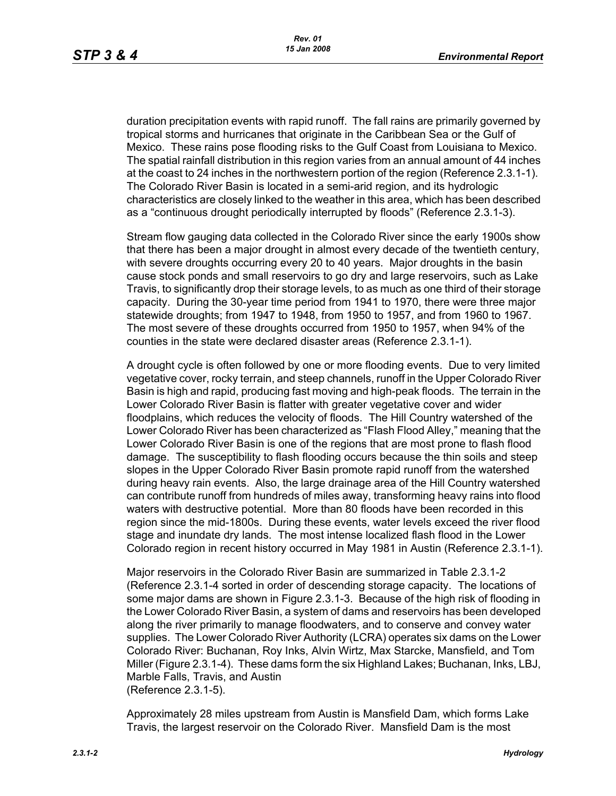duration precipitation events with rapid runoff. The fall rains are primarily governed by tropical storms and hurricanes that originate in the Caribbean Sea or the Gulf of Mexico. These rains pose flooding risks to the Gulf Coast from Louisiana to Mexico. The spatial rainfall distribution in this region varies from an annual amount of 44 inches at the coast to 24 inches in the northwestern portion of the region (Reference 2.3.1-1). The Colorado River Basin is located in a semi-arid region, and its hydrologic characteristics are closely linked to the weather in this area, which has been described as a "continuous drought periodically interrupted by floods" (Reference 2.3.1-3).

Stream flow gauging data collected in the Colorado River since the early 1900s show that there has been a major drought in almost every decade of the twentieth century, with severe droughts occurring every 20 to 40 years. Major droughts in the basin cause stock ponds and small reservoirs to go dry and large reservoirs, such as Lake Travis, to significantly drop their storage levels, to as much as one third of their storage capacity. During the 30-year time period from 1941 to 1970, there were three major statewide droughts; from 1947 to 1948, from 1950 to 1957, and from 1960 to 1967. The most severe of these droughts occurred from 1950 to 1957, when 94% of the counties in the state were declared disaster areas (Reference 2.3.1-1).

A drought cycle is often followed by one or more flooding events. Due to very limited vegetative cover, rocky terrain, and steep channels, runoff in the Upper Colorado River Basin is high and rapid, producing fast moving and high-peak floods. The terrain in the Lower Colorado River Basin is flatter with greater vegetative cover and wider floodplains, which reduces the velocity of floods. The Hill Country watershed of the Lower Colorado River has been characterized as "Flash Flood Alley," meaning that the Lower Colorado River Basin is one of the regions that are most prone to flash flood damage. The susceptibility to flash flooding occurs because the thin soils and steep slopes in the Upper Colorado River Basin promote rapid runoff from the watershed during heavy rain events. Also, the large drainage area of the Hill Country watershed can contribute runoff from hundreds of miles away, transforming heavy rains into flood waters with destructive potential. More than 80 floods have been recorded in this region since the mid-1800s. During these events, water levels exceed the river flood stage and inundate dry lands. The most intense localized flash flood in the Lower Colorado region in recent history occurred in May 1981 in Austin (Reference 2.3.1-1).

Major reservoirs in the Colorado River Basin are summarized in Table 2.3.1-2 (Reference 2.3.1-4 sorted in order of descending storage capacity. The locations of some major dams are shown in Figure 2.3.1-3. Because of the high risk of flooding in the Lower Colorado River Basin, a system of dams and reservoirs has been developed along the river primarily to manage floodwaters, and to conserve and convey water supplies. The Lower Colorado River Authority (LCRA) operates six dams on the Lower Colorado River: Buchanan, Roy Inks, Alvin Wirtz, Max Starcke, Mansfield, and Tom Miller (Figure 2.3.1-4). These dams form the six Highland Lakes; Buchanan, Inks, LBJ, Marble Falls, Travis, and Austin (Reference 2.3.1-5).

Approximately 28 miles upstream from Austin is Mansfield Dam, which forms Lake Travis, the largest reservoir on the Colorado River. Mansfield Dam is the most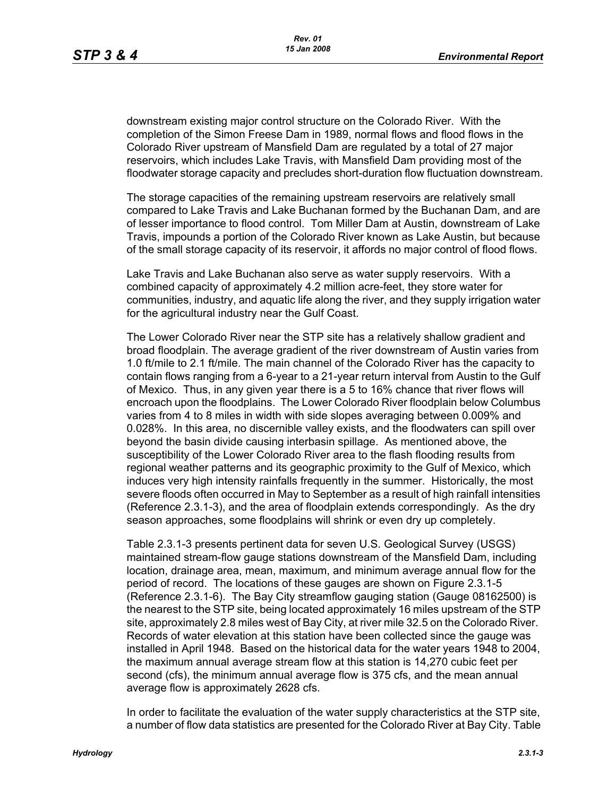downstream existing major control structure on the Colorado River. With the completion of the Simon Freese Dam in 1989, normal flows and flood flows in the Colorado River upstream of Mansfield Dam are regulated by a total of 27 major reservoirs, which includes Lake Travis, with Mansfield Dam providing most of the floodwater storage capacity and precludes short-duration flow fluctuation downstream.

The storage capacities of the remaining upstream reservoirs are relatively small compared to Lake Travis and Lake Buchanan formed by the Buchanan Dam, and are of lesser importance to flood control. Tom Miller Dam at Austin, downstream of Lake Travis, impounds a portion of the Colorado River known as Lake Austin, but because of the small storage capacity of its reservoir, it affords no major control of flood flows.

Lake Travis and Lake Buchanan also serve as water supply reservoirs. With a combined capacity of approximately 4.2 million acre-feet, they store water for communities, industry, and aquatic life along the river, and they supply irrigation water for the agricultural industry near the Gulf Coast.

The Lower Colorado River near the STP site has a relatively shallow gradient and broad floodplain. The average gradient of the river downstream of Austin varies from 1.0 ft/mile to 2.1 ft/mile. The main channel of the Colorado River has the capacity to contain flows ranging from a 6-year to a 21-year return interval from Austin to the Gulf of Mexico. Thus, in any given year there is a 5 to 16% chance that river flows will encroach upon the floodplains. The Lower Colorado River floodplain below Columbus varies from 4 to 8 miles in width with side slopes averaging between 0.009% and 0.028%. In this area, no discernible valley exists, and the floodwaters can spill over beyond the basin divide causing interbasin spillage. As mentioned above, the susceptibility of the Lower Colorado River area to the flash flooding results from regional weather patterns and its geographic proximity to the Gulf of Mexico, which induces very high intensity rainfalls frequently in the summer. Historically, the most severe floods often occurred in May to September as a result of high rainfall intensities (Reference 2.3.1-3), and the area of floodplain extends correspondingly. As the dry season approaches, some floodplains will shrink or even dry up completely.

Table 2.3.1-3 presents pertinent data for seven U.S. Geological Survey (USGS) maintained stream-flow gauge stations downstream of the Mansfield Dam, including location, drainage area, mean, maximum, and minimum average annual flow for the period of record. The locations of these gauges are shown on Figure 2.3.1-5 (Reference 2.3.1-6). The Bay City streamflow gauging station (Gauge 08162500) is the nearest to the STP site, being located approximately 16 miles upstream of the STP site, approximately 2.8 miles west of Bay City, at river mile 32.5 on the Colorado River. Records of water elevation at this station have been collected since the gauge was installed in April 1948. Based on the historical data for the water years 1948 to 2004, the maximum annual average stream flow at this station is 14,270 cubic feet per second (cfs), the minimum annual average flow is 375 cfs, and the mean annual average flow is approximately 2628 cfs.

In order to facilitate the evaluation of the water supply characteristics at the STP site, a number of flow data statistics are presented for the Colorado River at Bay City. Table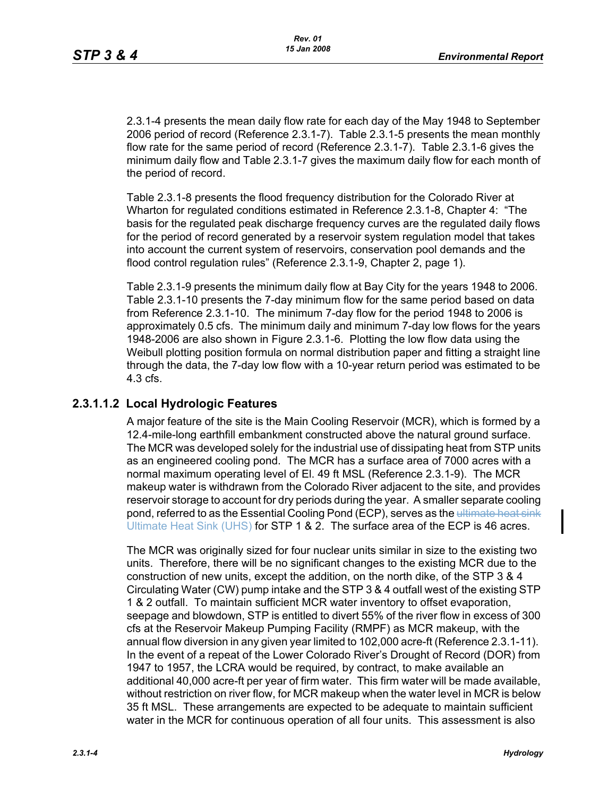2.3.1-4 presents the mean daily flow rate for each day of the May 1948 to September 2006 period of record (Reference 2.3.1-7). Table 2.3.1-5 presents the mean monthly flow rate for the same period of record (Reference 2.3.1-7). Table 2.3.1-6 gives the minimum daily flow and Table 2.3.1-7 gives the maximum daily flow for each month of the period of record.

Table 2.3.1-8 presents the flood frequency distribution for the Colorado River at Wharton for regulated conditions estimated in Reference 2.3.1-8, Chapter 4: "The basis for the regulated peak discharge frequency curves are the regulated daily flows for the period of record generated by a reservoir system regulation model that takes into account the current system of reservoirs, conservation pool demands and the flood control regulation rules" (Reference 2.3.1-9, Chapter 2, page 1).

Table 2.3.1-9 presents the minimum daily flow at Bay City for the years 1948 to 2006. Table 2.3.1-10 presents the 7-day minimum flow for the same period based on data from Reference 2.3.1-10. The minimum 7-day flow for the period 1948 to 2006 is approximately 0.5 cfs. The minimum daily and minimum 7-day low flows for the years 1948-2006 are also shown in Figure 2.3.1-6. Plotting the low flow data using the Weibull plotting position formula on normal distribution paper and fitting a straight line through the data, the 7-day low flow with a 10-year return period was estimated to be 4.3 cfs.

### **2.3.1.1.2 Local Hydrologic Features**

A major feature of the site is the Main Cooling Reservoir (MCR), which is formed by a 12.4-mile-long earthfill embankment constructed above the natural ground surface. The MCR was developed solely for the industrial use of dissipating heat from STP units as an engineered cooling pond. The MCR has a surface area of 7000 acres with a normal maximum operating level of El. 49 ft MSL (Reference 2.3.1-9). The MCR makeup water is withdrawn from the Colorado River adjacent to the site, and provides reservoir storage to account for dry periods during the year. A smaller separate cooling pond, referred to as the Essential Cooling Pond (ECP), serves as the ultimate heat sink Ultimate Heat Sink (UHS) for STP 1 & 2. The surface area of the ECP is 46 acres.

The MCR was originally sized for four nuclear units similar in size to the existing two units. Therefore, there will be no significant changes to the existing MCR due to the construction of new units, except the addition, on the north dike, of the STP 3 & 4 Circulating Water (CW) pump intake and the STP 3 & 4 outfall west of the existing STP 1 & 2 outfall. To maintain sufficient MCR water inventory to offset evaporation, seepage and blowdown, STP is entitled to divert 55% of the river flow in excess of 300 cfs at the Reservoir Makeup Pumping Facility (RMPF) as MCR makeup, with the annual flow diversion in any given year limited to 102,000 acre-ft (Reference 2.3.1-11). In the event of a repeat of the Lower Colorado River's Drought of Record (DOR) from 1947 to 1957, the LCRA would be required, by contract, to make available an additional 40,000 acre-ft per year of firm water. This firm water will be made available, without restriction on river flow, for MCR makeup when the water level in MCR is below 35 ft MSL. These arrangements are expected to be adequate to maintain sufficient water in the MCR for continuous operation of all four units. This assessment is also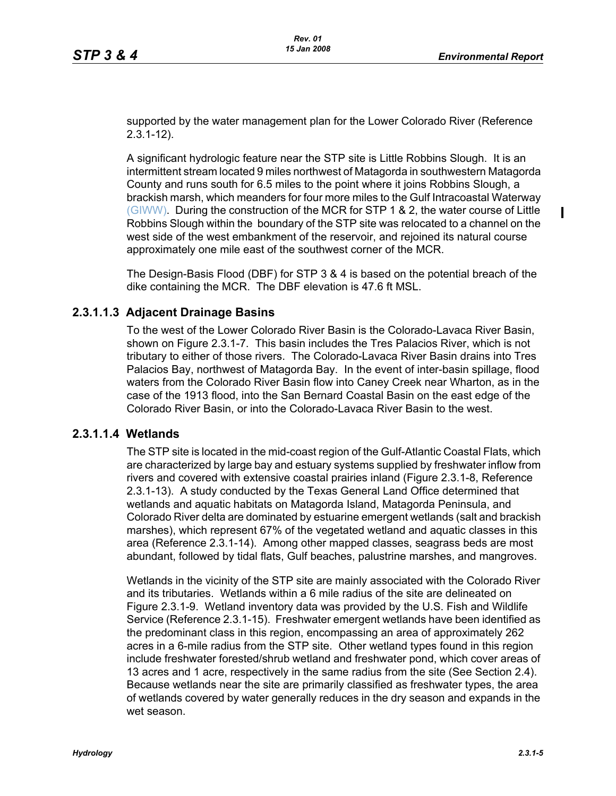$\blacksquare$ 

supported by the water management plan for the Lower Colorado River (Reference 2.3.1-12).

A significant hydrologic feature near the STP site is Little Robbins Slough. It is an intermittent stream located 9 miles northwest of Matagorda in southwestern Matagorda County and runs south for 6.5 miles to the point where it joins Robbins Slough, a brackish marsh, which meanders for four more miles to the Gulf Intracoastal Waterway (GIWW). During the construction of the MCR for STP 1 & 2, the water course of Little Robbins Slough within the boundary of the STP site was relocated to a channel on the west side of the west embankment of the reservoir, and rejoined its natural course approximately one mile east of the southwest corner of the MCR.

The Design-Basis Flood (DBF) for STP 3 & 4 is based on the potential breach of the dike containing the MCR. The DBF elevation is 47.6 ft MSL.

### **2.3.1.1.3 Adjacent Drainage Basins**

To the west of the Lower Colorado River Basin is the Colorado-Lavaca River Basin, shown on Figure 2.3.1-7. This basin includes the Tres Palacios River, which is not tributary to either of those rivers. The Colorado-Lavaca River Basin drains into Tres Palacios Bay, northwest of Matagorda Bay. In the event of inter-basin spillage, flood waters from the Colorado River Basin flow into Caney Creek near Wharton, as in the case of the 1913 flood, into the San Bernard Coastal Basin on the east edge of the Colorado River Basin, or into the Colorado-Lavaca River Basin to the west.

### **2.3.1.1.4 Wetlands**

The STP site is located in the mid-coast region of the Gulf-Atlantic Coastal Flats, which are characterized by large bay and estuary systems supplied by freshwater inflow from rivers and covered with extensive coastal prairies inland (Figure 2.3.1-8, Reference 2.3.1-13). A study conducted by the Texas General Land Office determined that wetlands and aquatic habitats on Matagorda Island, Matagorda Peninsula, and Colorado River delta are dominated by estuarine emergent wetlands (salt and brackish marshes), which represent 67% of the vegetated wetland and aquatic classes in this area (Reference 2.3.1-14). Among other mapped classes, seagrass beds are most abundant, followed by tidal flats, Gulf beaches, palustrine marshes, and mangroves.

Wetlands in the vicinity of the STP site are mainly associated with the Colorado River and its tributaries. Wetlands within a 6 mile radius of the site are delineated on Figure 2.3.1-9. Wetland inventory data was provided by the U.S. Fish and Wildlife Service (Reference 2.3.1-15). Freshwater emergent wetlands have been identified as the predominant class in this region, encompassing an area of approximately 262 acres in a 6-mile radius from the STP site. Other wetland types found in this region include freshwater forested/shrub wetland and freshwater pond, which cover areas of 13 acres and 1 acre, respectively in the same radius from the site (See Section 2.4). Because wetlands near the site are primarily classified as freshwater types, the area of wetlands covered by water generally reduces in the dry season and expands in the wet season.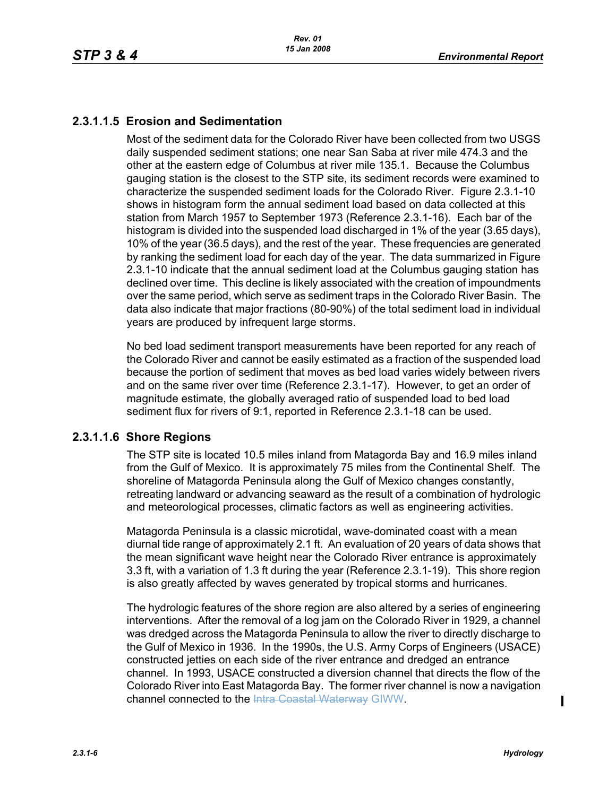# **2.3.1.1.5 Erosion and Sedimentation**

Most of the sediment data for the Colorado River have been collected from two USGS daily suspended sediment stations; one near San Saba at river mile 474.3 and the other at the eastern edge of Columbus at river mile 135.1. Because the Columbus gauging station is the closest to the STP site, its sediment records were examined to characterize the suspended sediment loads for the Colorado River. Figure 2.3.1-10 shows in histogram form the annual sediment load based on data collected at this station from March 1957 to September 1973 (Reference 2.3.1-16). Each bar of the histogram is divided into the suspended load discharged in 1% of the year (3.65 days), 10% of the year (36.5 days), and the rest of the year. These frequencies are generated by ranking the sediment load for each day of the year. The data summarized in Figure 2.3.1-10 indicate that the annual sediment load at the Columbus gauging station has declined over time. This decline is likely associated with the creation of impoundments over the same period, which serve as sediment traps in the Colorado River Basin. The data also indicate that major fractions (80-90%) of the total sediment load in individual years are produced by infrequent large storms.

No bed load sediment transport measurements have been reported for any reach of the Colorado River and cannot be easily estimated as a fraction of the suspended load because the portion of sediment that moves as bed load varies widely between rivers and on the same river over time (Reference 2.3.1-17). However, to get an order of magnitude estimate, the globally averaged ratio of suspended load to bed load sediment flux for rivers of 9:1, reported in Reference 2.3.1-18 can be used.

# **2.3.1.1.6 Shore Regions**

The STP site is located 10.5 miles inland from Matagorda Bay and 16.9 miles inland from the Gulf of Mexico. It is approximately 75 miles from the Continental Shelf. The shoreline of Matagorda Peninsula along the Gulf of Mexico changes constantly, retreating landward or advancing seaward as the result of a combination of hydrologic and meteorological processes, climatic factors as well as engineering activities.

Matagorda Peninsula is a classic microtidal, wave-dominated coast with a mean diurnal tide range of approximately 2.1 ft. An evaluation of 20 years of data shows that the mean significant wave height near the Colorado River entrance is approximately 3.3 ft, with a variation of 1.3 ft during the year (Reference 2.3.1-19). This shore region is also greatly affected by waves generated by tropical storms and hurricanes.

The hydrologic features of the shore region are also altered by a series of engineering interventions. After the removal of a log jam on the Colorado River in 1929, a channel was dredged across the Matagorda Peninsula to allow the river to directly discharge to the Gulf of Mexico in 1936. In the 1990s, the U.S. Army Corps of Engineers (USACE) constructed jetties on each side of the river entrance and dredged an entrance channel. In 1993, USACE constructed a diversion channel that directs the flow of the Colorado River into East Matagorda Bay. The former river channel is now a navigation channel connected to the Intra Coastal Waterway GIWW.

 $\mathbf I$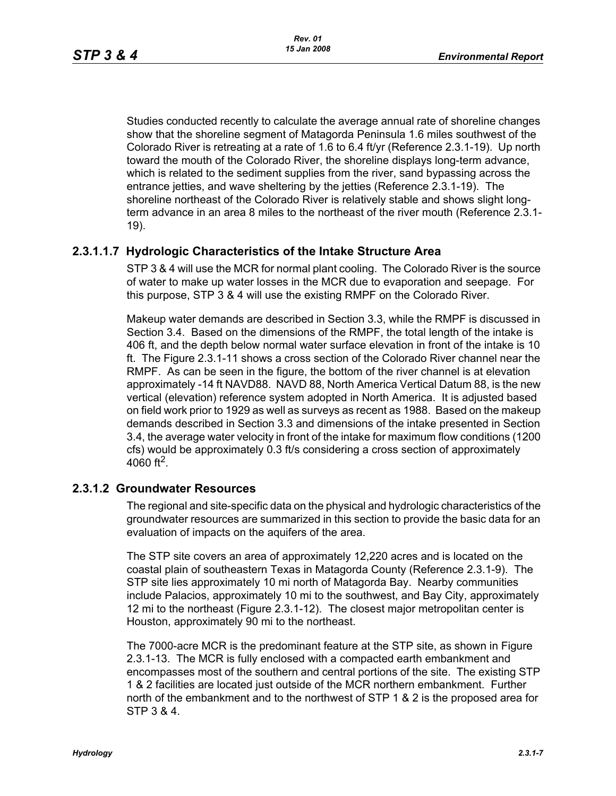Studies conducted recently to calculate the average annual rate of shoreline changes show that the shoreline segment of Matagorda Peninsula 1.6 miles southwest of the Colorado River is retreating at a rate of 1.6 to 6.4 ft/yr (Reference 2.3.1-19). Up north toward the mouth of the Colorado River, the shoreline displays long-term advance, which is related to the sediment supplies from the river, sand bypassing across the entrance jetties, and wave sheltering by the jetties (Reference 2.3.1-19). The shoreline northeast of the Colorado River is relatively stable and shows slight longterm advance in an area 8 miles to the northeast of the river mouth (Reference 2.3.1- 19).

# **2.3.1.1.7 Hydrologic Characteristics of the Intake Structure Area**

STP 3 & 4 will use the MCR for normal plant cooling. The Colorado River is the source of water to make up water losses in the MCR due to evaporation and seepage. For this purpose, STP 3 & 4 will use the existing RMPF on the Colorado River.

Makeup water demands are described in Section 3.3, while the RMPF is discussed in Section 3.4. Based on the dimensions of the RMPF, the total length of the intake is 406 ft, and the depth below normal water surface elevation in front of the intake is 10 ft. The Figure 2.3.1-11 shows a cross section of the Colorado River channel near the RMPF. As can be seen in the figure, the bottom of the river channel is at elevation approximately -14 ft NAVD88. NAVD 88, North America Vertical Datum 88, is the new vertical (elevation) reference system adopted in North America. It is adjusted based on field work prior to 1929 as well as surveys as recent as 1988. Based on the makeup demands described in Section 3.3 and dimensions of the intake presented in Section 3.4, the average water velocity in front of the intake for maximum flow conditions (1200 cfs) would be approximately 0.3 ft/s considering a cross section of approximately 4060 ft<sup>2</sup>.

### **2.3.1.2 Groundwater Resources**

The regional and site-specific data on the physical and hydrologic characteristics of the groundwater resources are summarized in this section to provide the basic data for an evaluation of impacts on the aquifers of the area.

The STP site covers an area of approximately 12,220 acres and is located on the coastal plain of southeastern Texas in Matagorda County (Reference 2.3.1-9). The STP site lies approximately 10 mi north of Matagorda Bay. Nearby communities include Palacios, approximately 10 mi to the southwest, and Bay City, approximately 12 mi to the northeast (Figure 2.3.1-12). The closest major metropolitan center is Houston, approximately 90 mi to the northeast.

The 7000-acre MCR is the predominant feature at the STP site, as shown in Figure 2.3.1-13. The MCR is fully enclosed with a compacted earth embankment and encompasses most of the southern and central portions of the site. The existing STP 1 & 2 facilities are located just outside of the MCR northern embankment. Further north of the embankment and to the northwest of STP 1 & 2 is the proposed area for STP 3 & 4.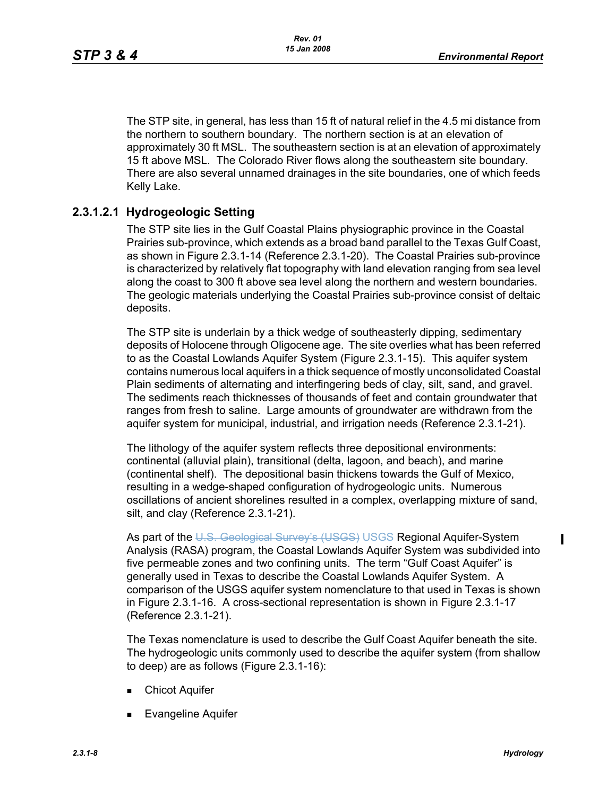The STP site, in general, has less than 15 ft of natural relief in the 4.5 mi distance from the northern to southern boundary. The northern section is at an elevation of approximately 30 ft MSL. The southeastern section is at an elevation of approximately 15 ft above MSL. The Colorado River flows along the southeastern site boundary. There are also several unnamed drainages in the site boundaries, one of which feeds Kelly Lake.

# **2.3.1.2.1 Hydrogeologic Setting**

The STP site lies in the Gulf Coastal Plains physiographic province in the Coastal Prairies sub-province, which extends as a broad band parallel to the Texas Gulf Coast, as shown in Figure 2.3.1-14 (Reference 2.3.1-20). The Coastal Prairies sub-province is characterized by relatively flat topography with land elevation ranging from sea level along the coast to 300 ft above sea level along the northern and western boundaries. The geologic materials underlying the Coastal Prairies sub-province consist of deltaic deposits.

The STP site is underlain by a thick wedge of southeasterly dipping, sedimentary deposits of Holocene through Oligocene age. The site overlies what has been referred to as the Coastal Lowlands Aquifer System (Figure 2.3.1-15). This aquifer system contains numerous local aquifers in a thick sequence of mostly unconsolidated Coastal Plain sediments of alternating and interfingering beds of clay, silt, sand, and gravel. The sediments reach thicknesses of thousands of feet and contain groundwater that ranges from fresh to saline. Large amounts of groundwater are withdrawn from the aquifer system for municipal, industrial, and irrigation needs (Reference 2.3.1-21).

The lithology of the aquifer system reflects three depositional environments: continental (alluvial plain), transitional (delta, lagoon, and beach), and marine (continental shelf). The depositional basin thickens towards the Gulf of Mexico, resulting in a wedge-shaped configuration of hydrogeologic units. Numerous oscillations of ancient shorelines resulted in a complex, overlapping mixture of sand, silt, and clay (Reference 2.3.1-21).

As part of the U.S. Geological Survey's (USGS) USGS Regional Aquifer-System Analysis (RASA) program, the Coastal Lowlands Aquifer System was subdivided into five permeable zones and two confining units. The term "Gulf Coast Aquifer" is generally used in Texas to describe the Coastal Lowlands Aquifer System. A comparison of the USGS aquifer system nomenclature to that used in Texas is shown in Figure 2.3.1-16. A cross-sectional representation is shown in Figure 2.3.1-17 (Reference 2.3.1-21).

The Texas nomenclature is used to describe the Gulf Coast Aquifer beneath the site. The hydrogeologic units commonly used to describe the aquifer system (from shallow to deep) are as follows (Figure 2.3.1-16):

- **E** Chicot Aquifer
- Evangeline Aquifer

Π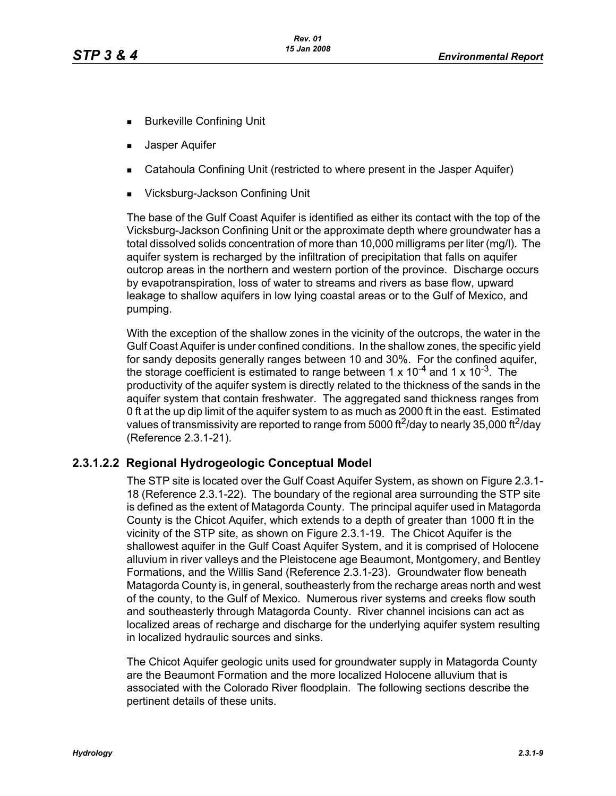- **Burkeville Confining Unit**
- **Jasper Aquifer**
- Catahoula Confining Unit (restricted to where present in the Jasper Aquifer)
- Vicksburg-Jackson Confining Unit

The base of the Gulf Coast Aquifer is identified as either its contact with the top of the Vicksburg-Jackson Confining Unit or the approximate depth where groundwater has a total dissolved solids concentration of more than 10,000 milligrams per liter (mg/l). The aquifer system is recharged by the infiltration of precipitation that falls on aquifer outcrop areas in the northern and western portion of the province. Discharge occurs by evapotranspiration, loss of water to streams and rivers as base flow, upward leakage to shallow aquifers in low lying coastal areas or to the Gulf of Mexico, and pumping.

With the exception of the shallow zones in the vicinity of the outcrops, the water in the Gulf Coast Aquifer is under confined conditions. In the shallow zones, the specific yield for sandy deposits generally ranges between 10 and 30%. For the confined aquifer, the storage coefficient is estimated to range between 1 x  $10^{-4}$  and 1 x  $10^{-3}$ . The productivity of the aquifer system is directly related to the thickness of the sands in the aquifer system that contain freshwater. The aggregated sand thickness ranges from 0 ft at the up dip limit of the aquifer system to as much as 2000 ft in the east. Estimated values of transmissivity are reported to range from 5000 ft<sup>2</sup>/day to nearly 35,000 ft<sup>2</sup>/day (Reference 2.3.1-21).

# **2.3.1.2.2 Regional Hydrogeologic Conceptual Model**

The STP site is located over the Gulf Coast Aquifer System, as shown on Figure 2.3.1- 18 (Reference 2.3.1-22). The boundary of the regional area surrounding the STP site is defined as the extent of Matagorda County. The principal aquifer used in Matagorda County is the Chicot Aquifer, which extends to a depth of greater than 1000 ft in the vicinity of the STP site, as shown on Figure 2.3.1-19. The Chicot Aquifer is the shallowest aquifer in the Gulf Coast Aquifer System, and it is comprised of Holocene alluvium in river valleys and the Pleistocene age Beaumont, Montgomery, and Bentley Formations, and the Willis Sand (Reference 2.3.1-23). Groundwater flow beneath Matagorda County is, in general, southeasterly from the recharge areas north and west of the county, to the Gulf of Mexico. Numerous river systems and creeks flow south and southeasterly through Matagorda County. River channel incisions can act as localized areas of recharge and discharge for the underlying aquifer system resulting in localized hydraulic sources and sinks.

The Chicot Aquifer geologic units used for groundwater supply in Matagorda County are the Beaumont Formation and the more localized Holocene alluvium that is associated with the Colorado River floodplain. The following sections describe the pertinent details of these units.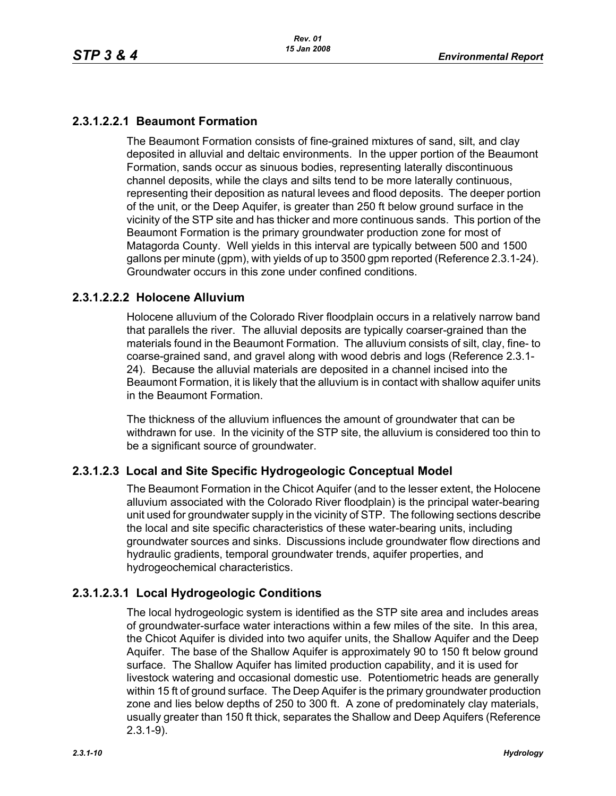# **2.3.1.2.2.1 Beaumont Formation**

The Beaumont Formation consists of fine-grained mixtures of sand, silt, and clay deposited in alluvial and deltaic environments. In the upper portion of the Beaumont Formation, sands occur as sinuous bodies, representing laterally discontinuous channel deposits, while the clays and silts tend to be more laterally continuous, representing their deposition as natural levees and flood deposits. The deeper portion of the unit, or the Deep Aquifer, is greater than 250 ft below ground surface in the vicinity of the STP site and has thicker and more continuous sands. This portion of the Beaumont Formation is the primary groundwater production zone for most of Matagorda County. Well yields in this interval are typically between 500 and 1500 gallons per minute (gpm), with yields of up to 3500 gpm reported (Reference 2.3.1-24). Groundwater occurs in this zone under confined conditions.

# **2.3.1.2.2.2 Holocene Alluvium**

Holocene alluvium of the Colorado River floodplain occurs in a relatively narrow band that parallels the river. The alluvial deposits are typically coarser-grained than the materials found in the Beaumont Formation. The alluvium consists of silt, clay, fine- to coarse-grained sand, and gravel along with wood debris and logs (Reference 2.3.1- 24). Because the alluvial materials are deposited in a channel incised into the Beaumont Formation, it is likely that the alluvium is in contact with shallow aquifer units in the Beaumont Formation.

The thickness of the alluvium influences the amount of groundwater that can be withdrawn for use. In the vicinity of the STP site, the alluvium is considered too thin to be a significant source of groundwater.

# **2.3.1.2.3 Local and Site Specific Hydrogeologic Conceptual Model**

The Beaumont Formation in the Chicot Aquifer (and to the lesser extent, the Holocene alluvium associated with the Colorado River floodplain) is the principal water-bearing unit used for groundwater supply in the vicinity of STP. The following sections describe the local and site specific characteristics of these water-bearing units, including groundwater sources and sinks. Discussions include groundwater flow directions and hydraulic gradients, temporal groundwater trends, aquifer properties, and hydrogeochemical characteristics.

# **2.3.1.2.3.1 Local Hydrogeologic Conditions**

The local hydrogeologic system is identified as the STP site area and includes areas of groundwater-surface water interactions within a few miles of the site. In this area, the Chicot Aquifer is divided into two aquifer units, the Shallow Aquifer and the Deep Aquifer. The base of the Shallow Aquifer is approximately 90 to 150 ft below ground surface. The Shallow Aquifer has limited production capability, and it is used for livestock watering and occasional domestic use. Potentiometric heads are generally within 15 ft of ground surface. The Deep Aquifer is the primary groundwater production zone and lies below depths of 250 to 300 ft. A zone of predominately clay materials, usually greater than 150 ft thick, separates the Shallow and Deep Aquifers (Reference 2.3.1-9).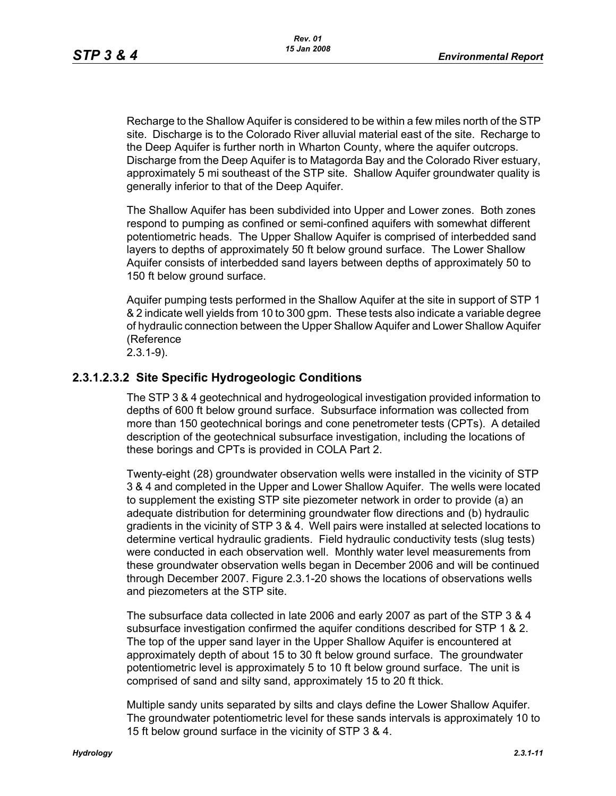Recharge to the Shallow Aquifer is considered to be within a few miles north of the STP site. Discharge is to the Colorado River alluvial material east of the site. Recharge to the Deep Aquifer is further north in Wharton County, where the aquifer outcrops. Discharge from the Deep Aquifer is to Matagorda Bay and the Colorado River estuary, approximately 5 mi southeast of the STP site. Shallow Aquifer groundwater quality is generally inferior to that of the Deep Aquifer.

The Shallow Aquifer has been subdivided into Upper and Lower zones. Both zones respond to pumping as confined or semi-confined aquifers with somewhat different potentiometric heads. The Upper Shallow Aquifer is comprised of interbedded sand layers to depths of approximately 50 ft below ground surface. The Lower Shallow Aquifer consists of interbedded sand layers between depths of approximately 50 to 150 ft below ground surface.

Aquifer pumping tests performed in the Shallow Aquifer at the site in support of STP 1 & 2 indicate well yields from 10 to 300 gpm. These tests also indicate a variable degree of hydraulic connection between the Upper Shallow Aquifer and Lower Shallow Aquifer (Reference

# 2.3.1-9).

### **2.3.1.2.3.2 Site Specific Hydrogeologic Conditions**

The STP 3 & 4 geotechnical and hydrogeological investigation provided information to depths of 600 ft below ground surface. Subsurface information was collected from more than 150 geotechnical borings and cone penetrometer tests (CPTs). A detailed description of the geotechnical subsurface investigation, including the locations of these borings and CPTs is provided in COLA Part 2.

Twenty-eight (28) groundwater observation wells were installed in the vicinity of STP 3 & 4 and completed in the Upper and Lower Shallow Aquifer. The wells were located to supplement the existing STP site piezometer network in order to provide (a) an adequate distribution for determining groundwater flow directions and (b) hydraulic gradients in the vicinity of STP 3 & 4. Well pairs were installed at selected locations to determine vertical hydraulic gradients. Field hydraulic conductivity tests (slug tests) were conducted in each observation well. Monthly water level measurements from these groundwater observation wells began in December 2006 and will be continued through December 2007. Figure 2.3.1-20 shows the locations of observations wells and piezometers at the STP site.

The subsurface data collected in late 2006 and early 2007 as part of the STP 3 & 4 subsurface investigation confirmed the aquifer conditions described for STP 1 & 2. The top of the upper sand layer in the Upper Shallow Aquifer is encountered at approximately depth of about 15 to 30 ft below ground surface. The groundwater potentiometric level is approximately 5 to 10 ft below ground surface. The unit is comprised of sand and silty sand, approximately 15 to 20 ft thick.

Multiple sandy units separated by silts and clays define the Lower Shallow Aquifer. The groundwater potentiometric level for these sands intervals is approximately 10 to 15 ft below ground surface in the vicinity of STP 3 & 4.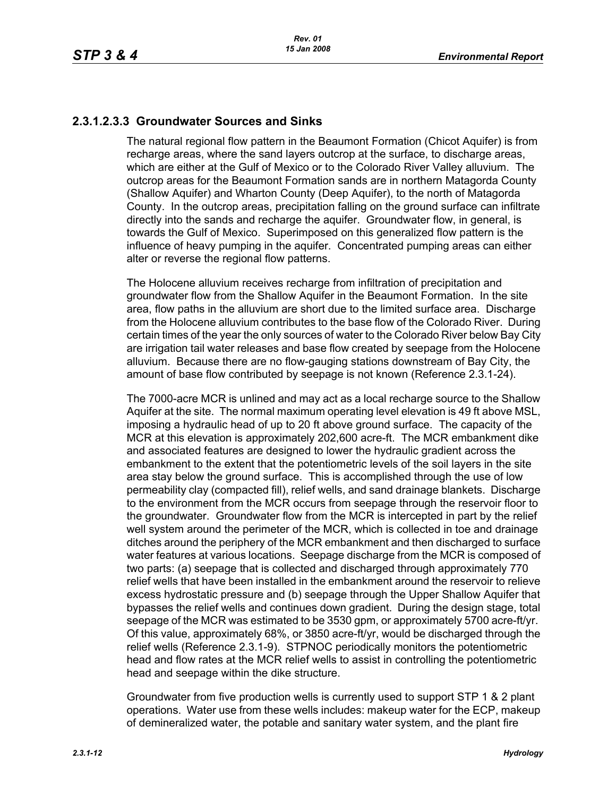# **2.3.1.2.3.3 Groundwater Sources and Sinks**

The natural regional flow pattern in the Beaumont Formation (Chicot Aquifer) is from recharge areas, where the sand layers outcrop at the surface, to discharge areas, which are either at the Gulf of Mexico or to the Colorado River Valley alluvium. The outcrop areas for the Beaumont Formation sands are in northern Matagorda County (Shallow Aquifer) and Wharton County (Deep Aquifer), to the north of Matagorda County. In the outcrop areas, precipitation falling on the ground surface can infiltrate directly into the sands and recharge the aquifer. Groundwater flow, in general, is towards the Gulf of Mexico. Superimposed on this generalized flow pattern is the influence of heavy pumping in the aquifer. Concentrated pumping areas can either alter or reverse the regional flow patterns.

The Holocene alluvium receives recharge from infiltration of precipitation and groundwater flow from the Shallow Aquifer in the Beaumont Formation. In the site area, flow paths in the alluvium are short due to the limited surface area. Discharge from the Holocene alluvium contributes to the base flow of the Colorado River. During certain times of the year the only sources of water to the Colorado River below Bay City are irrigation tail water releases and base flow created by seepage from the Holocene alluvium. Because there are no flow-gauging stations downstream of Bay City, the amount of base flow contributed by seepage is not known (Reference 2.3.1-24).

The 7000-acre MCR is unlined and may act as a local recharge source to the Shallow Aquifer at the site. The normal maximum operating level elevation is 49 ft above MSL, imposing a hydraulic head of up to 20 ft above ground surface. The capacity of the MCR at this elevation is approximately 202,600 acre-ft. The MCR embankment dike and associated features are designed to lower the hydraulic gradient across the embankment to the extent that the potentiometric levels of the soil layers in the site area stay below the ground surface. This is accomplished through the use of low permeability clay (compacted fill), relief wells, and sand drainage blankets. Discharge to the environment from the MCR occurs from seepage through the reservoir floor to the groundwater. Groundwater flow from the MCR is intercepted in part by the relief well system around the perimeter of the MCR, which is collected in toe and drainage ditches around the periphery of the MCR embankment and then discharged to surface water features at various locations. Seepage discharge from the MCR is composed of two parts: (a) seepage that is collected and discharged through approximately 770 relief wells that have been installed in the embankment around the reservoir to relieve excess hydrostatic pressure and (b) seepage through the Upper Shallow Aquifer that bypasses the relief wells and continues down gradient. During the design stage, total seepage of the MCR was estimated to be 3530 gpm, or approximately 5700 acre-ft/yr. Of this value, approximately 68%, or 3850 acre-ft/yr, would be discharged through the relief wells (Reference 2.3.1-9). STPNOC periodically monitors the potentiometric head and flow rates at the MCR relief wells to assist in controlling the potentiometric head and seepage within the dike structure.

Groundwater from five production wells is currently used to support STP 1 & 2 plant operations. Water use from these wells includes: makeup water for the ECP, makeup of demineralized water, the potable and sanitary water system, and the plant fire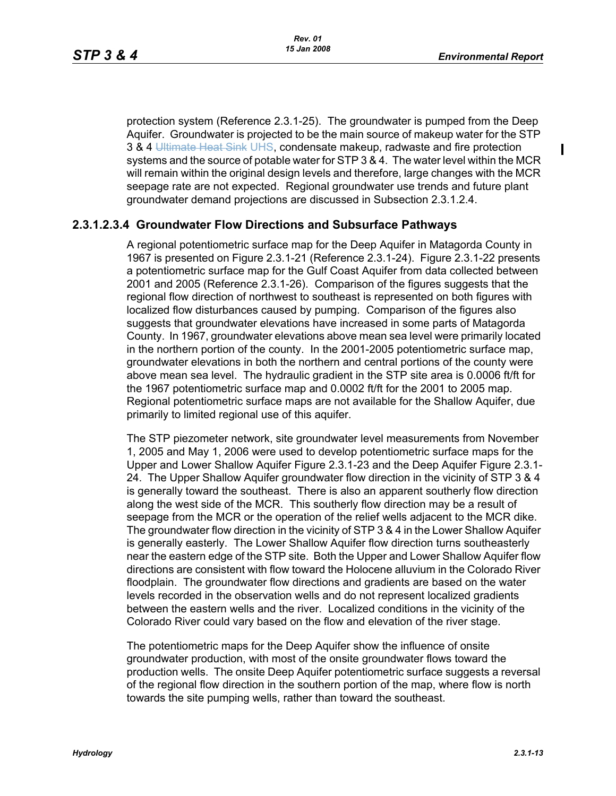$\blacksquare$ 

protection system (Reference 2.3.1-25). The groundwater is pumped from the Deep Aquifer. Groundwater is projected to be the main source of makeup water for the STP 3 & 4 Ultimate Heat Sink UHS, condensate makeup, radwaste and fire protection systems and the source of potable water for STP 3 & 4. The water level within the MCR will remain within the original design levels and therefore, large changes with the MCR seepage rate are not expected. Regional groundwater use trends and future plant groundwater demand projections are discussed in Subsection 2.3.1.2.4.

### **2.3.1.2.3.4 Groundwater Flow Directions and Subsurface Pathways**

A regional potentiometric surface map for the Deep Aquifer in Matagorda County in 1967 is presented on Figure 2.3.1-21 (Reference 2.3.1-24). Figure 2.3.1-22 presents a potentiometric surface map for the Gulf Coast Aquifer from data collected between 2001 and 2005 (Reference 2.3.1-26). Comparison of the figures suggests that the regional flow direction of northwest to southeast is represented on both figures with localized flow disturbances caused by pumping. Comparison of the figures also suggests that groundwater elevations have increased in some parts of Matagorda County. In 1967, groundwater elevations above mean sea level were primarily located in the northern portion of the county. In the 2001-2005 potentiometric surface map, groundwater elevations in both the northern and central portions of the county were above mean sea level. The hydraulic gradient in the STP site area is 0.0006 ft/ft for the 1967 potentiometric surface map and 0.0002 ft/ft for the 2001 to 2005 map. Regional potentiometric surface maps are not available for the Shallow Aquifer, due primarily to limited regional use of this aquifer.

The STP piezometer network, site groundwater level measurements from November 1, 2005 and May 1, 2006 were used to develop potentiometric surface maps for the Upper and Lower Shallow Aquifer Figure 2.3.1-23 and the Deep Aquifer Figure 2.3.1- 24. The Upper Shallow Aquifer groundwater flow direction in the vicinity of STP 3 & 4 is generally toward the southeast. There is also an apparent southerly flow direction along the west side of the MCR. This southerly flow direction may be a result of seepage from the MCR or the operation of the relief wells adjacent to the MCR dike. The groundwater flow direction in the vicinity of STP 3 & 4 in the Lower Shallow Aquifer is generally easterly. The Lower Shallow Aquifer flow direction turns southeasterly near the eastern edge of the STP site. Both the Upper and Lower Shallow Aquifer flow directions are consistent with flow toward the Holocene alluvium in the Colorado River floodplain. The groundwater flow directions and gradients are based on the water levels recorded in the observation wells and do not represent localized gradients between the eastern wells and the river. Localized conditions in the vicinity of the Colorado River could vary based on the flow and elevation of the river stage.

The potentiometric maps for the Deep Aquifer show the influence of onsite groundwater production, with most of the onsite groundwater flows toward the production wells. The onsite Deep Aquifer potentiometric surface suggests a reversal of the regional flow direction in the southern portion of the map, where flow is north towards the site pumping wells, rather than toward the southeast.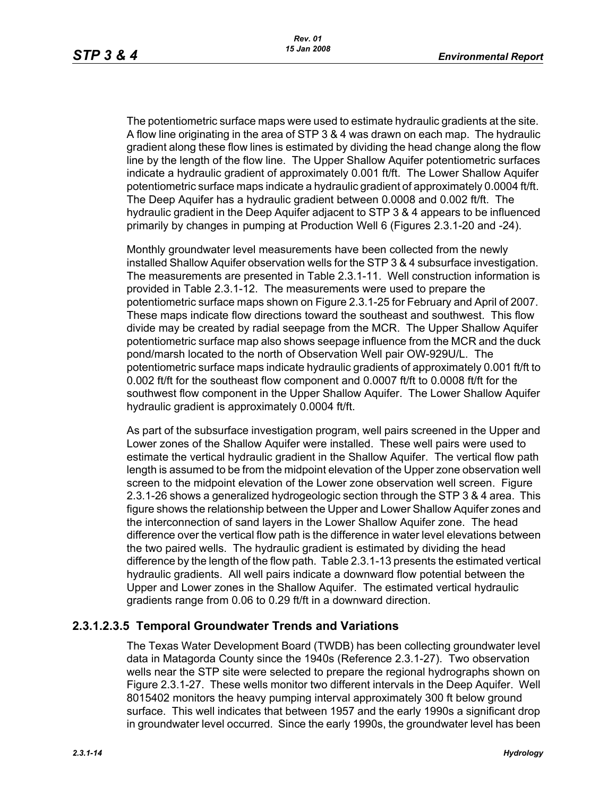The potentiometric surface maps were used to estimate hydraulic gradients at the site. A flow line originating in the area of STP 3 & 4 was drawn on each map. The hydraulic gradient along these flow lines is estimated by dividing the head change along the flow line by the length of the flow line. The Upper Shallow Aquifer potentiometric surfaces indicate a hydraulic gradient of approximately 0.001 ft/ft. The Lower Shallow Aquifer potentiometric surface maps indicate a hydraulic gradient of approximately 0.0004 ft/ft. The Deep Aquifer has a hydraulic gradient between 0.0008 and 0.002 ft/ft. The hydraulic gradient in the Deep Aquifer adjacent to STP 3 & 4 appears to be influenced primarily by changes in pumping at Production Well 6 (Figures 2.3.1-20 and -24).

Monthly groundwater level measurements have been collected from the newly installed Shallow Aquifer observation wells for the STP 3 & 4 subsurface investigation. The measurements are presented in Table 2.3.1-11. Well construction information is provided in Table 2.3.1-12. The measurements were used to prepare the potentiometric surface maps shown on Figure 2.3.1-25 for February and April of 2007. These maps indicate flow directions toward the southeast and southwest. This flow divide may be created by radial seepage from the MCR. The Upper Shallow Aquifer potentiometric surface map also shows seepage influence from the MCR and the duck pond/marsh located to the north of Observation Well pair OW-929U/L. The potentiometric surface maps indicate hydraulic gradients of approximately 0.001 ft/ft to 0.002 ft/ft for the southeast flow component and 0.0007 ft/ft to 0.0008 ft/ft for the southwest flow component in the Upper Shallow Aquifer. The Lower Shallow Aquifer hydraulic gradient is approximately 0.0004 ft/ft.

As part of the subsurface investigation program, well pairs screened in the Upper and Lower zones of the Shallow Aquifer were installed. These well pairs were used to estimate the vertical hydraulic gradient in the Shallow Aquifer. The vertical flow path length is assumed to be from the midpoint elevation of the Upper zone observation well screen to the midpoint elevation of the Lower zone observation well screen. Figure 2.3.1-26 shows a generalized hydrogeologic section through the STP 3 & 4 area. This figure shows the relationship between the Upper and Lower Shallow Aquifer zones and the interconnection of sand layers in the Lower Shallow Aquifer zone. The head difference over the vertical flow path is the difference in water level elevations between the two paired wells. The hydraulic gradient is estimated by dividing the head difference by the length of the flow path. Table 2.3.1-13 presents the estimated vertical hydraulic gradients. All well pairs indicate a downward flow potential between the Upper and Lower zones in the Shallow Aquifer. The estimated vertical hydraulic gradients range from 0.06 to 0.29 ft/ft in a downward direction.

# **2.3.1.2.3.5 Temporal Groundwater Trends and Variations**

The Texas Water Development Board (TWDB) has been collecting groundwater level data in Matagorda County since the 1940s (Reference 2.3.1-27). Two observation wells near the STP site were selected to prepare the regional hydrographs shown on Figure 2.3.1-27. These wells monitor two different intervals in the Deep Aquifer. Well 8015402 monitors the heavy pumping interval approximately 300 ft below ground surface. This well indicates that between 1957 and the early 1990s a significant drop in groundwater level occurred. Since the early 1990s, the groundwater level has been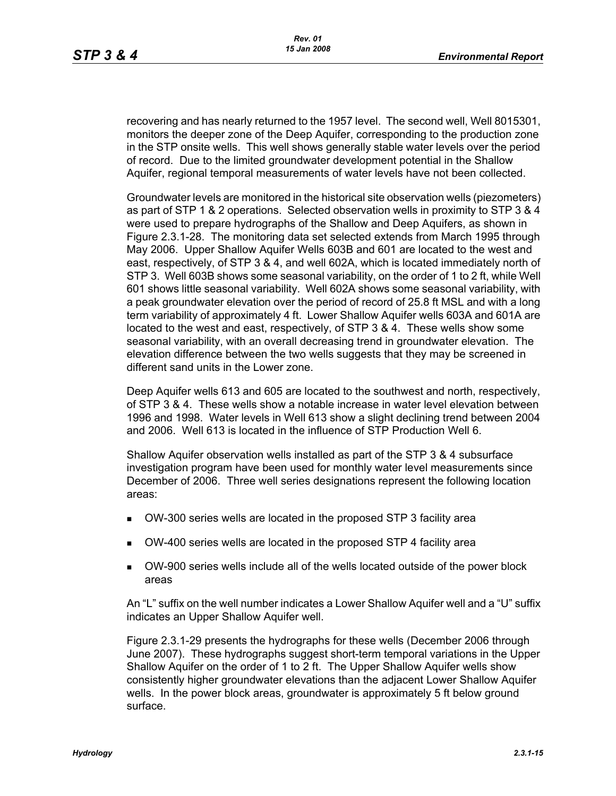recovering and has nearly returned to the 1957 level. The second well, Well 8015301, monitors the deeper zone of the Deep Aquifer, corresponding to the production zone in the STP onsite wells. This well shows generally stable water levels over the period of record. Due to the limited groundwater development potential in the Shallow Aquifer, regional temporal measurements of water levels have not been collected.

Groundwater levels are monitored in the historical site observation wells (piezometers) as part of STP 1 & 2 operations. Selected observation wells in proximity to STP 3 & 4 were used to prepare hydrographs of the Shallow and Deep Aquifers, as shown in Figure 2.3.1-28. The monitoring data set selected extends from March 1995 through May 2006. Upper Shallow Aquifer Wells 603B and 601 are located to the west and east, respectively, of STP 3 & 4, and well 602A, which is located immediately north of STP 3. Well 603B shows some seasonal variability, on the order of 1 to 2 ft, while Well 601 shows little seasonal variability. Well 602A shows some seasonal variability, with a peak groundwater elevation over the period of record of 25.8 ft MSL and with a long term variability of approximately 4 ft. Lower Shallow Aquifer wells 603A and 601A are located to the west and east, respectively, of STP 3 & 4. These wells show some seasonal variability, with an overall decreasing trend in groundwater elevation. The elevation difference between the two wells suggests that they may be screened in different sand units in the Lower zone.

Deep Aquifer wells 613 and 605 are located to the southwest and north, respectively, of STP 3 & 4. These wells show a notable increase in water level elevation between 1996 and 1998. Water levels in Well 613 show a slight declining trend between 2004 and 2006. Well 613 is located in the influence of STP Production Well 6.

Shallow Aquifer observation wells installed as part of the STP 3 & 4 subsurface investigation program have been used for monthly water level measurements since December of 2006. Three well series designations represent the following location areas:

- OW-300 series wells are located in the proposed STP 3 facility area
- OW-400 series wells are located in the proposed STP 4 facility area
- OW-900 series wells include all of the wells located outside of the power block areas

An "L" suffix on the well number indicates a Lower Shallow Aquifer well and a "U" suffix indicates an Upper Shallow Aquifer well.

Figure 2.3.1-29 presents the hydrographs for these wells (December 2006 through June 2007). These hydrographs suggest short-term temporal variations in the Upper Shallow Aquifer on the order of 1 to 2 ft. The Upper Shallow Aquifer wells show consistently higher groundwater elevations than the adjacent Lower Shallow Aquifer wells. In the power block areas, groundwater is approximately 5 ft below ground surface.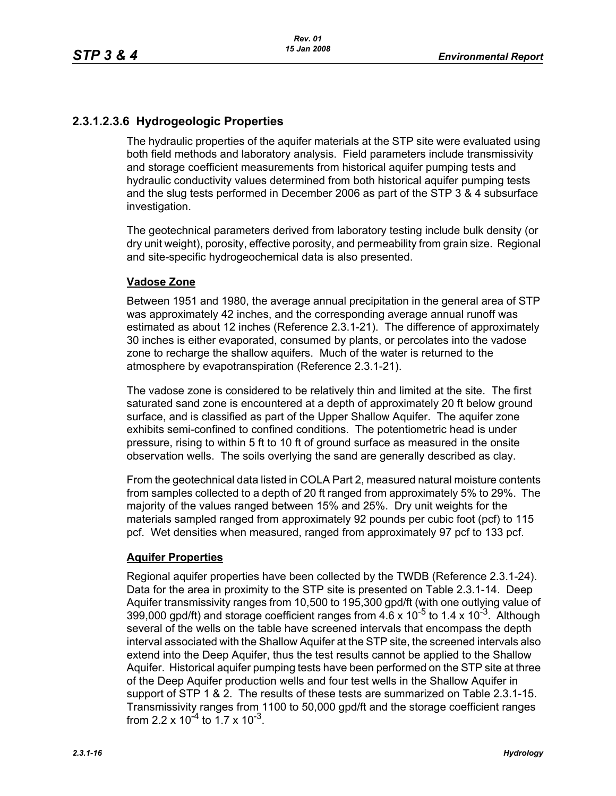# **2.3.1.2.3.6 Hydrogeologic Properties**

The hydraulic properties of the aquifer materials at the STP site were evaluated using both field methods and laboratory analysis. Field parameters include transmissivity and storage coefficient measurements from historical aquifer pumping tests and hydraulic conductivity values determined from both historical aquifer pumping tests and the slug tests performed in December 2006 as part of the STP 3 & 4 subsurface investigation.

The geotechnical parameters derived from laboratory testing include bulk density (or dry unit weight), porosity, effective porosity, and permeability from grain size. Regional and site-specific hydrogeochemical data is also presented.

### **Vadose Zone**

Between 1951 and 1980, the average annual precipitation in the general area of STP was approximately 42 inches, and the corresponding average annual runoff was estimated as about 12 inches (Reference 2.3.1-21). The difference of approximately 30 inches is either evaporated, consumed by plants, or percolates into the vadose zone to recharge the shallow aquifers. Much of the water is returned to the atmosphere by evapotranspiration (Reference 2.3.1-21).

The vadose zone is considered to be relatively thin and limited at the site. The first saturated sand zone is encountered at a depth of approximately 20 ft below ground surface, and is classified as part of the Upper Shallow Aquifer. The aquifer zone exhibits semi-confined to confined conditions. The potentiometric head is under pressure, rising to within 5 ft to 10 ft of ground surface as measured in the onsite observation wells. The soils overlying the sand are generally described as clay.

From the geotechnical data listed in COLA Part 2, measured natural moisture contents from samples collected to a depth of 20 ft ranged from approximately 5% to 29%. The majority of the values ranged between 15% and 25%. Dry unit weights for the materials sampled ranged from approximately 92 pounds per cubic foot (pcf) to 115 pcf. Wet densities when measured, ranged from approximately 97 pcf to 133 pcf.

### **Aquifer Properties**

Regional aquifer properties have been collected by the TWDB (Reference 2.3.1-24). Data for the area in proximity to the STP site is presented on Table 2.3.1-14. Deep Aquifer transmissivity ranges from 10,500 to 195,300 gpd/ft (with one outlying value of 399,000 gpd/ft) and storage coefficient ranges from  $4.6 \times 10^{-5}$  to 1.4 x 10<sup>-3</sup>. Although several of the wells on the table have screened intervals that encompass the depth interval associated with the Shallow Aquifer at the STP site, the screened intervals also extend into the Deep Aquifer, thus the test results cannot be applied to the Shallow Aquifer. Historical aquifer pumping tests have been performed on the STP site at three of the Deep Aquifer production wells and four test wells in the Shallow Aquifer in support of STP 1 & 2. The results of these tests are summarized on Table 2.3.1-15. Transmissivity ranges from 1100 to 50,000 gpd/ft and the storage coefficient ranges from 2.2 x  $10^{-4}$  to 1.7 x  $10^{-3}$ .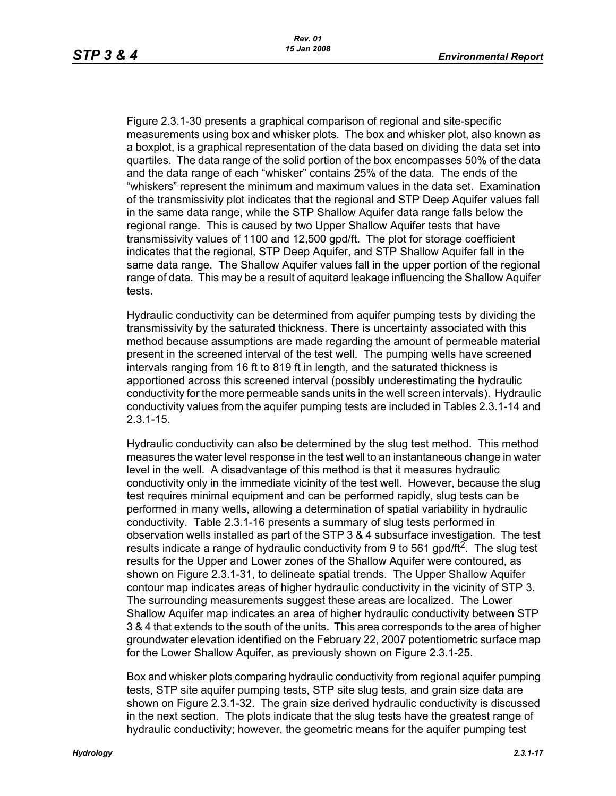Figure 2.3.1-30 presents a graphical comparison of regional and site-specific measurements using box and whisker plots. The box and whisker plot, also known as a boxplot, is a graphical representation of the data based on dividing the data set into quartiles. The data range of the solid portion of the box encompasses 50% of the data and the data range of each "whisker" contains 25% of the data. The ends of the "whiskers" represent the minimum and maximum values in the data set. Examination of the transmissivity plot indicates that the regional and STP Deep Aquifer values fall in the same data range, while the STP Shallow Aquifer data range falls below the regional range. This is caused by two Upper Shallow Aquifer tests that have transmissivity values of 1100 and 12,500 gpd/ft. The plot for storage coefficient indicates that the regional, STP Deep Aquifer, and STP Shallow Aquifer fall in the same data range. The Shallow Aquifer values fall in the upper portion of the regional range of data. This may be a result of aquitard leakage influencing the Shallow Aquifer tests.

Hydraulic conductivity can be determined from aquifer pumping tests by dividing the transmissivity by the saturated thickness. There is uncertainty associated with this method because assumptions are made regarding the amount of permeable material present in the screened interval of the test well. The pumping wells have screened intervals ranging from 16 ft to 819 ft in length, and the saturated thickness is apportioned across this screened interval (possibly underestimating the hydraulic conductivity for the more permeable sands units in the well screen intervals). Hydraulic conductivity values from the aquifer pumping tests are included in Tables 2.3.1-14 and 2.3.1-15.

Hydraulic conductivity can also be determined by the slug test method. This method measures the water level response in the test well to an instantaneous change in water level in the well. A disadvantage of this method is that it measures hydraulic conductivity only in the immediate vicinity of the test well. However, because the slug test requires minimal equipment and can be performed rapidly, slug tests can be performed in many wells, allowing a determination of spatial variability in hydraulic conductivity. Table 2.3.1-16 presents a summary of slug tests performed in observation wells installed as part of the STP 3 & 4 subsurface investigation. The test results indicate a range of hydraulic conductivity from 9 to 561 gpd/ft<sup>2</sup>. The slug test results for the Upper and Lower zones of the Shallow Aquifer were contoured, as shown on Figure 2.3.1-31, to delineate spatial trends. The Upper Shallow Aquifer contour map indicates areas of higher hydraulic conductivity in the vicinity of STP 3. The surrounding measurements suggest these areas are localized. The Lower Shallow Aquifer map indicates an area of higher hydraulic conductivity between STP 3 & 4 that extends to the south of the units. This area corresponds to the area of higher groundwater elevation identified on the February 22, 2007 potentiometric surface map for the Lower Shallow Aquifer, as previously shown on Figure 2.3.1-25.

Box and whisker plots comparing hydraulic conductivity from regional aquifer pumping tests, STP site aquifer pumping tests, STP site slug tests, and grain size data are shown on Figure 2.3.1-32. The grain size derived hydraulic conductivity is discussed in the next section. The plots indicate that the slug tests have the greatest range of hydraulic conductivity; however, the geometric means for the aquifer pumping test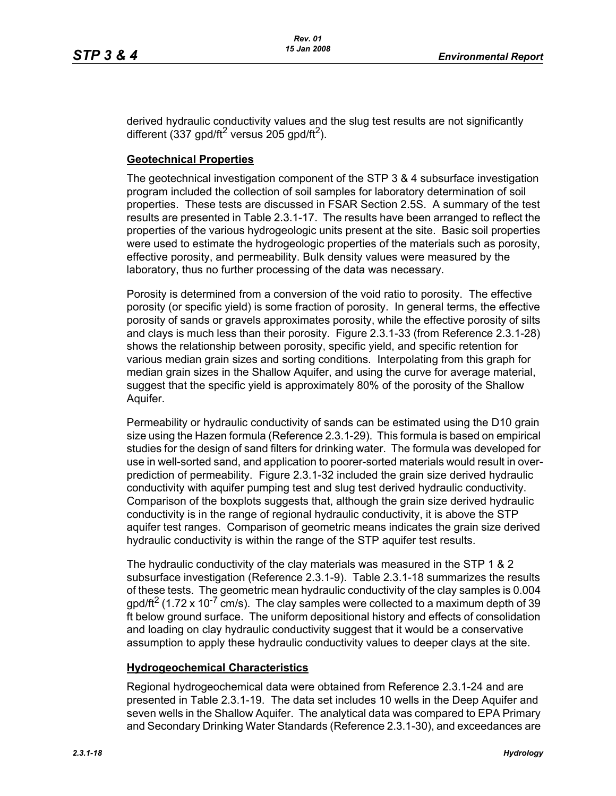derived hydraulic conductivity values and the slug test results are not significantly different (337 gpd/ft<sup>2</sup> versus 205 gpd/ft<sup>2</sup>).

### **Geotechnical Properties**

The geotechnical investigation component of the STP 3 & 4 subsurface investigation program included the collection of soil samples for laboratory determination of soil properties. These tests are discussed in FSAR Section 2.5S. A summary of the test results are presented in Table 2.3.1-17. The results have been arranged to reflect the properties of the various hydrogeologic units present at the site. Basic soil properties were used to estimate the hydrogeologic properties of the materials such as porosity, effective porosity, and permeability. Bulk density values were measured by the laboratory, thus no further processing of the data was necessary.

Porosity is determined from a conversion of the void ratio to porosity. The effective porosity (or specific yield) is some fraction of porosity. In general terms, the effective porosity of sands or gravels approximates porosity, while the effective porosity of silts and clays is much less than their porosity. Figure 2.3.1-33 (from Reference 2.3.1-28) shows the relationship between porosity, specific yield, and specific retention for various median grain sizes and sorting conditions. Interpolating from this graph for median grain sizes in the Shallow Aquifer, and using the curve for average material, suggest that the specific yield is approximately 80% of the porosity of the Shallow Aquifer.

Permeability or hydraulic conductivity of sands can be estimated using the D10 grain size using the Hazen formula (Reference 2.3.1-29). This formula is based on empirical studies for the design of sand filters for drinking water. The formula was developed for use in well-sorted sand, and application to poorer-sorted materials would result in overprediction of permeability. Figure 2.3.1-32 included the grain size derived hydraulic conductivity with aquifer pumping test and slug test derived hydraulic conductivity. Comparison of the boxplots suggests that, although the grain size derived hydraulic conductivity is in the range of regional hydraulic conductivity, it is above the STP aquifer test ranges. Comparison of geometric means indicates the grain size derived hydraulic conductivity is within the range of the STP aquifer test results.

The hydraulic conductivity of the clay materials was measured in the STP 1 & 2 subsurface investigation (Reference 2.3.1-9). Table 2.3.1-18 summarizes the results of these tests. The geometric mean hydraulic conductivity of the clay samples is 0.004  $q$  apd/ft<sup>2</sup> (1.72 x 10<sup>-7</sup> cm/s). The clay samples were collected to a maximum depth of 39 ft below ground surface. The uniform depositional history and effects of consolidation and loading on clay hydraulic conductivity suggest that it would be a conservative assumption to apply these hydraulic conductivity values to deeper clays at the site.

### **Hydrogeochemical Characteristics**

Regional hydrogeochemical data were obtained from Reference 2.3.1-24 and are presented in Table 2.3.1-19. The data set includes 10 wells in the Deep Aquifer and seven wells in the Shallow Aquifer. The analytical data was compared to EPA Primary and Secondary Drinking Water Standards (Reference 2.3.1-30), and exceedances are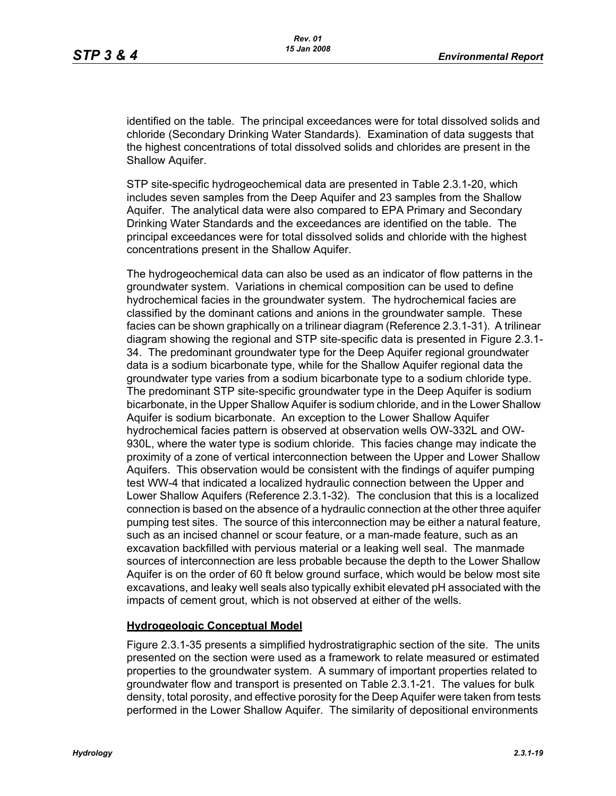identified on the table. The principal exceedances were for total dissolved solids and chloride (Secondary Drinking Water Standards). Examination of data suggests that the highest concentrations of total dissolved solids and chlorides are present in the Shallow Aquifer.

STP site-specific hydrogeochemical data are presented in Table 2.3.1-20, which includes seven samples from the Deep Aquifer and 23 samples from the Shallow Aquifer. The analytical data were also compared to EPA Primary and Secondary Drinking Water Standards and the exceedances are identified on the table. The principal exceedances were for total dissolved solids and chloride with the highest concentrations present in the Shallow Aquifer.

The hydrogeochemical data can also be used as an indicator of flow patterns in the groundwater system. Variations in chemical composition can be used to define hydrochemical facies in the groundwater system. The hydrochemical facies are classified by the dominant cations and anions in the groundwater sample. These facies can be shown graphically on a trilinear diagram (Reference 2.3.1-31). A trilinear diagram showing the regional and STP site-specific data is presented in Figure 2.3.1- 34. The predominant groundwater type for the Deep Aquifer regional groundwater data is a sodium bicarbonate type, while for the Shallow Aquifer regional data the groundwater type varies from a sodium bicarbonate type to a sodium chloride type. The predominant STP site-specific groundwater type in the Deep Aquifer is sodium bicarbonate, in the Upper Shallow Aquifer is sodium chloride, and in the Lower Shallow Aquifer is sodium bicarbonate. An exception to the Lower Shallow Aquifer hydrochemical facies pattern is observed at observation wells OW-332L and OW-930L, where the water type is sodium chloride. This facies change may indicate the proximity of a zone of vertical interconnection between the Upper and Lower Shallow Aquifers. This observation would be consistent with the findings of aquifer pumping test WW-4 that indicated a localized hydraulic connection between the Upper and Lower Shallow Aquifers (Reference 2.3.1-32). The conclusion that this is a localized connection is based on the absence of a hydraulic connection at the other three aquifer pumping test sites. The source of this interconnection may be either a natural feature, such as an incised channel or scour feature, or a man-made feature, such as an excavation backfilled with pervious material or a leaking well seal. The manmade sources of interconnection are less probable because the depth to the Lower Shallow Aquifer is on the order of 60 ft below ground surface, which would be below most site excavations, and leaky well seals also typically exhibit elevated pH associated with the impacts of cement grout, which is not observed at either of the wells.

### **Hydrogeologic Conceptual Model**

Figure 2.3.1-35 presents a simplified hydrostratigraphic section of the site. The units presented on the section were used as a framework to relate measured or estimated properties to the groundwater system. A summary of important properties related to groundwater flow and transport is presented on Table 2.3.1-21. The values for bulk density, total porosity, and effective porosity for the Deep Aquifer were taken from tests performed in the Lower Shallow Aquifer. The similarity of depositional environments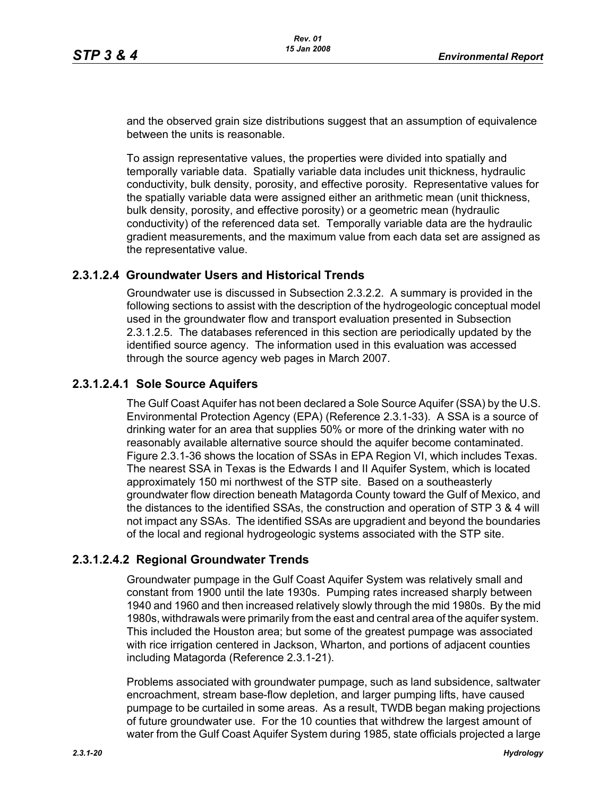and the observed grain size distributions suggest that an assumption of equivalence between the units is reasonable.

To assign representative values, the properties were divided into spatially and temporally variable data. Spatially variable data includes unit thickness, hydraulic conductivity, bulk density, porosity, and effective porosity. Representative values for the spatially variable data were assigned either an arithmetic mean (unit thickness, bulk density, porosity, and effective porosity) or a geometric mean (hydraulic conductivity) of the referenced data set. Temporally variable data are the hydraulic gradient measurements, and the maximum value from each data set are assigned as the representative value.

### **2.3.1.2.4 Groundwater Users and Historical Trends**

Groundwater use is discussed in Subsection 2.3.2.2. A summary is provided in the following sections to assist with the description of the hydrogeologic conceptual model used in the groundwater flow and transport evaluation presented in Subsection 2.3.1.2.5. The databases referenced in this section are periodically updated by the identified source agency. The information used in this evaluation was accessed through the source agency web pages in March 2007.

### **2.3.1.2.4.1 Sole Source Aquifers**

The Gulf Coast Aquifer has not been declared a Sole Source Aquifer (SSA) by the U.S. Environmental Protection Agency (EPA) (Reference 2.3.1-33). A SSA is a source of drinking water for an area that supplies 50% or more of the drinking water with no reasonably available alternative source should the aquifer become contaminated. Figure 2.3.1-36 shows the location of SSAs in EPA Region VI, which includes Texas. The nearest SSA in Texas is the Edwards I and II Aquifer System, which is located approximately 150 mi northwest of the STP site. Based on a southeasterly groundwater flow direction beneath Matagorda County toward the Gulf of Mexico, and the distances to the identified SSAs, the construction and operation of STP 3 & 4 will not impact any SSAs. The identified SSAs are upgradient and beyond the boundaries of the local and regional hydrogeologic systems associated with the STP site.

# **2.3.1.2.4.2 Regional Groundwater Trends**

Groundwater pumpage in the Gulf Coast Aquifer System was relatively small and constant from 1900 until the late 1930s. Pumping rates increased sharply between 1940 and 1960 and then increased relatively slowly through the mid 1980s. By the mid 1980s, withdrawals were primarily from the east and central area of the aquifer system. This included the Houston area; but some of the greatest pumpage was associated with rice irrigation centered in Jackson, Wharton, and portions of adjacent counties including Matagorda (Reference 2.3.1-21).

Problems associated with groundwater pumpage, such as land subsidence, saltwater encroachment, stream base-flow depletion, and larger pumping lifts, have caused pumpage to be curtailed in some areas. As a result, TWDB began making projections of future groundwater use. For the 10 counties that withdrew the largest amount of water from the Gulf Coast Aquifer System during 1985, state officials projected a large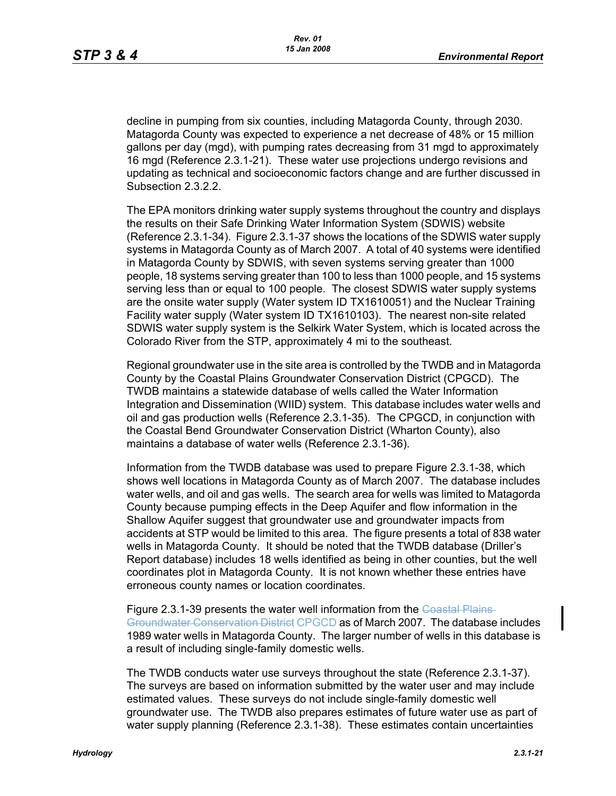decline in pumping from six counties, including Matagorda County, through 2030. Matagorda County was expected to experience a net decrease of 48% or 15 million gallons per day (mgd), with pumping rates decreasing from 31 mgd to approximately 16 mgd (Reference 2.3.1-21). These water use projections undergo revisions and updating as technical and socioeconomic factors change and are further discussed in Subsection 2.3.2.2.

The EPA monitors drinking water supply systems throughout the country and displays the results on their Safe Drinking Water Information System (SDWIS) website (Reference 2.3.1-34). Figure 2.3.1-37 shows the locations of the SDWIS water supply systems in Matagorda County as of March 2007. A total of 40 systems were identified in Matagorda County by SDWIS, with seven systems serving greater than 1000 people, 18 systems serving greater than 100 to less than 1000 people, and 15 systems serving less than or equal to 100 people. The closest SDWIS water supply systems are the onsite water supply (Water system ID TX1610051) and the Nuclear Training Facility water supply (Water system ID TX1610103). The nearest non-site related SDWIS water supply system is the Selkirk Water System, which is located across the Colorado River from the STP, approximately 4 mi to the southeast.

Regional groundwater use in the site area is controlled by the TWDB and in Matagorda County by the Coastal Plains Groundwater Conservation District (CPGCD). The TWDB maintains a statewide database of wells called the Water Information Integration and Dissemination (WIID) system. This database includes water wells and oil and gas production wells (Reference 2.3.1-35). The CPGCD, in conjunction with the Coastal Bend Groundwater Conservation District (Wharton County), also maintains a database of water wells (Reference 2.3.1-36).

Information from the TWDB database was used to prepare Figure 2.3.1-38, which shows well locations in Matagorda County as of March 2007. The database includes water wells, and oil and gas wells. The search area for wells was limited to Matagorda County because pumping effects in the Deep Aquifer and flow information in the Shallow Aquifer suggest that groundwater use and groundwater impacts from accidents at STP would be limited to this area. The figure presents a total of 838 water wells in Matagorda County. It should be noted that the TWDB database (Driller's Report database) includes 18 wells identified as being in other counties, but the well coordinates plot in Matagorda County. It is not known whether these entries have erroneous county names or location coordinates.

Figure 2.3.1-39 presents the water well information from the Coastal Plains-Groundwater Conservation District CPGCD as of March 2007. The database includes 1989 water wells in Matagorda County. The larger number of wells in this database is a result of including single-family domestic wells.

The TWDB conducts water use surveys throughout the state (Reference 2.3.1-37). The surveys are based on information submitted by the water user and may include estimated values. These surveys do not include single-family domestic well groundwater use. The TWDB also prepares estimates of future water use as part of water supply planning (Reference 2.3.1-38). These estimates contain uncertainties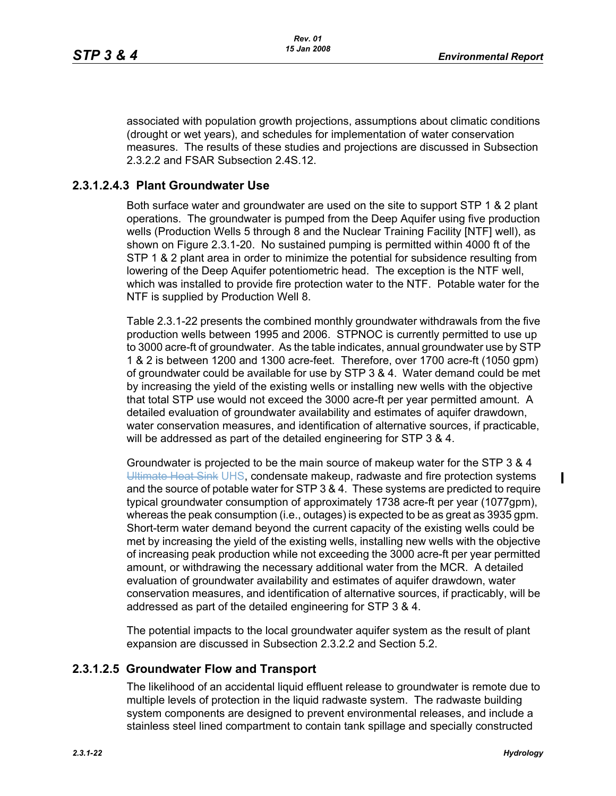associated with population growth projections, assumptions about climatic conditions (drought or wet years), and schedules for implementation of water conservation measures. The results of these studies and projections are discussed in Subsection 2.3.2.2 and FSAR Subsection 2.4S.12.

### **2.3.1.2.4.3 Plant Groundwater Use**

Both surface water and groundwater are used on the site to support STP 1 & 2 plant operations. The groundwater is pumped from the Deep Aquifer using five production wells (Production Wells 5 through 8 and the Nuclear Training Facility [NTF] well), as shown on Figure 2.3.1-20. No sustained pumping is permitted within 4000 ft of the STP 1 & 2 plant area in order to minimize the potential for subsidence resulting from lowering of the Deep Aquifer potentiometric head. The exception is the NTF well, which was installed to provide fire protection water to the NTF. Potable water for the NTF is supplied by Production Well 8.

Table 2.3.1-22 presents the combined monthly groundwater withdrawals from the five production wells between 1995 and 2006. STPNOC is currently permitted to use up to 3000 acre-ft of groundwater. As the table indicates, annual groundwater use by STP 1 & 2 is between 1200 and 1300 acre-feet. Therefore, over 1700 acre-ft (1050 gpm) of groundwater could be available for use by STP 3 & 4. Water demand could be met by increasing the yield of the existing wells or installing new wells with the objective that total STP use would not exceed the 3000 acre-ft per year permitted amount. A detailed evaluation of groundwater availability and estimates of aquifer drawdown, water conservation measures, and identification of alternative sources, if practicable, will be addressed as part of the detailed engineering for STP 3 & 4.

Groundwater is projected to be the main source of makeup water for the STP 3 & 4 Ultimate Heat Sink UHS, condensate makeup, radwaste and fire protection systems and the source of potable water for STP 3 & 4. These systems are predicted to require typical groundwater consumption of approximately 1738 acre-ft per year (1077gpm), whereas the peak consumption (i.e., outages) is expected to be as great as 3935 gpm. Short-term water demand beyond the current capacity of the existing wells could be met by increasing the yield of the existing wells, installing new wells with the objective of increasing peak production while not exceeding the 3000 acre-ft per year permitted amount, or withdrawing the necessary additional water from the MCR. A detailed evaluation of groundwater availability and estimates of aquifer drawdown, water conservation measures, and identification of alternative sources, if practicably, will be addressed as part of the detailed engineering for STP 3 & 4.

The potential impacts to the local groundwater aquifer system as the result of plant expansion are discussed in Subsection 2.3.2.2 and Section 5.2.

# **2.3.1.2.5 Groundwater Flow and Transport**

The likelihood of an accidental liquid effluent release to groundwater is remote due to multiple levels of protection in the liquid radwaste system. The radwaste building system components are designed to prevent environmental releases, and include a stainless steel lined compartment to contain tank spillage and specially constructed

 $\blacksquare$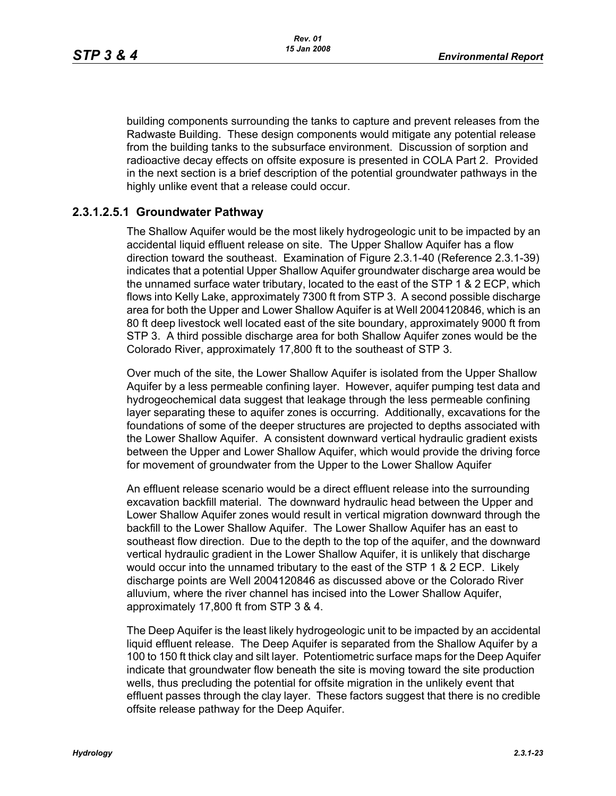building components surrounding the tanks to capture and prevent releases from the Radwaste Building. These design components would mitigate any potential release from the building tanks to the subsurface environment. Discussion of sorption and radioactive decay effects on offsite exposure is presented in COLA Part 2. Provided in the next section is a brief description of the potential groundwater pathways in the highly unlike event that a release could occur.

### **2.3.1.2.5.1 Groundwater Pathway**

The Shallow Aquifer would be the most likely hydrogeologic unit to be impacted by an accidental liquid effluent release on site. The Upper Shallow Aquifer has a flow direction toward the southeast. Examination of Figure 2.3.1-40 (Reference 2.3.1-39) indicates that a potential Upper Shallow Aquifer groundwater discharge area would be the unnamed surface water tributary, located to the east of the STP 1 & 2 ECP, which flows into Kelly Lake, approximately 7300 ft from STP 3. A second possible discharge area for both the Upper and Lower Shallow Aquifer is at Well 2004120846, which is an 80 ft deep livestock well located east of the site boundary, approximately 9000 ft from STP 3. A third possible discharge area for both Shallow Aquifer zones would be the Colorado River, approximately 17,800 ft to the southeast of STP 3.

Over much of the site, the Lower Shallow Aquifer is isolated from the Upper Shallow Aquifer by a less permeable confining layer. However, aquifer pumping test data and hydrogeochemical data suggest that leakage through the less permeable confining layer separating these to aquifer zones is occurring. Additionally, excavations for the foundations of some of the deeper structures are projected to depths associated with the Lower Shallow Aquifer. A consistent downward vertical hydraulic gradient exists between the Upper and Lower Shallow Aquifer, which would provide the driving force for movement of groundwater from the Upper to the Lower Shallow Aquifer

An effluent release scenario would be a direct effluent release into the surrounding excavation backfill material. The downward hydraulic head between the Upper and Lower Shallow Aquifer zones would result in vertical migration downward through the backfill to the Lower Shallow Aquifer. The Lower Shallow Aquifer has an east to southeast flow direction. Due to the depth to the top of the aquifer, and the downward vertical hydraulic gradient in the Lower Shallow Aquifer, it is unlikely that discharge would occur into the unnamed tributary to the east of the STP 1 & 2 ECP. Likely discharge points are Well 2004120846 as discussed above or the Colorado River alluvium, where the river channel has incised into the Lower Shallow Aquifer, approximately 17,800 ft from STP 3 & 4.

The Deep Aquifer is the least likely hydrogeologic unit to be impacted by an accidental liquid effluent release. The Deep Aquifer is separated from the Shallow Aquifer by a 100 to 150 ft thick clay and silt layer. Potentiometric surface maps for the Deep Aquifer indicate that groundwater flow beneath the site is moving toward the site production wells, thus precluding the potential for offsite migration in the unlikely event that effluent passes through the clay layer. These factors suggest that there is no credible offsite release pathway for the Deep Aquifer.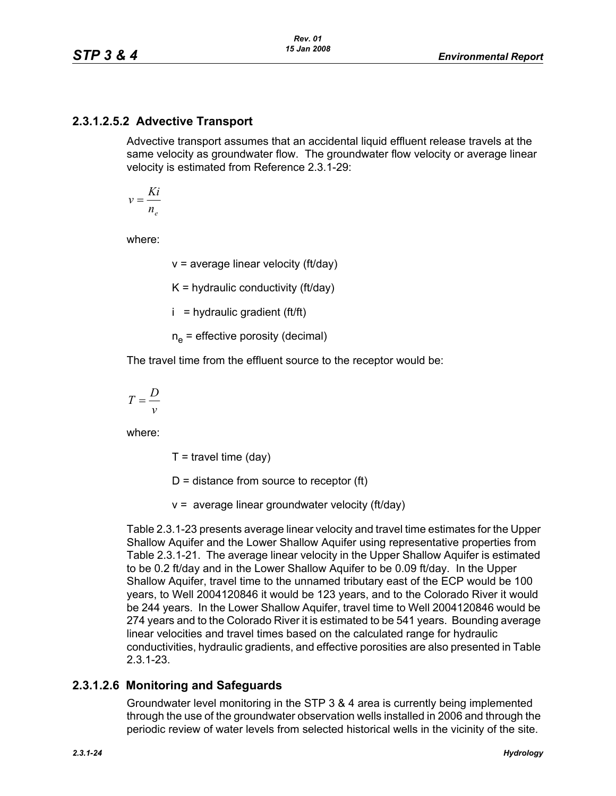# **2.3.1.2.5.2 Advective Transport**

Advective transport assumes that an accidental liquid effluent release travels at the same velocity as groundwater flow. The groundwater flow velocity or average linear velocity is estimated from Reference 2.3.1-29:

$$
v = \frac{Ki}{n_e}
$$

where:

 $v =$  average linear velocity (ft/day)

 $K =$  hydraulic conductivity (ft/day)

 $i =$  hydraulic gradient (ft/ft)

 $n_e$  = effective porosity (decimal)

The travel time from the effluent source to the receptor would be:

$$
T = \frac{D}{v}
$$

where:

 $T =$  travel time (day)

 $D =$  distance from source to receptor (ft)

 $v =$  average linear groundwater velocity (ft/day)

Table 2.3.1-23 presents average linear velocity and travel time estimates for the Upper Shallow Aquifer and the Lower Shallow Aquifer using representative properties from Table 2.3.1-21. The average linear velocity in the Upper Shallow Aquifer is estimated to be 0.2 ft/day and in the Lower Shallow Aquifer to be 0.09 ft/day. In the Upper Shallow Aquifer, travel time to the unnamed tributary east of the ECP would be 100 years, to Well 2004120846 it would be 123 years, and to the Colorado River it would be 244 years. In the Lower Shallow Aquifer, travel time to Well 2004120846 would be 274 years and to the Colorado River it is estimated to be 541 years. Bounding average linear velocities and travel times based on the calculated range for hydraulic conductivities, hydraulic gradients, and effective porosities are also presented in Table 2.3.1-23.

# **2.3.1.2.6 Monitoring and Safeguards**

Groundwater level monitoring in the STP 3 & 4 area is currently being implemented through the use of the groundwater observation wells installed in 2006 and through the periodic review of water levels from selected historical wells in the vicinity of the site.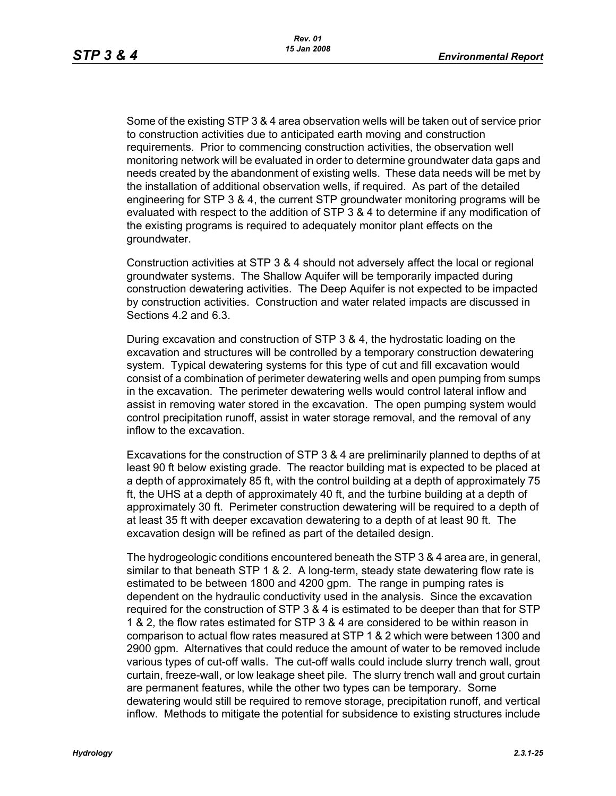Some of the existing STP 3 & 4 area observation wells will be taken out of service prior to construction activities due to anticipated earth moving and construction requirements. Prior to commencing construction activities, the observation well monitoring network will be evaluated in order to determine groundwater data gaps and needs created by the abandonment of existing wells. These data needs will be met by the installation of additional observation wells, if required. As part of the detailed engineering for STP 3 & 4, the current STP groundwater monitoring programs will be evaluated with respect to the addition of STP 3 & 4 to determine if any modification of the existing programs is required to adequately monitor plant effects on the groundwater.

Construction activities at STP 3 & 4 should not adversely affect the local or regional groundwater systems. The Shallow Aquifer will be temporarily impacted during construction dewatering activities. The Deep Aquifer is not expected to be impacted by construction activities. Construction and water related impacts are discussed in Sections 4.2 and 6.3.

During excavation and construction of STP 3 & 4, the hydrostatic loading on the excavation and structures will be controlled by a temporary construction dewatering system. Typical dewatering systems for this type of cut and fill excavation would consist of a combination of perimeter dewatering wells and open pumping from sumps in the excavation. The perimeter dewatering wells would control lateral inflow and assist in removing water stored in the excavation. The open pumping system would control precipitation runoff, assist in water storage removal, and the removal of any inflow to the excavation.

Excavations for the construction of STP 3 & 4 are preliminarily planned to depths of at least 90 ft below existing grade. The reactor building mat is expected to be placed at a depth of approximately 85 ft, with the control building at a depth of approximately 75 ft, the UHS at a depth of approximately 40 ft, and the turbine building at a depth of approximately 30 ft. Perimeter construction dewatering will be required to a depth of at least 35 ft with deeper excavation dewatering to a depth of at least 90 ft. The excavation design will be refined as part of the detailed design.

The hydrogeologic conditions encountered beneath the STP 3 & 4 area are, in general, similar to that beneath STP 1 & 2. A long-term, steady state dewatering flow rate is estimated to be between 1800 and 4200 gpm. The range in pumping rates is dependent on the hydraulic conductivity used in the analysis. Since the excavation required for the construction of STP 3 & 4 is estimated to be deeper than that for STP 1 & 2, the flow rates estimated for STP 3 & 4 are considered to be within reason in comparison to actual flow rates measured at STP 1 & 2 which were between 1300 and 2900 gpm. Alternatives that could reduce the amount of water to be removed include various types of cut-off walls. The cut-off walls could include slurry trench wall, grout curtain, freeze-wall, or low leakage sheet pile. The slurry trench wall and grout curtain are permanent features, while the other two types can be temporary. Some dewatering would still be required to remove storage, precipitation runoff, and vertical inflow. Methods to mitigate the potential for subsidence to existing structures include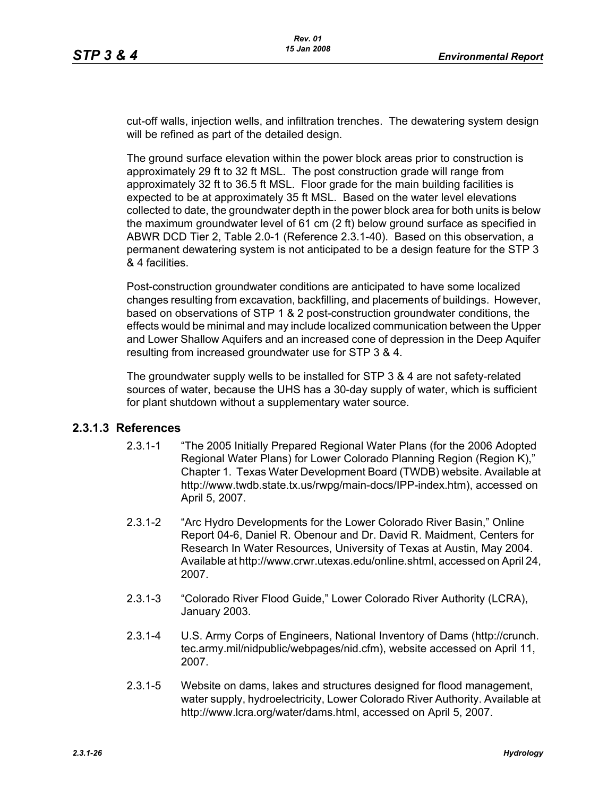cut-off walls, injection wells, and infiltration trenches. The dewatering system design will be refined as part of the detailed design.

The ground surface elevation within the power block areas prior to construction is approximately 29 ft to 32 ft MSL. The post construction grade will range from approximately 32 ft to 36.5 ft MSL. Floor grade for the main building facilities is expected to be at approximately 35 ft MSL. Based on the water level elevations collected to date, the groundwater depth in the power block area for both units is below the maximum groundwater level of 61 cm (2 ft) below ground surface as specified in ABWR DCD Tier 2, Table 2.0-1 (Reference 2.3.1-40). Based on this observation, a permanent dewatering system is not anticipated to be a design feature for the STP 3 & 4 facilities.

Post-construction groundwater conditions are anticipated to have some localized changes resulting from excavation, backfilling, and placements of buildings. However, based on observations of STP 1 & 2 post-construction groundwater conditions, the effects would be minimal and may include localized communication between the Upper and Lower Shallow Aquifers and an increased cone of depression in the Deep Aquifer resulting from increased groundwater use for STP 3 & 4.

The groundwater supply wells to be installed for STP 3 & 4 are not safety-related sources of water, because the UHS has a 30-day supply of water, which is sufficient for plant shutdown without a supplementary water source.

# **2.3.1.3 References**

- 2.3.1-1 "The 2005 Initially Prepared Regional Water Plans (for the 2006 Adopted Regional Water Plans) for Lower Colorado Planning Region (Region K)," Chapter 1. Texas Water Development Board (TWDB) website. Available at http://www.twdb.state.tx.us/rwpg/main-docs/IPP-index.htm), accessed on April 5, 2007.
- 2.3.1-2 "Arc Hydro Developments for the Lower Colorado River Basin," Online Report 04-6, Daniel R. Obenour and Dr. David R. Maidment, Centers for Research In Water Resources, University of Texas at Austin, May 2004. Available at http://www.crwr.utexas.edu/online.shtml, accessed on April 24, 2007.
- 2.3.1-3 "Colorado River Flood Guide," Lower Colorado River Authority (LCRA), January 2003.
- 2.3.1-4 U.S. Army Corps of Engineers, National Inventory of Dams (http://crunch. tec.army.mil/nidpublic/webpages/nid.cfm), website accessed on April 11, 2007.
- 2.3.1-5 Website on dams, lakes and structures designed for flood management, water supply, hydroelectricity, Lower Colorado River Authority. Available at http://www.lcra.org/water/dams.html, accessed on April 5, 2007.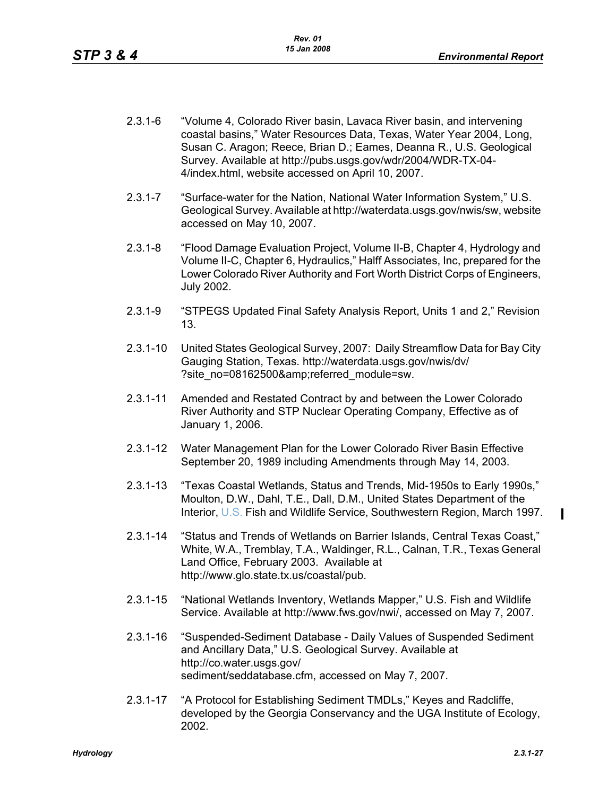- 2.3.1-6 "Volume 4, Colorado River basin, Lavaca River basin, and intervening coastal basins," Water Resources Data, Texas, Water Year 2004, Long, Susan C. Aragon; Reece, Brian D.; Eames, Deanna R., U.S. Geological Survey. Available at http://pubs.usgs.gov/wdr/2004/WDR-TX-04- 4/index.html, website accessed on April 10, 2007.
- 2.3.1-7 "Surface-water for the Nation, National Water Information System," U.S. Geological Survey. Available at http://waterdata.usgs.gov/nwis/sw, website accessed on May 10, 2007.
- 2.3.1-8 "Flood Damage Evaluation Project, Volume II-B, Chapter 4, Hydrology and Volume II-C, Chapter 6, Hydraulics," Halff Associates, Inc, prepared for the Lower Colorado River Authority and Fort Worth District Corps of Engineers, July 2002.
- 2.3.1-9 "STPEGS Updated Final Safety Analysis Report, Units 1 and 2," Revision 13.
- 2.3.1-10 United States Geological Survey, 2007: Daily Streamflow Data for Bay City Gauging Station, Texas. http://waterdata.usgs.gov/nwis/dv/ ?site\_no=08162500&referred\_module=sw.
- 2.3.1-11 Amended and Restated Contract by and between the Lower Colorado River Authority and STP Nuclear Operating Company, Effective as of January 1, 2006.
- 2.3.1-12 Water Management Plan for the Lower Colorado River Basin Effective September 20, 1989 including Amendments through May 14, 2003.
- 2.3.1-13 "Texas Coastal Wetlands, Status and Trends, Mid-1950s to Early 1990s," Moulton, D.W., Dahl, T.E., Dall, D.M., United States Department of the Interior, U.S. Fish and Wildlife Service, Southwestern Region, March 1997.
- 2.3.1-14 "Status and Trends of Wetlands on Barrier Islands, Central Texas Coast," White, W.A., Tremblay, T.A., Waldinger, R.L., Calnan, T.R., Texas General Land Office, February 2003. Available at http://www.glo.state.tx.us/coastal/pub.
- 2.3.1-15 "National Wetlands Inventory, Wetlands Mapper," U.S. Fish and Wildlife Service. Available at http://www.fws.gov/nwi/, accessed on May 7, 2007.
- 2.3.1-16 "Suspended-Sediment Database Daily Values of Suspended Sediment and Ancillary Data," U.S. Geological Survey. Available at http://co.water.usgs.gov/ sediment/seddatabase.cfm, accessed on May 7, 2007.
- 2.3.1-17 "A Protocol for Establishing Sediment TMDLs," Keyes and Radcliffe, developed by the Georgia Conservancy and the UGA Institute of Ecology, 2002.

 $\blacksquare$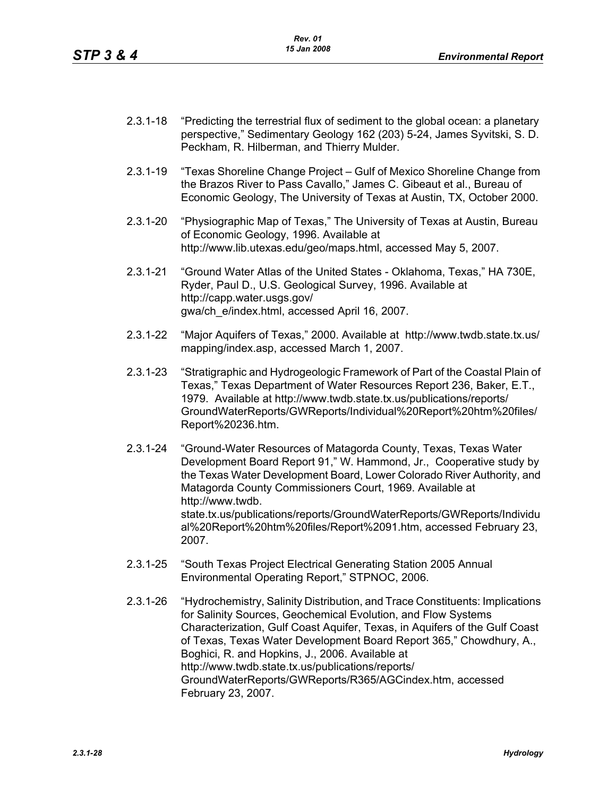- 2.3.1-18 "Predicting the terrestrial flux of sediment to the global ocean: a planetary perspective," Sedimentary Geology 162 (203) 5-24, James Syvitski, S. D. Peckham, R. Hilberman, and Thierry Mulder.
- 2.3.1-19 "Texas Shoreline Change Project Gulf of Mexico Shoreline Change from the Brazos River to Pass Cavallo," James C. Gibeaut et al., Bureau of Economic Geology, The University of Texas at Austin, TX, October 2000.
- 2.3.1-20 "Physiographic Map of Texas," The University of Texas at Austin, Bureau of Economic Geology, 1996. Available at http://www.lib.utexas.edu/geo/maps.html, accessed May 5, 2007.
- 2.3.1-21 "Ground Water Atlas of the United States Oklahoma, Texas," HA 730E, Ryder, Paul D., U.S. Geological Survey, 1996. Available at http://capp.water.usgs.gov/ gwa/ch\_e/index.html, accessed April 16, 2007.
- 2.3.1-22 "Major Aquifers of Texas," 2000. Available at http://www.twdb.state.tx.us/ mapping/index.asp, accessed March 1, 2007.
- 2.3.1-23 "Stratigraphic and Hydrogeologic Framework of Part of the Coastal Plain of Texas," Texas Department of Water Resources Report 236, Baker, E.T., 1979. Available at http://www.twdb.state.tx.us/publications/reports/ GroundWaterReports/GWReports/Individual%20Report%20htm%20files/ Report%20236.htm.
- 2.3.1-24 "Ground-Water Resources of Matagorda County, Texas, Texas Water Development Board Report 91," W. Hammond, Jr., Cooperative study by the Texas Water Development Board, Lower Colorado River Authority, and Matagorda County Commissioners Court, 1969. Available at http://www.twdb. state.tx.us/publications/reports/GroundWaterReports/GWReports/Individu al%20Report%20htm%20files/Report%2091.htm, accessed February 23, 2007.
- 2.3.1-25 "South Texas Project Electrical Generating Station 2005 Annual Environmental Operating Report," STPNOC, 2006.
- 2.3.1-26 "Hydrochemistry, Salinity Distribution, and Trace Constituents: Implications for Salinity Sources, Geochemical Evolution, and Flow Systems Characterization, Gulf Coast Aquifer, Texas, in Aquifers of the Gulf Coast of Texas, Texas Water Development Board Report 365," Chowdhury, A., Boghici, R. and Hopkins, J., 2006. Available at http://www.twdb.state.tx.us/publications/reports/ GroundWaterReports/GWReports/R365/AGCindex.htm, accessed February 23, 2007.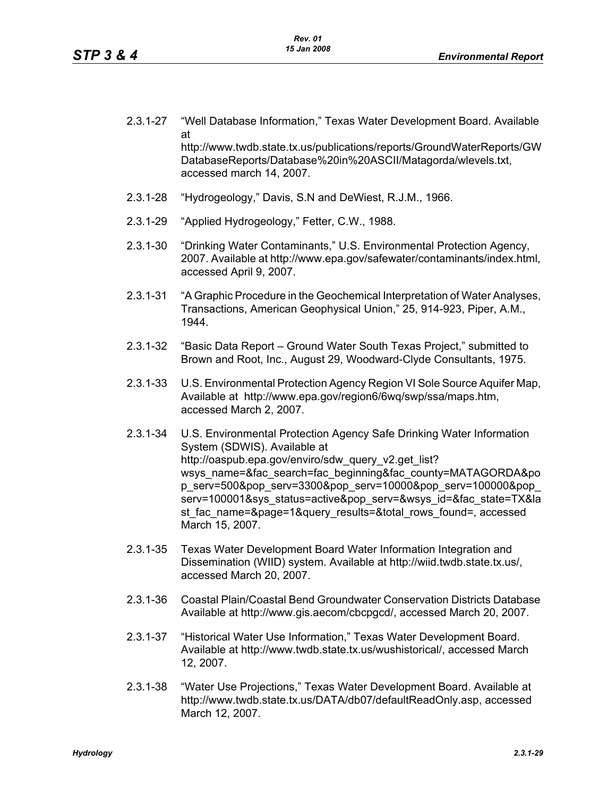- 2.3.1-27 "Well Database Information," Texas Water Development Board. Available at http://www.twdb.state.tx.us/publications/reports/GroundWaterReports/GW DatabaseReports/Database%20in%20ASCII/Matagorda/wlevels.txt, accessed march 14, 2007.
- 2.3.1-28 "Hydrogeology," Davis, S.N and DeWiest, R.J.M., 1966.
- 2.3.1-29 "Applied Hydrogeology," Fetter, C.W., 1988.
- 2.3.1-30 "Drinking Water Contaminants," U.S. Environmental Protection Agency, 2007. Available at http://www.epa.gov/safewater/contaminants/index.html, accessed April 9, 2007.
- 2.3.1-31 "A Graphic Procedure in the Geochemical Interpretation of Water Analyses, Transactions, American Geophysical Union," 25, 914-923, Piper, A.M., 1944.
- 2.3.1-32 "Basic Data Report Ground Water South Texas Project," submitted to Brown and Root, Inc., August 29, Woodward-Clyde Consultants, 1975.
- 2.3.1-33 U.S. Environmental Protection Agency Region VI Sole Source Aquifer Map, Available at http://www.epa.gov/region6/6wq/swp/ssa/maps.htm, accessed March 2, 2007.
- 2.3.1-34 U.S. Environmental Protection Agency Safe Drinking Water Information System (SDWIS). Available at http://oaspub.epa.gov/enviro/sdw\_query\_v2.get\_list? wsys\_name=&fac\_search=fac\_beginning&fac\_county=MATAGORDA&po p\_serv=500&pop\_serv=3300&pop\_serv=10000&pop\_serv=100000&pop\_ serv=100001&sys\_status=active&pop\_serv=&wsys\_id=&fac\_state=TX&la st fac\_name=&page=1&query\_results=&total\_rows\_found=, accessed March 15, 2007.
- 2.3.1-35 Texas Water Development Board Water Information Integration and Dissemination (WIID) system. Available at http://wiid.twdb.state.tx.us/, accessed March 20, 2007.
- 2.3.1-36 Coastal Plain/Coastal Bend Groundwater Conservation Districts Database Available at http://www.gis.aecom/cbcpgcd/, accessed March 20, 2007.
- 2.3.1-37 "Historical Water Use Information," Texas Water Development Board. Available at http://www.twdb.state.tx.us/wushistorical/, accessed March 12, 2007.
- 2.3.1-38 "Water Use Projections," Texas Water Development Board. Available at http://www.twdb.state.tx.us/DATA/db07/defaultReadOnly.asp, accessed March 12, 2007.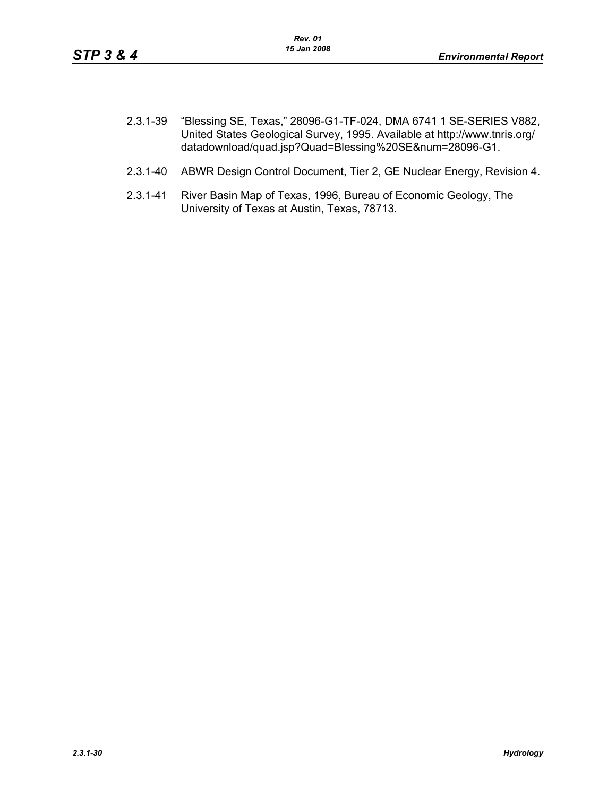- 2.3.1-39 "Blessing SE, Texas," 28096-G1-TF-024, DMA 6741 1 SE-SERIES V882, United States Geological Survey, 1995. Available at http://www.tnris.org/ datadownload/quad.jsp?Quad=Blessing%20SE&num=28096-G1.
- 2.3.1-40 ABWR Design Control Document, Tier 2, GE Nuclear Energy, Revision 4.
- 2.3.1-41 River Basin Map of Texas, 1996, Bureau of Economic Geology, The University of Texas at Austin, Texas, 78713.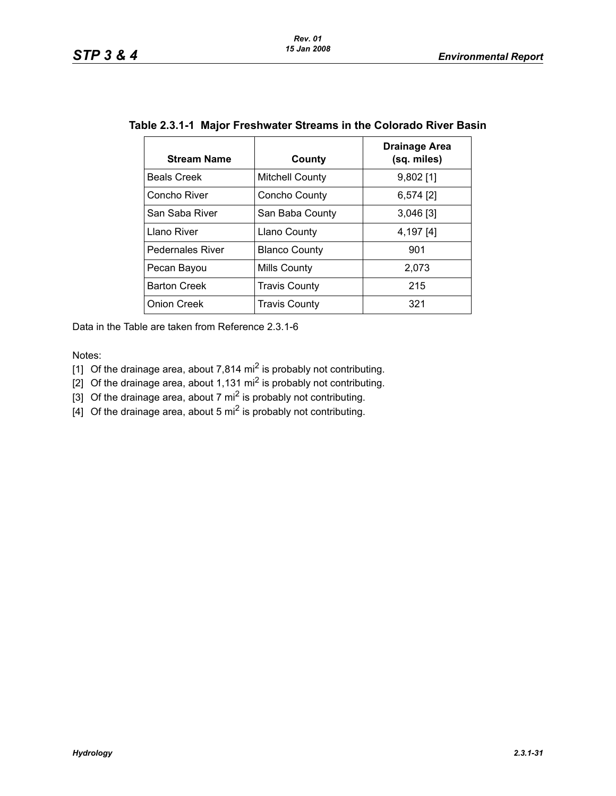| <b>Stream Name</b>      | County                 | <b>Drainage Area</b><br>(sq. miles) |
|-------------------------|------------------------|-------------------------------------|
| <b>Beals Creek</b>      | <b>Mitchell County</b> | $9,802$ [1]                         |
| Concho River            | Concho County          | 6,574 [2]                           |
| San Saba River          | San Baba County        | $3,046$ [3]                         |
| Llano River             | Llano County           | 4,197 [4]                           |
| <b>Pedernales River</b> | <b>Blanco County</b>   | 901                                 |
| Pecan Bayou             | Mills County           | 2,073                               |
| <b>Barton Creek</b>     | <b>Travis County</b>   | 215                                 |
| <b>Onion Creek</b>      | <b>Travis County</b>   | 321                                 |

|  | Table 2.3.1-1 Major Freshwater Streams in the Colorado River Basin |  |  |  |
|--|--------------------------------------------------------------------|--|--|--|
|--|--------------------------------------------------------------------|--|--|--|

Data in the Table are taken from Reference 2.3.1-6

Notes:

[1] Of the drainage area, about 7,814 mi<sup>2</sup> is probably not contributing.

[2] Of the drainage area, about 1,131 mi<sup>2</sup> is probably not contributing.

[3] Of the drainage area, about 7 mi<sup>2</sup> is probably not contributing.

 $\left[4\right]$  Of the drainage area, about 5 mi<sup>2</sup> is probably not contributing.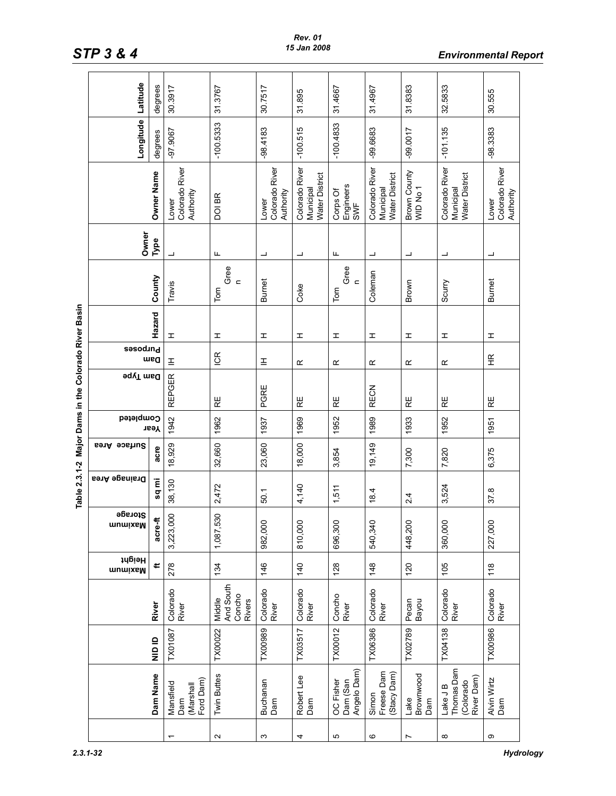|                                        | Latitude                    | degrees    | 30.3917                                    | 31.3767                                        | 30.7517                              | 31.895                                        | 31.4667                              | 31.4967                                       | 31.8383                             | 32.5833                                          | 30.555                               |
|----------------------------------------|-----------------------------|------------|--------------------------------------------|------------------------------------------------|--------------------------------------|-----------------------------------------------|--------------------------------------|-----------------------------------------------|-------------------------------------|--------------------------------------------------|--------------------------------------|
|                                        | Longitude                   | degrees    | $-97.9067$                                 | $-100.5333$                                    | $-98.4183$                           | $-100.515$                                    | $-100.4833$                          | -99.6683                                      | $-99.0017$                          | $-101.135$                                       | $-98.3383$                           |
|                                        |                             | Owner Name | Colorado River<br>Authority<br>Lower       | DOI BR                                         | Colorado River<br>Authority<br>Lower | Colorado River<br>Water District<br>Municipal | Engineers<br>Corps Of<br>SWF         | Colorado River<br>Water District<br>Municipal | Brown County<br>WID No 1            | Colorado River<br>Water District<br>Municipal    | Colorado River<br>Authority<br>Lower |
|                                        | Owner                       | Туре       |                                            | Щ                                              | ᆜ                                    | ┙                                             | Щ                                    | ᆜ                                             | ┙                                   | ᆜ                                                | ┙                                    |
|                                        |                             | County     | Travis                                     | Gree<br>$\epsilon$<br>Tom                      | <b>Burnet</b>                        | Coke                                          | Gree<br>$\mathbf{C}$<br>Tom          | Coleman                                       | Brown                               | Scurry                                           | <b>Burnet</b>                        |
|                                        |                             | Hazard     | I                                          | I                                              | I                                    | ᆂ                                             | I                                    | I                                             | I                                   | I                                                | I                                    |
|                                        | <b>Sesodind</b>             | med        | E                                          | ICR                                            | Ξ                                    | œ                                             | œ                                    | œ                                             | œ                                   | œ                                                | 臣                                    |
| Major Dams in the Colorado River Basin | <b>Pam Type</b>             |            | <b>REPGER</b>                              | RE                                             | PGRE                                 | RE                                            | RE                                   | <b>RECN</b>                                   | RE                                  | RE                                               | RE                                   |
|                                        | Completed                   | Year       | 1942                                       | 1962                                           | 1937                                 | 1969                                          | 1952                                 | 1989                                          | 1933                                | 1952                                             | 1951                                 |
|                                        | Surface Area                | acre       | 18,929                                     | 32,660                                         | 23,060                               | 18,000                                        | 3,854                                | 19,149                                        | 7,300                               | 7,820                                            | 6,375                                |
| Table 2.3.1-2                          | <b>Drainage Area</b>        | sq mi      | 38,130                                     | 2,472                                          | 50.1                                 | 4,140                                         | 1,511                                | 18.4                                          | 2.4                                 | 3,524                                            | 37.8                                 |
|                                        | Storage<br><b>WUTHTABIN</b> | acre-ft    | 000<br>3,223,                              | 530<br>1,087,5                                 | 982,000                              | 810,000                                       | 696,300                              | Ó<br>540,34                                   | 448,200                             | 360,000                                          | 227,000                              |
|                                        | ідвіян<br>mumixsM           | ¢          | 278                                        | 134                                            | 146                                  | $\frac{40}{5}$                                | 128                                  | 148                                           | 120                                 | 105                                              | 118                                  |
|                                        |                             | River      | Colorado<br>River                          | And South<br>Concho<br>Middle<br><b>Rivers</b> | Colorado<br>River                    | Colorado<br>River                             | Concho<br>River                      | Colorado<br>River                             | Pecan<br>Bayou                      | Colorado<br>River                                | Colorado<br>River                    |
|                                        |                             | alo ID     | TX01087                                    | TX00022                                        | <b>TX00989</b>                       | TX03517                                       | TX00012                              | TX06386                                       | TX02789                             | TX04138                                          | <b>TX00986</b>                       |
|                                        |                             | Dam Name   | Ford Dam)<br>Mansfield<br>Dam<br>(Marshall | <b>Twin Buttes</b>                             | Buchanan<br>Dam                      | Robert Lee<br>Dam                             | Angelo Dam)<br>OC Fisher<br>Dam (San | Freese Dam<br>(Stacy Dam)<br>Simon            | Brownwood<br>Lake<br>$\mathsf{Dam}$ | Thomas Dam<br>River Dam)<br>(Colorado<br>Lake JB | Alvin Wirtz<br>Dam                   |
|                                        |                             |            |                                            | $\boldsymbol{\sim}$                            | S                                    | 4                                             | Б                                    | $\circ$                                       | $\overline{ }$                      | $\infty$                                         | ω                                    |

*STP 3 & 4 Environmental Report*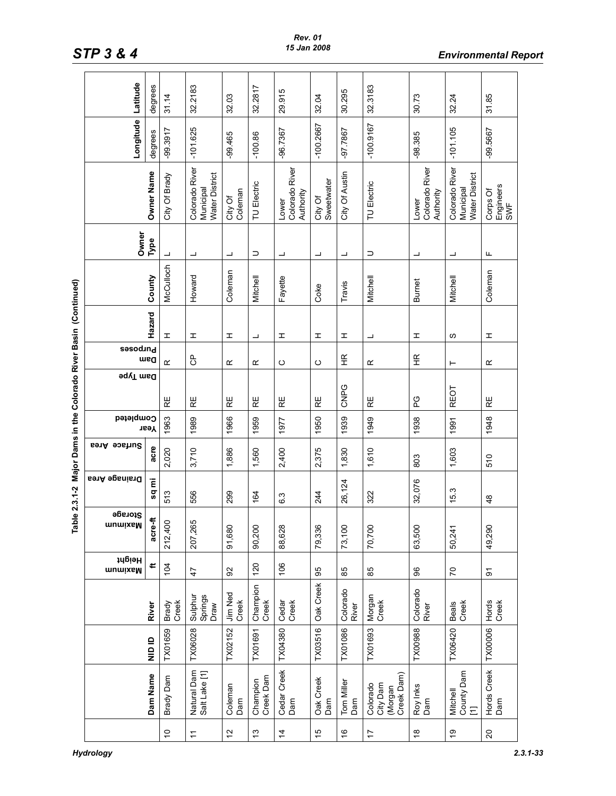|                                                                | Latitude             | degrees    | 31.14          | 32.2183                                       | 32.03                   | 32.2817               | 29.915                               | 32.04                 | 30.295                         | 32.3183                                       | 30.73                                | 32.24                                         | 31.85                        |
|----------------------------------------------------------------|----------------------|------------|----------------|-----------------------------------------------|-------------------------|-----------------------|--------------------------------------|-----------------------|--------------------------------|-----------------------------------------------|--------------------------------------|-----------------------------------------------|------------------------------|
|                                                                | Longitude            | degrees    | -99.3917       | $-101.625$                                    | 99.465                  | $-100.86$             | -96.7367                             | $-100.2667$           | -97.7867                       | $-100.9167$                                   | -98.385                              | $-101.105$                                    | -99.5667                     |
|                                                                |                      | Owner Name | City Of Brady  | Colorado River<br>Water District<br>Municipal | Coleman<br>City Of      | <b>TU Electric</b>    | Colorado River<br>Authority<br>Lower | City Of<br>Sweetwater | City Of Austin                 | TU Electric                                   | Colorado River<br>Authority<br>Lower | Colorado River<br>Water District<br>Municipal | Engineers<br>SWF<br>Corps Of |
|                                                                | Owner                | Туре       | ┙              | ┙                                             | ┙                       | ⊃                     | ┙                                    | ┙                     | ┙                              | $\supset$                                     | ┙                                    | ┙                                             | Щ                            |
|                                                                |                      | County     | McCulloch      | Howard                                        | Coleman                 | Mitchell              | Fayette                              | Coke                  | Travis                         | Mitchell                                      | <b>Burnet</b>                        | Mitchell                                      | Coleman                      |
|                                                                |                      | Hazard     | I              | I                                             | I                       | ┙                     | I                                    | I                     | I                              | ┙                                             | I                                    | လ                                             | I                            |
|                                                                | <b>Purposes</b>      | ueg        | œ              | පි                                            | $\propto$               | $\propto$             | ပ                                    | ပ                     | $\widetilde{H}$                | Œ                                             | 壬                                    | ⊢                                             | $\propto$                    |
| ble 2.3.1-2 Major Dams in the Colorado River Basin (Continued) | <b>9qyT</b> msd      |            | RΕ             | RE                                            | RE                      | RE                    | RE                                   | $\mathbb{R}$          | CNPG                           | RE                                            | PG                                   | <b>REOT</b>                                   | RE                           |
|                                                                | Completed            | Year       | 1963           | 1989                                          | 1966                    | 1959                  | 1977                                 | 1950                  | 1939                           | 1949                                          | 1938                                 | 1991                                          | 1948                         |
|                                                                | Surface Area         | acre       | 2,020          | 3,710                                         | 1,886                   | 1,560                 | 2,400                                | 2,375                 | 1,830                          | 1,610                                         | 803                                  | 1,603                                         | 510                          |
|                                                                | <b>Drainage Area</b> | Ē<br>sq    | 513            | 556                                           | 299                     | 164                   | 6.3                                  | 244                   | 26,124                         | 322                                           | 32,076                               | 15.3                                          | $\frac{8}{3}$                |
| ē                                                              | Storage<br>mumixeM   | acre-ft    | 212,400        | 207,265                                       | 91,680                  | 90,200                | 88,628                               | 79,336                | 73,100                         | 70,700                                        | 63,500                               | 50,241                                        | 49,290                       |
|                                                                | Height<br>munixeM    | ⊭          | 104            | $\ddot{4}$                                    | 8                       | 120                   | 106                                  | 95                    | 85                             | 89                                            | 86                                   | 5                                             | ଚ                            |
|                                                                |                      | River      | Creek<br>Brady | Springs<br>Sulphur<br>Draw                    | <b>Jim Ned</b><br>Creek | Champion<br>Creek     | Creek<br>Cedar                       | Oak Creek             | Colorado<br>River              | Morgan<br>Creek                               | Colorado<br>River                    | Beals<br>Creek                                | Hords<br>Creek               |
|                                                                |                      | alo ID     | TX01659        | <b>TX06028</b>                                | TX02152                 | TX01691               | TX04380                              | TX03516               | TX01086                        | TX01693                                       | TX00988                              | TX06420                                       | <b>TX00006</b>               |
|                                                                |                      | Dam Name   | Brady Dam      | Natural Dam<br>Salt Lake [1]                  | Coleman<br>Dam          | Creek Dam<br>Champion | Cedar Creek<br>Dam                   | Oak Creek<br>Dam      | Tom Miller<br>Dam              | Creek Dam)<br>Colorado<br>City Dam<br>(Morgan | Roy Inks<br>Dam                      | County Dam<br>Mitchell<br>Ξ                   | Hords Creek<br>Dam           |
|                                                                |                      |            | $\overline{C}$ | $\tilde{t}$                                   | $\tilde{c}$             | 13                    | $\overline{4}$                       | $\frac{1}{2}$         | $\overset{\circ}{\rightarrow}$ | 17                                            | $\overset{\infty}{\leftarrow}$       | Ő,                                            | $\overline{c}$               |

*STP 3 & 4 Environmental Report*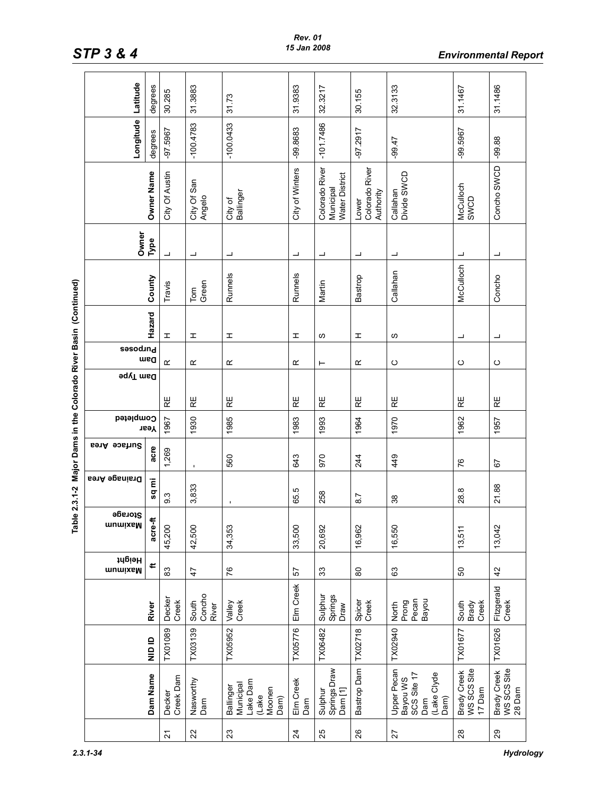|                                                    | Latitude             | degrees    | 30.285              | 31.3883                  | 31.73                                                         | 31.9383          | 32.3217                                       | 30.155                               | 32.3133                                                              | 31.1467                                     | 31.1486                                     |
|----------------------------------------------------|----------------------|------------|---------------------|--------------------------|---------------------------------------------------------------|------------------|-----------------------------------------------|--------------------------------------|----------------------------------------------------------------------|---------------------------------------------|---------------------------------------------|
|                                                    | Longitude            | degrees    | -97.5967            | $-100.4783$              | $-100.0433$                                                   | -99.8683         | $-101.7486$                                   | -97.2917                             | $-99.47$                                                             | -99.5967                                    | $-99.88$                                    |
|                                                    |                      | Owner Name | City Of Austin      | City Of San<br>Angelo    | Ballinger<br>City of                                          | City of Winters  | Colorado River<br>Water District<br>Municipal | Colorado River<br>Authority<br>Lower | Callahan<br>Divide SWCD                                              | McCulloch<br>SWCD                           | Concho SWCD                                 |
|                                                    | Owner                | Туре       | ┙                   | ┙                        | ┙                                                             | ᆜ                | ┙                                             | ┙                                    | ┙                                                                    |                                             | ┙                                           |
|                                                    |                      | County     | Travis              | Green<br>$\mathsf{Tom}$  | Runnels                                                       | Runnels          | Martin                                        | Bastrop                              | Callahan                                                             | McCulloch                                   | Concho                                      |
| Major Dams in the Colorado River Basin (Continued) |                      | Hazard     | I                   | I                        | I                                                             | I                | w                                             | I                                    | w                                                                    | ᆜ                                           | ┙                                           |
|                                                    | <b>Sesodind</b>      | msa        | $\propto$           | œ                        | œ                                                             | ĸ                | ⊢                                             | œ                                    | $\circ$                                                              | ပ                                           | ပ                                           |
|                                                    | <b>9qyT</b> msd      |            |                     |                          |                                                               |                  |                                               |                                      |                                                                      |                                             |                                             |
|                                                    |                      |            | RΕ                  | RΕ                       | RE                                                            | $R_{\rm E}$      | 足                                             | $\mathbb{R}$                         | RΕ                                                                   | RE                                          | RE                                          |
|                                                    | Completed            | Year       | 1967                | 1930                     | 1985                                                          | 1983             | 1993                                          | 1964                                 | 1970                                                                 | 1962                                        | 1957                                        |
|                                                    | Surface Area         | acre       | 1,269               | $\blacksquare$           | 560                                                           | 643              | 970                                           | 244                                  | 449                                                                  | 97                                          | 5                                           |
| ble 2.3.1-2                                        | <b>Brainage Area</b> | Έ<br>SQ    | 93                  | 3,833                    |                                                               | 65.5             | 258                                           | 87                                   | 38                                                                   | 28.8                                        | 21.88                                       |
| 은                                                  | Storage<br>mumixsM   | acre-ft    | 45,200              | 42,500                   | 34,353                                                        | 33,500           | 20,692                                        | 16,962                               | 16,550                                                               | 13,511                                      | 13,042                                      |
|                                                    | Height<br>mumixeM    | ∉          | 83                  | $\overline{4}$           | 76                                                            | 57               | 33                                            | 8                                    | යි                                                                   | 69                                          | 42                                          |
|                                                    |                      | River      | Decker<br>Creek     | South<br>Concho<br>River | Creek<br>Valley                                               | Elm Creek        | Sulphur<br>Springs<br>Draw                    | Spicer<br>Creek                      | Pecan<br>Prong<br>Bayou<br>North                                     | Creek<br>South<br>Brady                     | Fitzgerald<br>Creek                         |
|                                                    |                      | alo ID     | TX01089             | TX03139                  | TX05952                                                       | TX05776          | TX06482                                       | TX02718                              | TX02940                                                              | TX01677                                     | TX01626                                     |
|                                                    |                      | Dam Name   | Creek Dam<br>Decker | Nasworthy<br>Dan         | Lake Dam<br>Municipal<br>Ballinger<br>Moonen<br>(Lake<br>Dam) | Elm Creek<br>Dam | Springs Draw<br>Dam[1]<br>Sulphur             | Bastrop Dam                          | Upper Pecan<br>SCS Site 17<br>(Lake Clyde<br>Bayou WS<br>Dam)<br>Dam | WS SCS Site<br><b>Brady Creek</b><br>17 Dam | WS SCS Site<br><b>Brady Creek</b><br>28 Dam |
|                                                    |                      |            | $\overline{2}$      | 22                       | 23                                                            | $\overline{24}$  | 25                                            | 26                                   | 27                                                                   | $^{28}$                                     | $29\,$                                      |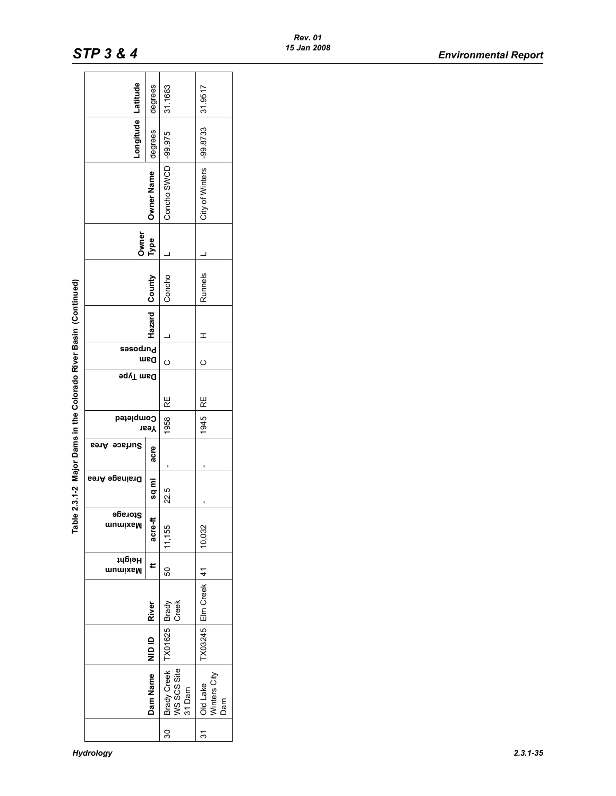|                                                                |                      | degrees      | 31.1683                                     | 31.9517                         |
|----------------------------------------------------------------|----------------------|--------------|---------------------------------------------|---------------------------------|
|                                                                | Longitude Latitude   | degrees      |                                             |                                 |
|                                                                |                      | Owner Name   | Concho SWCD -99.975                         | City of Winters  -99.8733       |
|                                                                | Owner                | <b>Type</b>  |                                             |                                 |
|                                                                |                      | County       | Concho                                      | Runnels                         |
|                                                                |                      | Hazard       |                                             | I                               |
|                                                                | <b>Purposes</b>      | maa          | ပ                                           | ပ                               |
| ble 2.3.1-2 Major Dams in the Colorado River Basin (Continued) | <b>Pam</b> Type      |              | RE                                          | RE                              |
|                                                                | Completed            | твәҮ         | 1958                                        | 1945                            |
|                                                                | Area<br>Surface      | acre         |                                             |                                 |
|                                                                | <b>Drainage Area</b> | sq mi        | 22.5                                        |                                 |
| ᄒ                                                              | Storage<br>mumixaM   | ť<br>acre-   | 11,155                                      | 10,032                          |
|                                                                | ідеідр<br>mumixsM    | ⊄            | 8                                           |                                 |
|                                                                |                      | <b>River</b> | Creek                                       | TX03245 Elm Creek 41            |
|                                                                |                      | alo<br>M     | TX01625 Brady                               |                                 |
|                                                                |                      | Dam Name     | <b>Brady Creek</b><br>WS SCS Site<br>31 Dam | Winters City<br>Old Lake<br>Dam |
|                                                                |                      |              | వ్ల                                         | <u>ನ</u>                        |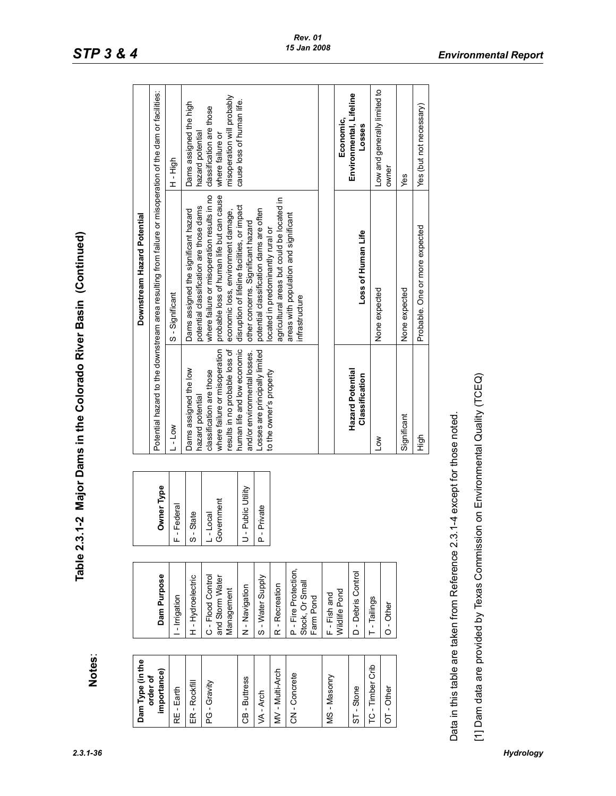| י<br>ה<br>Dua<br>Du<br>D<br>.<br>הימות היית |
|---------------------------------------------|
| =<br> <br> <br>Ĵ                            |
| rable 2.3.1-2 Majo                          |

| Dam Type (in the        |                                                      |                        |                                                                                             | Downstream Hazard Potential                                                                                                    |                                                                            |
|-------------------------|------------------------------------------------------|------------------------|---------------------------------------------------------------------------------------------|--------------------------------------------------------------------------------------------------------------------------------|----------------------------------------------------------------------------|
| importance)<br>order of | Dam Purpose                                          | Owner Type             |                                                                                             | Potential hazard to the downstream area resulting from failure or misoperation of the dam or facilities:                       |                                                                            |
| RE - Earth              | - Irrigation                                         | -Federal<br>╙          | L-Low                                                                                       | S-Significant                                                                                                                  | High                                                                       |
| ER-Rockfill             | H-Hydroelectric                                      | S - State              | Dams assigned the low<br>hazard potential                                                   | potential classification are those dams<br>Dams assigned the significant hazard                                                | Dams assigned the high<br>hazard potential                                 |
| PG - Gravity            | C - Flood Control<br>and Storm Water<br>Management   | Government<br>$-Local$ | where failure or misoperation<br>results in no probable loss of<br>classification are those | probable loss of human life but can cause<br>where failure or misoperation results in no<br>economic loss, environment damage, | misoperation will probably<br>classification are those<br>where failure or |
| CB - Buttress           | N - Navigation                                       | J - Public Utility     | human life and low economic<br>and/or environmental losses.                                 | disruption of lifeline facilities, or impact<br>other concerns. Significant hazard                                             | cause loss of human life.                                                  |
| VA - Arch               | S - Water Supply                                     | P - Private            | Losses are principally limited                                                              | potential classification dams are often                                                                                        |                                                                            |
| MV-Multi-Arch           | R - Recreation                                       |                        | to the owner's property                                                                     | agricultural areas but could be located in<br>ocated in predominantly rural or                                                 |                                                                            |
| CN-Concrete             | P - Fire Protection,<br>Stock, Or Small<br>Farm Pond |                        |                                                                                             | areas with population and significant<br>infrastructure                                                                        |                                                                            |
| MS-Masonry              | F-Fish and                                           |                        |                                                                                             |                                                                                                                                |                                                                            |
|                         | Wildlife Pond                                        |                        |                                                                                             |                                                                                                                                | Economic,                                                                  |
| ST-Stone                | D - Debris Control                                   |                        | <b>Hazard Potential</b><br>Classification                                                   | Loss of Human Life                                                                                                             | Environmental, Lifeline<br>Losses                                          |
| TC - Timber Crib        | T - Tailings                                         |                        | <b>NOT</b>                                                                                  | None expected                                                                                                                  | Low and generally limited to                                               |
| $OT-Other$              | $O - Other$                                          |                        |                                                                                             |                                                                                                                                | owner                                                                      |
|                         |                                                      |                        | Significant                                                                                 | None expected                                                                                                                  | Yes                                                                        |
|                         |                                                      |                        | High                                                                                        | Probable. One or more expected                                                                                                 | Yes (but not necessary)                                                    |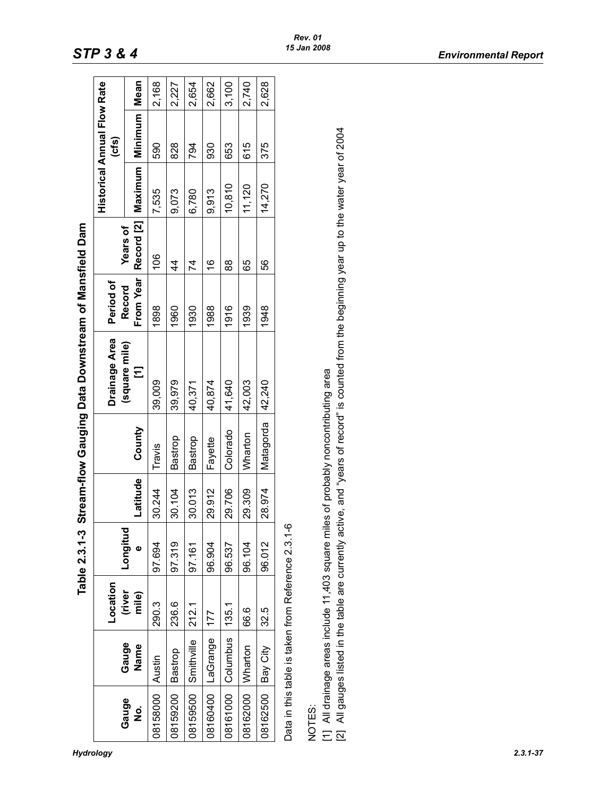|            |                                                    | Location        |               |          |                                                                                     | <b>Drainage Area</b>                                                                                                                           | Period of           |                               |         | <b>Historical Annual Flow Rate</b><br>(cts) |       |
|------------|----------------------------------------------------|-----------------|---------------|----------|-------------------------------------------------------------------------------------|------------------------------------------------------------------------------------------------------------------------------------------------|---------------------|-------------------------------|---------|---------------------------------------------|-------|
| Gauge<br>ġ | Gauge<br>Name                                      | (river<br>mile) | Longitud<br>Φ | Latitude | County                                                                              | (square mile)<br>Ξ                                                                                                                             | From Year<br>Record | Record [2]<br><b>Years of</b> | Maximum | Minimum                                     | Mean  |
| 08158000   | Austin                                             | 290.3           | 97.694        | 30.244   | Travis                                                                              | 39,009                                                                                                                                         | 1898                | 106                           | 7,535   | 590                                         | 2,168 |
| 08159200   | Bastrop                                            | 236.6           | 97.319        | 30.104   | Bastrop                                                                             | 39,979                                                                                                                                         | 1960                | 4                             | 9,073   | 828                                         | 2,227 |
| 08159500   | Smithville                                         | 212.1           | 97.161        | 30.013   | Bastrop                                                                             | 40,371                                                                                                                                         | 1930                | 74                            | 6,780   | 794                                         | 2,654 |
| 08160400   | LaGrange                                           | 177             | 96.904        | 29.912   | Fayette                                                                             | 40,874                                                                                                                                         | 1988                | $\frac{6}{1}$                 | 9,913   | 930                                         | 2,662 |
|            | 08161000 Columbus                                  | 135.1           | 96.537        | 29.706   | Colorado                                                                            | 41,640                                                                                                                                         | 1916                | 88                            | 10,810  | 653                                         | 3,100 |
| 08162000   | Wharton                                            | 66.6            | 96.104        | 29.309   | Wharton                                                                             | 42,003                                                                                                                                         | 1939                | 65                            | 11,120  | 615                                         | 2,740 |
| 08162500   | <b>Bay City</b>                                    | 32.5            | 96.012        | 28.974   | Matagorda                                                                           | 42,240                                                                                                                                         | 1948                | 99                            | 14,270  | 375                                         | 2,628 |
|            | Data in this table is taken from Reference 2.3.1-6 |                 |               |          |                                                                                     |                                                                                                                                                |                     |                               |         |                                             |       |
| NOTES:     |                                                    |                 |               |          |                                                                                     |                                                                                                                                                |                     |                               |         |                                             |       |
|            |                                                    |                 |               |          | [1] All drainage areas include 11,403 square miles of probably noncontributing area | [2] All gauges listed in the table are currently active, and "years of record" is counted from the beginning year up to the water year of 2004 |                     |                               |         |                                             |       |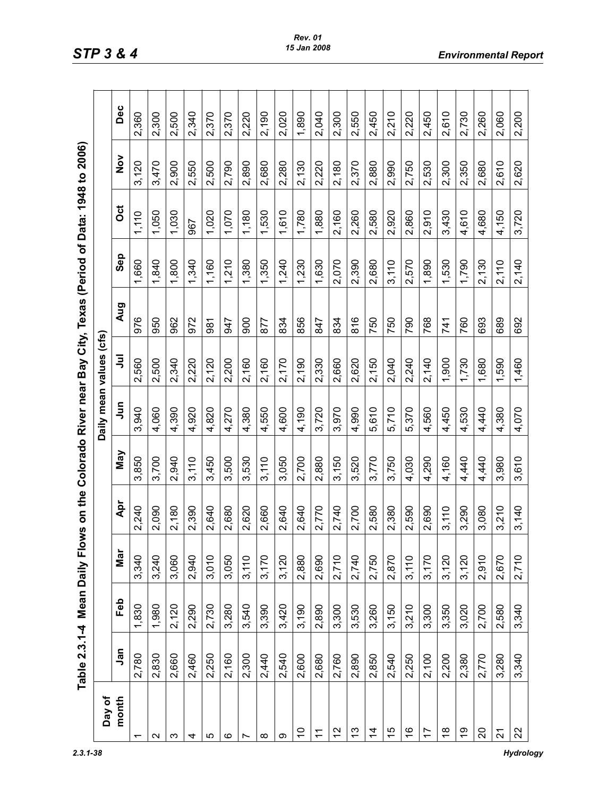| $\frac{1}{2}$<br>$\sim$ 40 to |
|-------------------------------|
|                               |
|                               |
|                               |
|                               |
|                               |
| $-2 - 13 - 13$                |
|                               |
|                               |
|                               |
| -<br>(                        |
|                               |
|                               |
|                               |
|                               |
| י<br>∽                        |
| ear Bay                       |
|                               |
|                               |
|                               |
| Í                             |
|                               |
| is is is                      |
|                               |
|                               |
|                               |
|                               |
| $\sim$ $\sim$ $\sim$ $\sim$   |
|                               |
|                               |
| ہ<br>،                        |
|                               |
|                               |
| j                             |
|                               |
|                               |
|                               |
| =<br>MD<br>MD                 |
| l                             |
|                               |
|                               |
| ı                             |
|                               |
|                               |
|                               |

|                          | Table 2.3.1-4 Mean Daily Flo |            |       |       |       |                        |       |            | ws on the Colorado River near Bay City, Texas (Period of Data: 1948 to 2006) |       |               |       |
|--------------------------|------------------------------|------------|-------|-------|-------|------------------------|-------|------------|------------------------------------------------------------------------------|-------|---------------|-------|
| Day of                   |                              |            |       |       |       | Daily mean values (cfs |       |            |                                                                              |       |               |       |
| month                    | Jan                          | <b>Feb</b> | Mar   | Apr   | Vay   | Jun                    | ミ     | <b>Aug</b> | Sep                                                                          | ö     | $\frac{5}{2}$ | Dec   |
| $\overline{\phantom{0}}$ | 2,780                        | 1,830      | 3,340 | 2,240 | 3,850 | 3,940                  | 2,560 | 976        | 1,660                                                                        | 1,110 | 3,120         | 2,360 |
| N                        | 2,830                        | 1,980      | 3,240 | 2,090 | 3,700 | 4,060                  | 2,500 | 950        | 1,840                                                                        | 1,050 | 3,470         | 2,300 |
| က                        | 2,660                        | 2,120      | 3,060 | 2,180 | 2,940 | 4,390                  | 2,340 | 962        | 1,800                                                                        | 1,030 | 2,900         | 2,500 |
| 4                        | 2,460                        | 2,290      | 2,940 | 2,390 | 3,110 | 4,920                  | 2,220 | 972        | 1,340                                                                        | 967   | 2,550         | 2,340 |
| ပ                        | 2,250                        | 2,730      | 3,010 | 2,640 | 3,450 | 4,820                  | 2,120 | 981        | 1,160                                                                        | 1,020 | 2,500         | 2,370 |
| ဖ                        | 2,160                        | 3,280      | 3,050 | 2,680 | 3,500 | 4,270                  | 2,200 | 947        | 1,210                                                                        | 1,070 | 2,790         | 2,370 |
| Ľ                        | 2,300                        | 3,540      | 3,110 | 2,620 | 3,530 | 4,380                  | 2,160 | 900        | 1,380                                                                        | 1,180 | 2,890         | 2,220 |
| ∞                        | 2,440                        | 3,390      | 3,170 | 2,660 | 3,110 | 4,550                  | 2,160 | 877        | 1,350                                                                        | 1,530 | 2,680         | 2,190 |
| ω                        | 2,540                        | 3,420      | 3,120 | 2,640 | 3,050 | 4,600                  | 2,170 | 834        | 1,240                                                                        | 1,610 | 2,280         | 2,020 |
| $\tilde{c}$              | 2,600                        | 3,190      | 2,880 | 2,640 | 2,700 | 4,190                  | 2,190 | 856        | 1,230                                                                        | 1,780 | 2,130         | 1,890 |
| $\tilde{+}$              | 2,680                        | 2,890      | 2,690 | 2,770 | 2,880 | 3,720                  | 2,330 | 847        | 1,630                                                                        | 1,880 | 2,220         | 2,040 |
| 12                       | 2,760                        | 3,300      | 2,710 | 2,740 | 3,150 | 3,970                  | 2,660 | 834        | 2,070                                                                        | 2,160 | 2,180         | 2,300 |
| <u>ლ</u>                 | 2,890                        | 3,530      | 2,740 | 2,700 | 3,520 | 4,990                  | 2,620 | 816        | 2,390                                                                        | 2,260 | 2,370         | 2,550 |
| $\overline{4}$           | 2,850                        | 3,260      | 2,750 | 2,580 | 3,770 | 5,610                  | 2,150 | 750        | 2,680                                                                        | 2,580 | 2,880         | 2,450 |
| $\frac{5}{1}$            | 2,540                        | 3,150      | 2,870 | 2,380 | 3,750 | 5,710                  | 2,040 | 750        | 3,110                                                                        | 2,920 | 2,990         | 2,210 |
| $\frac{6}{5}$            | 2,250                        | 3,210      | 3,110 | 2,590 | 4,030 | 5,370                  | 2,240 | 790        | 2,570                                                                        | 2,860 | 2,750         | 2,220 |
| $\overline{1}$           | 2,100                        | 3,300      | 3,170 | 2,690 | 4,290 | 4,560                  | 2,140 | 768        | 1,890                                                                        | 2,910 | 2,530         | 2,450 |
| $\frac{8}{1}$            | 2,200                        | 3,350      | 3,120 | 3,110 | 4,160 | 4,450                  | 1,900 | 741        | 1,530                                                                        | 3,430 | 2,300         | 2,610 |
| $\overline{9}$           | 2,380                        | 3,020      | 3,120 | 3,290 | 4,440 | 4,530                  | 1,730 | 760        | 1,790                                                                        | 4,610 | 2,350         | 2,730 |
| 20                       | 2,770                        | 2,700      | 2,910 | 3,080 | 4,440 | 4,440                  | 1,680 | 693        | 2,130                                                                        | 4,680 | 2,680         | 2,260 |
| $\overline{2}$           | 3,280                        | 2,580      | 2,670 | 3,210 | 3,980 | 4,380                  | 1,590 | 689        | 2,110                                                                        | 4,150 | 2,610         | 2,060 |
| 22                       | 3,340                        | 3,340      | 2,710 | 3,140 | 3,610 | 4,070                  | 1,460 | 692        | 2,140                                                                        | 3,720 | 2,620         | 2,200 |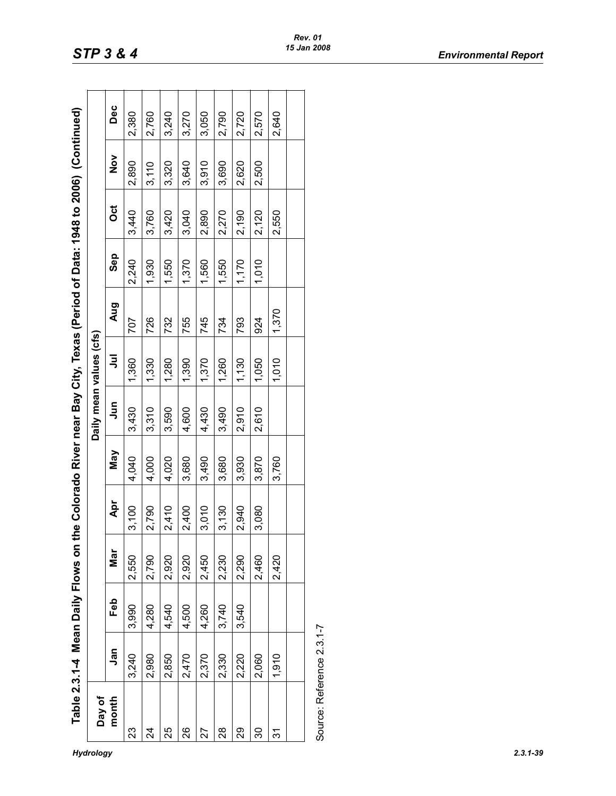| $\sim$ d of Data 1948 to 2006) (Co.<br>うりしょう<br>֚֚֚֬ |
|------------------------------------------------------|
| is Data . is                                         |
| ۔<br>،                                               |
| $\frac{1}{2}$                                        |
| יולי בסיים<br>ווה לפס ומאוו                          |
| י שמעום ב                                            |
| ミニミニミ<br>:<br>احدا                                   |
| ws on th                                             |
|                                                      |
|                                                      |
|                                                      |
|                                                      |

| Day of                    |       |       |       |       |            | Daily mean values (cfs) |       |       |            |       |               |       |
|---------------------------|-------|-------|-------|-------|------------|-------------------------|-------|-------|------------|-------|---------------|-------|
| month                     | Jan   | Feb   | Nar   | Apr   | <b>May</b> | <b>S</b>                | ミ     | Aug   | <b>Sep</b> | õ     | $\frac{8}{2}$ | Dec   |
| 23                        | 3,240 | 3,990 | 2,550 | 3,100 | 4,040      | 3,430                   | 1,360 | 707   | 2,240      | 3,440 | 2,890         | 2,380 |
| 24                        | 2,980 | 4,280 | 2,790 | 2,790 | 4,000      | 3,310                   | 1,330 | 726   | 1,930      | 3,760 | 3,110         | 2,760 |
| 25                        | 2,850 | 4,540 | 2,920 | 2,410 | 4,020      | 3,590                   | 1,280 | 732   | 1,550      | 3,420 | 3,320         | 3,240 |
| 88                        | 2,470 | 4,500 | 2,920 | 2,400 | 3,680      | 4,600                   | 1,390 | 755   | 1,370      | 3,040 | 3,640         | 3,270 |
| 27                        | 2,370 | 4,260 | 2,450 | 3,010 | 3,490      | 4,430                   | 1,370 | 745   | 1,560      | 2,890 | 3,910         | 3,050 |
| 28                        | 2,330 | 3,740 | 2,230 | 3,130 | 3,680      | 3,490                   | 1,260 | 734   | 1,550      | 2,270 | 3,690         | 2,790 |
| 29                        | 2,220 | 3,540 | 2,290 | 2,940 | 3,930      | 2,910                   | 1,130 | 793   | 1,170      | 2,190 | 2,620         | 2,720 |
| 30                        | 2,060 |       | 2,460 | 3,080 | 3,870      | 2,610                   | 1,050 | 924   | 1,010      | 2,120 | 2,500         | 2,570 |
| <u>રુ</u>                 | 1,910 |       | 2,420 |       | 3,760      |                         | 1,010 | 1,370 |            | 2,550 |               | 2,640 |
|                           |       |       |       |       |            |                         |       |       |            |       |               |       |
| Source: Reference 2.3.1-7 |       |       |       |       |            |                         |       |       |            |       |               |       |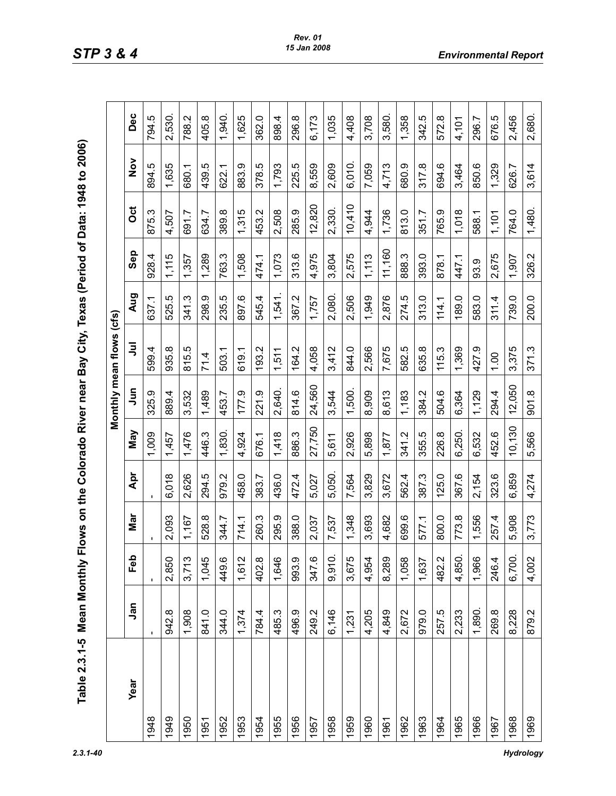| J                                   |
|-------------------------------------|
|                                     |
|                                     |
| $\overline{\phantom{a}}$            |
|                                     |
| j                                   |
| I                                   |
|                                     |
| ׇ֚֡֬<br>i                           |
|                                     |
|                                     |
| ֚֓<br>j                             |
|                                     |
| $\frac{1}{\sqrt{2}}$<br>j<br>l<br>I |
|                                     |
| ı                                   |
|                                     |
| Ó<br>Ì<br>ť<br>í                    |

|      |        |        |       |        |        |             | Monthly mean flows (cfs) |        |        |        |               |        |
|------|--------|--------|-------|--------|--------|-------------|--------------------------|--------|--------|--------|---------------|--------|
| Year | Jan    | Feb    | Nar   | Åpr    | Vay    | $\tilde{a}$ | ぅ                        | Aug    | Sep    | ö      | $\frac{5}{2}$ | Dec    |
| 1948 |        |        |       |        | 1,009  | 325.9       | 599.4                    | 637.1  | 928.4  | 875.3  | 894.5         | 794.5  |
| 1949 | 942.8  | 2,850  | 2,093 | 6,018  | 1,457  | 889.4       | 935.8                    | 525.5  | 1,115  | 4,507  | 1,635         | 2,530. |
| 1950 | 1,908  | 3,713  | 1,167 | 2,626  | 1,476  | 3,532       | ယ္<br>815.               | 341.3  | 1,357  | 691.7  | 680.1         | 788.2  |
| 1951 | 841.0  | 1,045  | 528.8 | 294.5  | 446.3  | 1,489       | 71.4                     | 298.9  | 1,289  | 634.7  | 439.5         | 405.8  |
| 1952 | 344.0  | 449.6  | 344.7 | 979.2  | 1,830. | 453.7       | 503.1                    | 235.5  | 763.3  | 389.8  | 622.1         | 1,940. |
| 1953 | 1,374  | 1,612  | 714.1 | 458.0  | 4,924  | 177.9       | 619.1                    | 897.6  | 1,508  | 1,315  | 883.9         | 1,625  |
| 1954 | 784.4  | 402.8  | 260.3 | 383.7  | 676.1  | 221.9       | Ņ<br>193.                | 545.4  | 474.1  | 453.2  | 378.5         | 362.0  |
| 1955 | 485.3  | 1,646  | 295.9 | 436.0  | 1,418  | 2,640.      | 1,511                    | 1,541. | 1,073  | 2,508  | 1,793         | 898.4  |
| 1956 | 496.9  | 993.9  | 388.0 | 472.4  | 886.3  | 814.6       | 164.2                    | 367.2  | 313.6  | 285.9  | 225.5         | 296.8  |
| 1957 | 249.2  | 347.6  | 2,037 | 5,027  | 27,750 | 24,560      | 4,058                    | 1,757  | 4,975  | 12,820 | 8,559         | 6,173  |
| 1958 | 6,146  | 9,910  | 7,537 | 5,050. | 5,611  | 3,544       | 3,412                    | 2,080. | 3,804  | 2,330. | 2,609         | 1,035  |
| 1959 | 1,231  | 3,675  | 1,348 | 7,564  | 2,926  | 1,500.      | 844.0                    | 2,506  | 2,575  | 10,410 | 6,010.        | 4,408  |
| 1960 | 4,205  | 4,954  | 3,693 | 3,829  | 5,898  | 8,909       | 2,566                    | 1,949  | 1,113  | 4,944  | 7,059         | 3,708  |
| 1961 | 4,849  | 8,289  | 4,682 | 3,672  | 1,877  | 8,613       | 7,675                    | 2,876  | 11,160 | 1,736  | 4,713         | 3,580. |
| 1962 | 2,672  | 1,058  | 699.6 | 562.4  | 341.2  | 1,183       | 582.5                    | 274.5  | 888.3  | 813.0  | 680.9         | 1,358  |
| 1963 | 979.0  | 1,637  | 577.1 | 387.3  | 355.5  | 384.2       | 635.8                    | 313.0  | 393.0  | 351.7  | 317.8         | 342.5  |
| 1964 | 257.5  | 482.2  | 800.0 | 125.0  | 226.8  | 504.6       | 115.3                    | 114.1  | 878.1  | 765.9  | 694.6         | 572.8  |
| 1965 | 2,233  | 4,850. | 773.8 | 367.6  | 6,250. | 6,364       | 1,369                    | 189.0  | 447.1  | 1,018  | 3,464         | 4,101  |
| 1966 | 1,890. | 1,966  | 1,556 | 2,154  | 6,532  | 1,129       | 427.9                    | 583.0  | 93.9   | 588.1  | 850.6         | 296.7  |
| 1967 | 269.8  | 246.4  | 257.4 | 323.6  | 452.6  | 294.4       | 100                      | 311.4  | 2,675  | 1,101  | 1,329         | 676.5  |
| 1968 | 8,228  | 6,700. | 5,908 | 6,859  | 10,130 | 12,050      | 3,375                    | 739.0  | 1,907  | 764.0  | 626.7         | 2,456  |
| 1969 | 879.2  | 4,002  | 3,773 | 4,274  | 5,566  | 901.8       | 371.3                    | 200.0  | 326.2  | 1,480. | 3,614         | 2,680. |

*2.3.1-40 Hydrology*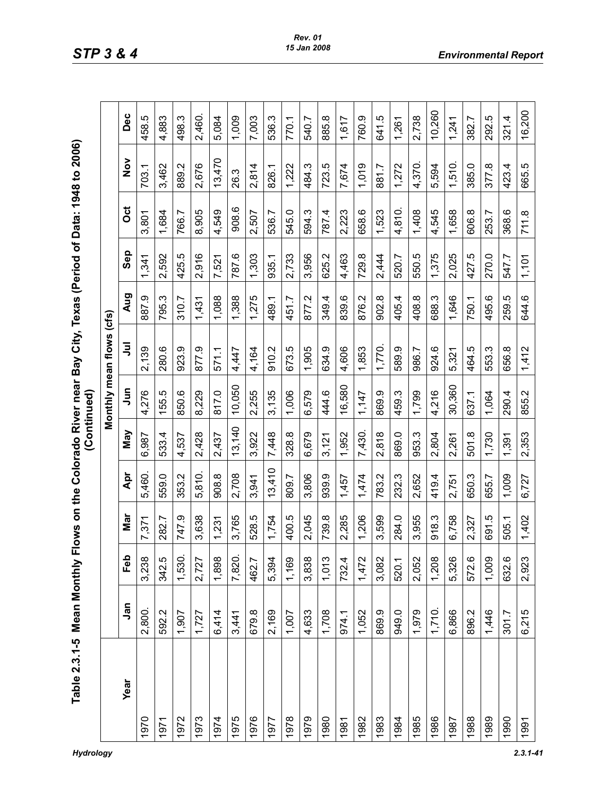| 」<br>5<br>7<br>۔<br>ت       |                      |
|-----------------------------|----------------------|
|                             |                      |
| $\frac{1}{2}$               |                      |
|                             |                      |
|                             |                      |
| ;                           |                      |
|                             |                      |
|                             |                      |
| ניוס את המשונה ה            |                      |
|                             |                      |
| I                           |                      |
|                             | f                    |
|                             |                      |
|                             | $\ddot{\phantom{a}}$ |
|                             |                      |
|                             |                      |
| Dian<br>Dian                |                      |
|                             |                      |
|                             |                      |
|                             |                      |
|                             |                      |
|                             |                      |
|                             |                      |
|                             |                      |
| riows on the Colorado River |                      |
|                             |                      |
|                             |                      |
|                             |                      |
| --<br>--<br>--              |                      |
|                             |                      |
|                             |                      |
| ible 2.3.1-5 Mea            |                      |
|                             |                      |
|                             |                      |
|                             |                      |
|                             |                      |

|      |        |            |       |        |        |             | Monthly mean flows (cfs) |       |       |        |               |        |
|------|--------|------------|-------|--------|--------|-------------|--------------------------|-------|-------|--------|---------------|--------|
| Year | Jan    | <b>G</b> b | Nar   | Apr    | Nay    | $\tilde{a}$ | ミ                        | Aug   | Sep   | ö      | $\frac{5}{2}$ | Dec    |
| 1970 | 2,800. | 3,238      | 7,371 | 5,460. | 6,987  | 4,276       | 2,139                    | 887.9 | 1,341 | 3,801  | 703.1         | 458.5  |
| 1971 | 592.2  | 342.5      | 282.7 | 559.0  | 533.4  | 155.5       | 280.6                    | 795.3 | 2,592 | 1,684  | 3,462         | 4,883  |
| 1972 | 1,907  | 1,530.     | 747.9 | 353.2  | 4,537  | 850.6       | 923.9                    | 310.7 | 425.5 | 766.7  | 889.2         | 498.3  |
| 1973 | 1,727  | 2,727      | 3,638 | 5,810. | 2,428  | 8,229       | 877.9                    | 1,431 | 2,916 | 8,905  | 2,676         | 2,460. |
| 1974 | 6,414  | 1,898      | 1,231 | 908.8  | 2,437  | 817.0       | 571.1                    | 1,088 | 7,521 | 4,549  | 13,470        | 5,084  |
| 1975 | 3,441  | 7,820.     | 3,765 | 2,708  | 13,140 | 10,050      | 4,447                    | 1,388 | 787.6 | 908.6  | 26.3          | 1,009  |
| 1976 | 679.8  | 462.7      | 528.5 | 3,941  | 3,922  | 2,255       | 4,164                    | 1,275 | 1,303 | 2,507  | 2,814         | 7,003  |
| 1977 | 2,169  | 5,394      | 1,754 | 13,410 | 7,448  | 3,135       | 910.2                    | 489.1 | 935.1 | 536.7  | 826.1         | 536.3  |
| 1978 | 1,007  | 1,169      | 400.5 | 809.7  | 328.8  | 1,006       | 673.5                    | 451.7 | 2,733 | 545.0  | 1,222         | 770.1  |
| 1979 | 4,633  | 3,838      | 2,045 | 3,806  | 6,679  | 6,579       | 1,905                    | 877.2 | 3,956 | 594.3  | 484.3         | 540.7  |
| 1980 | 1,708  | 1,013      | 739.8 | 939.9  | 3,121  | 444.6       | 634.9                    | 349.4 | 625.2 | 787.4  | 723.5         | 885.8  |
| 1981 | 974.1  | 732.4      | 2,285 | 1,457  | 1,952  | 16,580      | 4,606                    | 839.6 | 4,463 | 2,223  | 7,674         | 1,617  |
| 1982 | 1,052  | 1,472      | 1,206 | 1,474  | 7,430. | 1,147       | 1,853                    | 876.2 | 729.8 | 658.6  | 1,019         | 760.9  |
| 1983 | 869.9  | 3,082      | 3,599 | 783.2  | 2,818  | 869.9       | 1,770.                   | 902.8 | 2,444 | 1,523  | 881.7         | 641.5  |
| 1984 | 949.0  | 520.1      | 284.0 | 232.3  | 869.0  | 459.3       | 589.9                    | 405.4 | 520.7 | 4,810. | 1,272         | 1,261  |
| 1985 | 1,979  | 2,052      | 3,955 | 2,652  | 953.3  | 1,799       | 986.7                    | 408.8 | 550.5 | 1,408  | 4,370.        | 2,738  |
| 1986 | 1,710. | 1,208      | 918.3 | 419.4  | 2,804  | 4,216       | 924.6                    | 688.3 | 1,375 | 4,545  | 5,594         | 10,260 |
| 1987 | 6,866  | 5,326      | 6,758 | 2,751  | 2,261  | 30,360      | 5,321                    | 1,646 | 2,025 | 1,658  | 1,510.        | 1,241  |
| 1988 | 896.2  | 572.6      | 2,327 | 650.3  | 501.8  | 637.1       | 464.5                    | 750.1 | 427.5 | 606.8  | 385.0         | 382.7  |
| 1989 | 1,446  | 1,009      | 691.5 | 655.7  | 1,730  | 1,064       | 553.3                    | 495.6 | 270.0 | 253.7  | 377.8         | 292.5  |
| 1990 | 301.7  | 632.6      | 505.1 | 1,009  | 1,391  | 290.4       | 656.8                    | 259.5 | 547.7 | 368.6  | 423.4         | 321.4  |
| 1991 | 6,215  | 2,923      | 1,402 | 6,727  | 2,353  | 855.2       | 1,412                    | 644.6 | 1,101 | 711.8  | 665.5         | 16,200 |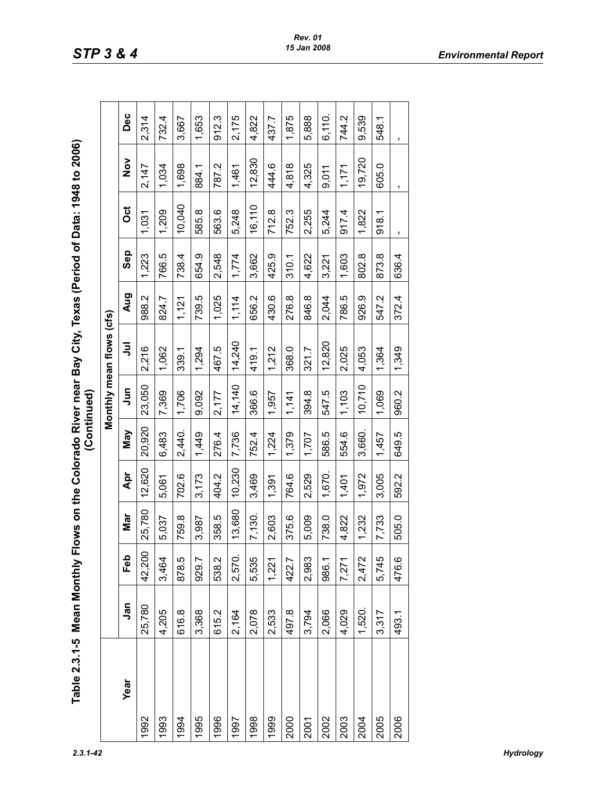| $\ddot{\bm{z}}$<br>L<br>$ble$ 2.3.1-5 $Mean$ |  |
|----------------------------------------------|--|
|                                              |  |
|                                              |  |
|                                              |  |
|                                              |  |
|                                              |  |
|                                              |  |
|                                              |  |
|                                              |  |
|                                              |  |
|                                              |  |
|                                              |  |
|                                              |  |
|                                              |  |
|                                              |  |
|                                              |  |

| Table 2.3.1-5 Mean Monthly Fl |        |        |        |        | (Continued) |           | lows on the Colorado River near Bay City, Texas (Period of Data: 1948 to 2006) |            |       |        |                |                |
|-------------------------------|--------|--------|--------|--------|-------------|-----------|--------------------------------------------------------------------------------|------------|-------|--------|----------------|----------------|
|                               |        |        |        |        |             |           | Monthly mean flows (cfs)                                                       |            |       |        |                |                |
| Year                          | Jan    | Feb    | Mar    | Apr    | <b>May</b>  | $\bar{5}$ | ミ                                                                              | <b>Aug</b> | Sep   | ö      | $\frac{5}{2}$  | Dec            |
| 1992                          | 25,780 | 42,200 | 25,780 | 12,620 | 20,920      | 23,050    | 2,216                                                                          | 988.2      | 1,223 | 1,031  | 2,147          | 2,314          |
| 1993                          | 4,205  | 3,464  | 5,037  | 5,061  | 6,483       | 7,369     | 1,062                                                                          | 824.7      | 766.5 | 1,209  | 1,034          | 732.4          |
| 1994                          | 616.8  | 878.5  | 759.8  | 702.6  | 2,440.      | 1,706     | 339.1                                                                          | 1,121      | 738.4 | 10,040 | 1,698          | 3,667          |
| 1995                          | 3,368  | 929.7  | 3,987  | 3,173  | 1,449       | 9,092     | 1,294                                                                          | 739.5      | 654.9 | 585.8  | 884.1          | 1,653          |
| 1996                          | 615.2  | 538.2  | 358.5  | 404.2  | 276.4       | 2,177     | 467.5                                                                          | 1,025      | 2,548 | 563.6  | 787.2          | 912.3          |
| 1997                          | 2,164  | 2,570. | 13,680 | 10,230 | 7,736       | 14,140    | 14,240                                                                         | 1,114      | 1,774 | 5,248  | 1,461          | 2,175          |
| 1998                          | 2,078  | 5,535  | 7,130. | 3,469  | 752.4       | 366.6     | 419.1                                                                          | 656.2      | 3,662 | 16,110 | 12,830         | 4,822          |
| 1999                          | 2,533  | 1,221  | 2,603  | 1,391  | 1,224       | 1,957     | 1,212                                                                          | 430.6      | 425.9 | 712.8  | 444.6          | 437.7          |
| 2000                          | 497.8  | 422.7  | 375.6  | 764.6  | 1,379       | 1,141     | 368.0                                                                          | 276.8      | 310.1 | 752.3  | 4,818          | 1,875          |
| 2001                          | 3,794  | 2,983  | 5,009  | 2,529  | 1,707       | 394.8     | 321.7                                                                          | 846.8      | 4,622 | 2,255  | 4,325          | 5,888          |
| 2002                          | 2,066  | 986.1  | 738.0  | 1,670. | 586.5       | 547.5     | 12,820                                                                         | 2,044      | 3,221 | 5,244  | 9,011          | 6,110.         |
| 2003                          | 4,029  | 7,271  | 4,822  | 1,401  | 554.6       | 1,103     | 2,025                                                                          | 786.5      | 1,603 | 917.4  | 1,171          | 744.2          |
| 2004                          | 1,520. | 2,472  | 1,232  | 1,972  | 3,660.      | 10,710    | 4,053                                                                          | 926.9      | 802.8 | 1,822  | 19,720         | 9,539          |
| 2005                          | 3,317  | 5,745  | 7,733  | 3,005  | 1,457       | 1,069     | 1,364                                                                          | 547.2      | 873.8 | 918.1  | 605.0          | 548.1          |
| 2006                          | 493.1  | 476.6  | 505.0  | 592.2  | 649.5       | 960.2     | 1,349                                                                          | 372.4      | 636.4 | J.     | $\blacksquare$ | $\blacksquare$ |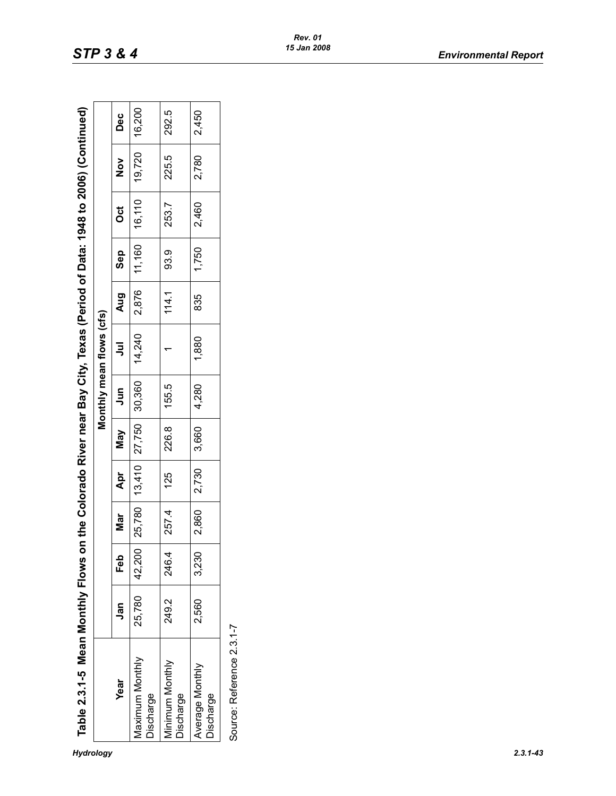| 1948 to 2006) (C                                |  |
|-------------------------------------------------|--|
| of Data: 19                                     |  |
| F,<br>$\overline{\phantom{a}}$<br>$\frac{1}{2}$ |  |
| <b>Jear Bay Cit</b>                             |  |
| .<br>DDDD:<br>ws on the Colorado                |  |
|                                                 |  |
|                                                 |  |
|                                                 |  |

| Table 2.3.1-5 Mean Monthly Flows on |        |         |       |     |                               |       | the Colorado River near Bay City, Texas (Period of Data: 1948 to 2006) (Continued) |       |              |        |               |       |
|-------------------------------------|--------|---------|-------|-----|-------------------------------|-------|------------------------------------------------------------------------------------|-------|--------------|--------|---------------|-------|
|                                     |        |         |       |     |                               |       | Monthly mean flows (cfs)                                                           |       |              |        |               |       |
| Year                                | Jan    | eb<br>F | Mar   | Apr | <b>May</b>                    | Jun   | ミ                                                                                  | Aug   | Sep          | ರ<br>೦ | $\frac{5}{2}$ | Dec   |
| <b>Maximum Monthly</b><br>Discharge | 25,780 | 42,200  |       |     |                               |       | 25,780   13,410   27,750   30,360   14,240   17,160   16,110   19,720   16,200     |       |              |        |               |       |
| Minimum Monthly<br>Discharge        | 249.2  | 246.4   | 257.4 | 125 | 226.8                         | 155.5 |                                                                                    | 114.1 | ဝ<br>၁၁<br>၁ | 253.7  | 225.5         | 292.5 |
| Average Monthly<br>Discharge        | 2,560  | 3,230   |       |     | 2,860   2,730   3,660   4,280 |       | 1,880                                                                              | 835   | 1,750        | 12,460 | 2,780         | 2,450 |
| Source: Reference 2.3.1-7           |        |         |       |     |                               |       |                                                                                    |       |              |        |               |       |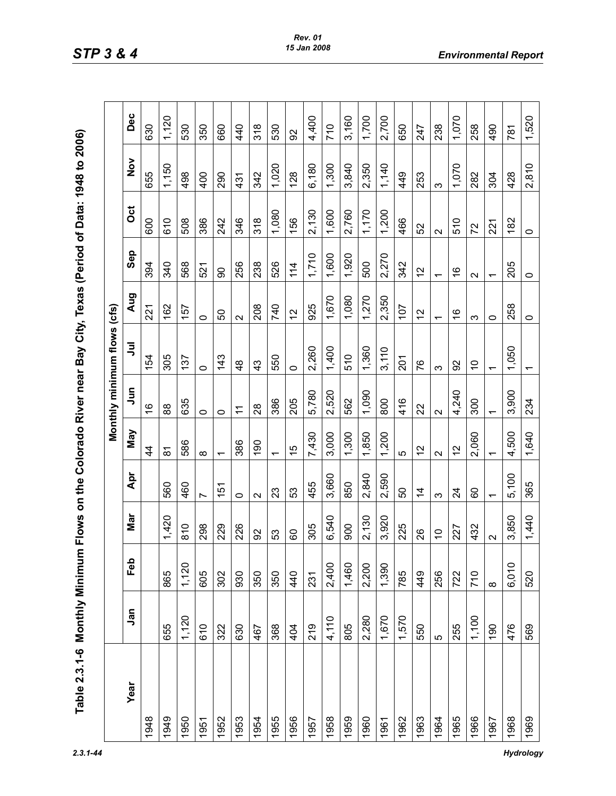| whate is the conservation is<br>こうこうさん |
|----------------------------------------|
| )<br>D<br>D<br>D<br>-                  |
|                                        |
| ໍ່                                     |
|                                        |
|                                        |
| <b>「Zhi) Ap I i gāi」</b>               |
|                                        |
| - A Colorado River near Ray City in    |
| )<br>)<br>-<br>-                       |
|                                        |
| mum Flows on th<br>$\vdots$            |
|                                        |
|                                        |
|                                        |
|                                        |
|                                        |
|                                        |
|                                        |
|                                        |

|      |       |          |                   |                          |                          |               | Monthly minimum flows (cfs) |                          |                          |         |               |       |
|------|-------|----------|-------------------|--------------------------|--------------------------|---------------|-----------------------------|--------------------------|--------------------------|---------|---------------|-------|
| Year | Jan   | Feb      | Nar               | Apr                      | Vay                      | $\bar{5}$     | ミ                           | <b>Aug</b>               | Sep                      | ö       | $\frac{5}{2}$ | Dec   |
| 948  |       |          |                   |                          | $\overline{4}$           | $\frac{6}{5}$ | 54                          | 221                      | 394                      | 600     | 655           | 630   |
| 1949 | 655   | 865      | 1,420             | 560                      | $\overline{\infty}$      | 88            | 305                         | 162                      | 340                      | 610     | 1,150         | 1,120 |
| 1950 | 1,120 | 1,120    | 810               | 460                      | 586                      | 635           | 137                         | 157                      | 568                      | 508     | 498           | 530   |
| 1951 | 610   | 605      | 298               | $\overline{ }$           | $\infty$                 | $\circ$       | $\circ$                     | $\circ$                  | 521                      | 386     | 400           | 350   |
| 1952 | 322   | 302      | 229               | 151                      | $\overline{\phantom{0}}$ | $\circ$       | 143                         | 50                       | 8                        | 242     | 290           | 660   |
| 1953 | 630   | 930      | 226               | $\circ$                  | 386                      | $\tilde{+}$   | $\frac{8}{4}$               | $\sim$                   | 256                      | 346     | 431           | 440   |
| 1954 | 467   | 350      | 92                | $\mathbf{\Omega}$        | 190                      | 28            | 43                          | 208                      | 238                      | 318     | 342           | 318   |
| 1955 | 368   | 350      | 53                | 23                       | $\overline{\phantom{0}}$ | 386           | 550                         | 740                      | 526                      | 1,080   | 1,020         | 530   |
| 1956 | 404   | 440      | 60                | 53                       | 15                       | 205           | $\circ$                     | $\overline{c}$           | 114                      | 156     | 128           | 92    |
| 1957 | 219   | 231      | 305               | 455                      | 7,430                    | 5,780         | 2,260                       | 925                      | 1,710                    | 2,130   | 6,180         | 4,400 |
| 1958 | 4,110 | 2,400    | 6,540             | 3,660                    | 3,000                    | 2,520         | 1,400                       | 1,670                    | 1,600                    | 1,600   | 1,300         | 710   |
| 1959 | 805   | 1,460    | 900               | 850                      | 1,300                    | 562           | 510                         | 1,080                    | 1,920                    | 2,760   | 3,840         | 3,160 |
| 1960 | 2,280 | 2,200    | 2,130             | 2,840                    | 1,850                    | 1,090         | 1,360                       | 1,270                    | 500                      | 1,170   | 2,350         | 1,700 |
| 1961 | 1,670 | 1,390    | 3,920             | 2,590                    | 200<br>$\overline{ }$    | 800           | 3,110                       | 2,350                    | 2,270                    | 1,200   | 1,140         | 2,700 |
| 1962 | 1,570 | 785      | 225               | 50                       | 5                        | 416           | 201                         | 107                      | 342                      | 466     | 449           | 650   |
| 1963 | 550   | 449      | 26                | $\overline{4}$           | $\frac{1}{2}$            | 22            | 76                          | 57                       | $\frac{2}{3}$            | 52      | 253           | 247   |
| 1964 | 5     | 256      | $\tilde{C}$       | က                        | $\mathbf{\Omega}$        | $\sim$        | S                           | $\overline{\phantom{0}}$ | $\overline{\phantom{0}}$ | $\sim$  | က             | 238   |
| 1965 | 255   | 722      | 227               | $\overline{24}$          | $\frac{2}{3}$            | 4,240         | 92                          | $\frac{6}{5}$            | $\frac{6}{5}$            | 510     | 1,070         | 1,070 |
| 1966 | 1,100 | 710      | 432               | 60                       | 2,060                    | 300           | $\tilde{c}$                 | $\infty$                 | $\mathbf{\Omega}$        | 72      | 282           | 258   |
| 1967 | 190   | $\infty$ | $\mathbf{\Omega}$ | $\overline{\phantom{0}}$ | ᠇                        | ᡪ             | $\overline{\phantom{0}}$    | $\circ$                  | ٣                        | 221     | 304           | 490   |
| 1968 | 476   | 6,010    | 3,850             | 5,100                    | 4,500                    | 3,900         | 1,050                       | 258                      | 205                      | 182     | 428           | 781   |
| 1969 | 569   | 520      | 1,440             | 365                      | 1,640                    | 234           | $\overline{\phantom{0}}$    | $\circ$                  | 0                        | $\circ$ | 2,810         | 1,520 |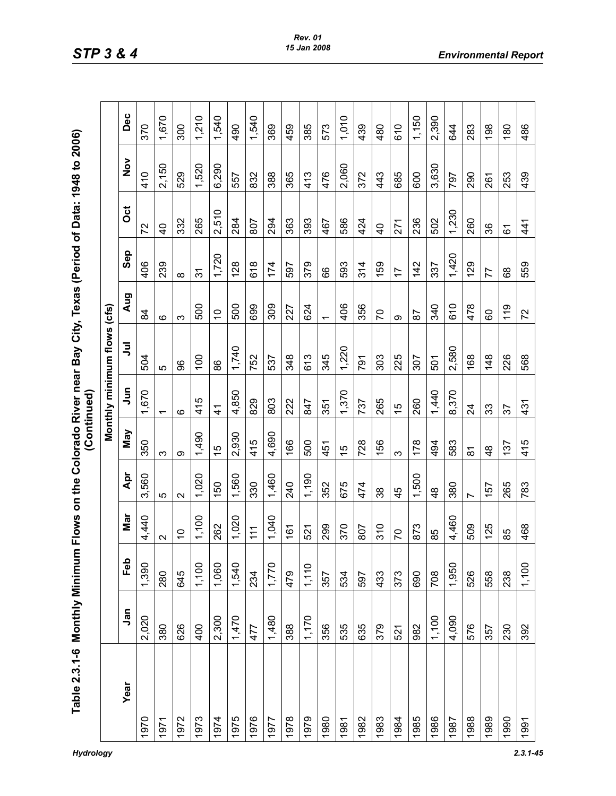| onthly Minimum Flows on the Colorado River near Bay City, Texas (Period of Data: 1948<br>¢<br>¢<br>C<br>$\overline{\mathbf{C}}$<br>ŗ<br>Ì |  |
|-------------------------------------------------------------------------------------------------------------------------------------------|--|
|                                                                                                                                           |  |
|                                                                                                                                           |  |
|                                                                                                                                           |  |
|                                                                                                                                           |  |
|                                                                                                                                           |  |
|                                                                                                                                           |  |
|                                                                                                                                           |  |
|                                                                                                                                           |  |
|                                                                                                                                           |  |
|                                                                                                                                           |  |
|                                                                                                                                           |  |
|                                                                                                                                           |  |
|                                                                                                                                           |  |
|                                                                                                                                           |  |
|                                                                                                                                           |  |
|                                                                                                                                           |  |
|                                                                                                                                           |  |

|      |       |       |                   |                   |               |                          | Monthly minimum flows (cfs) |                          |                |                |               |       |
|------|-------|-------|-------------------|-------------------|---------------|--------------------------|-----------------------------|--------------------------|----------------|----------------|---------------|-------|
| Year | Jan   | Feb   | Nar               | Apr               | Nay           | $\overline{5}$           | ミ                           | <b>Aug</b>               | Sep            | ö              | $\frac{5}{2}$ | Dec   |
| 1970 | 2,020 | 1,390 | 4,440             | 3,560             | 350           | 1,670                    | 504                         | \$                       | 406            | 72             | 410           | 370   |
| 1971 | 380   | 280   | $\mathbf{\Omega}$ | 5                 | က             | $\overline{\phantom{0}}$ | 5                           | ဖ                        | 239            | $\overline{4}$ | 2,150         | 1,670 |
| 1972 | 626   | 645   | $\frac{1}{2}$     | $\mathbf{\Omega}$ | တ             | ဖ                        | 86                          | ო                        | $\infty$       | 332            | 529           | 300   |
| 1973 | 400   | 1,100 | 1,100             | 1,020             | 1,490         | 415                      | 100                         | 500                      | 31             | 265            | 1,520         | 1,210 |
| 1974 | 2,300 | 1,060 | 262               | 150               | $\frac{1}{2}$ | $\frac{4}{3}$            | 88                          | $\tilde{0}$              | 1,720          | 2,510          | 6,290         | 1,540 |
| 1975 | 1,470 | 1,540 | 1,020             | 1,560             | 2,930         | 4,850                    | 1,740                       | 500                      | 128            | 284            | 557           | 490   |
| 1976 | 477   | 234   | 111               | 330               | 415           | 829                      | 752                         | 699                      | 618            | 807            | 832           | 1,540 |
| 1977 | 1,480 | 1,770 | 1,040             | 1,460             | 4,690         | 803                      | 537                         | 309                      | 174            | 294            | 388           | 369   |
| 1978 | 388   | 479   | 161               | 240               | 166           | 222                      | 348                         | 227                      | 597            | 363            | 365           | 459   |
| 1979 | 1,170 | 1,110 | 521               | 1,190             | 500           | 847                      | 613                         | 624                      | 379            | 393            | 413           | 385   |
| 1980 | 356   | 357   | 299               | 352               | 451           | 351                      | 345                         | $\overline{\phantom{0}}$ | 89             | 467            | 476           | 573   |
| 1981 | 535   | 534   | 370               | 675               | 15            | 1,370                    | 1,220                       | 406                      | 593            | 586            | 2,060         | 1,010 |
| 1982 | 635   | 597   | 807               | 474               | 728           | 737                      | 791                         | 356                      | 314            | 424            | 372           | 439   |
| 1983 | 379   | 433   | 310               | 38                | 156           | 265                      | 303                         | 50                       | 159            | $\overline{4}$ | 443           | 480   |
| 1984 | 521   | 373   | 20                | 45                | S             | 15                       | 225                         | Φ                        | $\overline{1}$ | 271            | 685           | 610   |
| 1985 | 982   | 690   | 873               | 1,500             | 178           | 260                      | 307                         | 56                       | 142            | 236            | 600           | 1,150 |
| 1986 | 1,100 | 708   | 85                | $\frac{8}{4}$     | 494           | 1,440                    | 501                         | 340                      | 337            | 502            | 3,630         | 2,390 |
| 1987 | 4,090 | 1,950 | 4,460             | 380               | 583           | 8,370                    | 2,580                       | 610                      | 1,420          | 1,230          | 797           | 644   |
| 1988 | 576   | 526   | 509               | $\overline{ }$    | 5             | $\overline{2}$           | 168                         | 478                      | 129            | 260            | 290           | 283   |
| 1989 | 357   | 558   | 125               | 157               | $\frac{8}{4}$ | 33                       | 148                         | 8                        | 77             | 36             | 261           | 198   |
| 1990 | 230   | 238   | 85                | 265               | 137           | 57                       | 226                         | 119                      | 89             | 61             | 253           | 180   |
| 1991 | 392   | 1,100 | 468               | 783               | 415           | 431                      | 568                         | 72                       | 559            | 41             | 439           | 486   |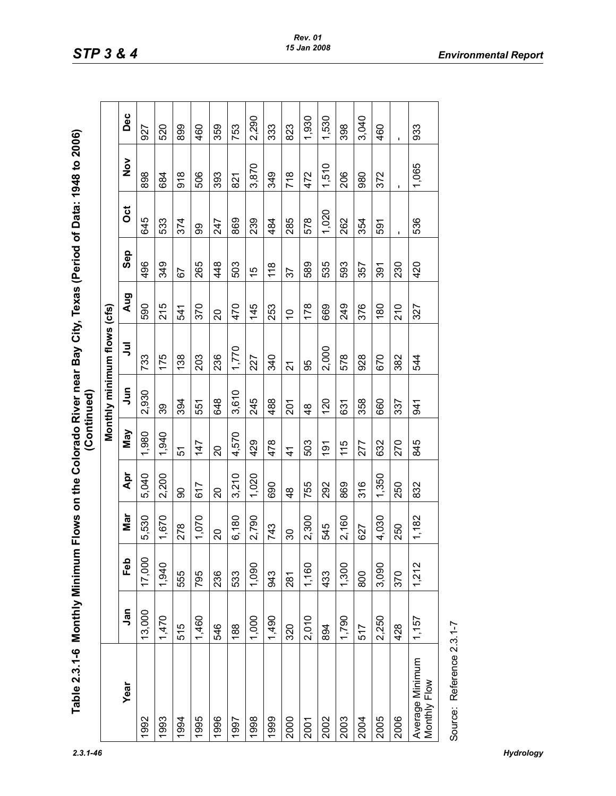| n Flows on the Colorado River nea |  |
|-----------------------------------|--|
|                                   |  |
|                                   |  |
|                                   |  |
|                                   |  |
| Table 2.3.1-6 Monthly Minimum     |  |
|                                   |  |
|                                   |  |
|                                   |  |

| Table 2.3.1-6 Monthly Minimum   |        |        |                          |               | (Continued)   |               | Flows on the Colorado River near Bay City, Texas (Period of Data: 1948 to 2006) |             |     |       |                  |                |
|---------------------------------|--------|--------|--------------------------|---------------|---------------|---------------|---------------------------------------------------------------------------------|-------------|-----|-------|------------------|----------------|
|                                 |        |        |                          |               |               |               | Monthly minimum flows (cfs)                                                     |             |     |       |                  |                |
| Year                            | Jan    | Feb    | Nar                      | Apr           | Nay           | S<br>Jur      | ミ                                                                               | Aug         | Sep | ö     | $\frac{5}{2}$    | Dec            |
| 1992                            | 13,000 | 17,000 | 5,530                    | 5,040         | 1,980         | 2,930         | 733                                                                             | 590         | 496 | 645   | 898              | 927            |
| 1993                            | 1,470  | 1,940  | 1,670                    | 2,200         | 1,940         | 39            | 175                                                                             | 215         | 349 | 533   | 684              | 520            |
| 1994                            | 515    | 555    | 278                      | 90            | 57            | 394           | 138                                                                             | 541         | 57  | 374   | 918              | 899            |
| 1995                            | 1,460  | 795    | 1,070                    | 617           | 147           | 551           | 203                                                                             | 370         | 265 | 8     | 506              | 460            |
| 1996                            | 546    | 236    | $\overline{\mathcal{S}}$ | $\Omega$      | 20            | 648           | 236                                                                             | S           | 448 | 247   | 393              | 359            |
| 1997                            | 188    | 533    | 6,180                    | 3,210         | 4,570         | 3,610         | 1,770                                                                           | 470         | 503 | 869   | $\overline{821}$ | 753            |
| 1998                            | 1,000  | 1,090  | 2,790                    | 1,020         | 429           | 245           | 227                                                                             | 145         | 15  | 239   | 3,870            | 2,290          |
| 1999                            | 1,490  | 943    | 743                      | 690           | 478           | 488           | 340                                                                             | 253         | 118 | 484   | 349              | 333            |
| 2000                            | 320    | 281    | $\infty$                 | $\frac{8}{4}$ | $\frac{4}{1}$ | <b>201</b>    | 21                                                                              | $\tilde{a}$ | 57  | 285   | 718              | 823            |
| 2001                            | 2,010  | 1,160  | 2,300                    | 755           | 503           | $\frac{8}{4}$ | 95                                                                              | 178         | 589 | 578   | 472              | 1,930          |
| 2002                            | 894    | 433    | 545                      | 292           | $\frac{1}{9}$ | 120           | 2,000                                                                           | 669         | 535 | 1,020 | 1,510            | 1,530          |
| 2003                            | 1,790  | 1,300  | 2,160                    | 869           | 115           | 631           | 578                                                                             | 249         | 593 | 262   | 206              | 398            |
| 2004                            | 517    | 800    | 627                      | 316           | 277           | 358           | 928                                                                             | 376         | 357 | 354   | 980              | 3,040          |
| 2005                            | 2,250  | 3,090  | 4,030                    | 1,350         | 632           | 660           | 670                                                                             | 180         | 391 | 591   | 372              | 460            |
| 2006                            | 428    | 370    | 250                      | 250           | 270           | 337           | 382                                                                             | 210         | 230 |       |                  | $\blacksquare$ |
| Average Minimum<br>Monthly Flow | 1,157  | 1,212  | 1,182                    | 832           | 845           | 941           | 544                                                                             | 327         | 420 | 536   | 1,065            | 933            |
| Source: Reference 2.3.1-7       |        |        |                          |               |               |               |                                                                                 |             |     |       |                  |                |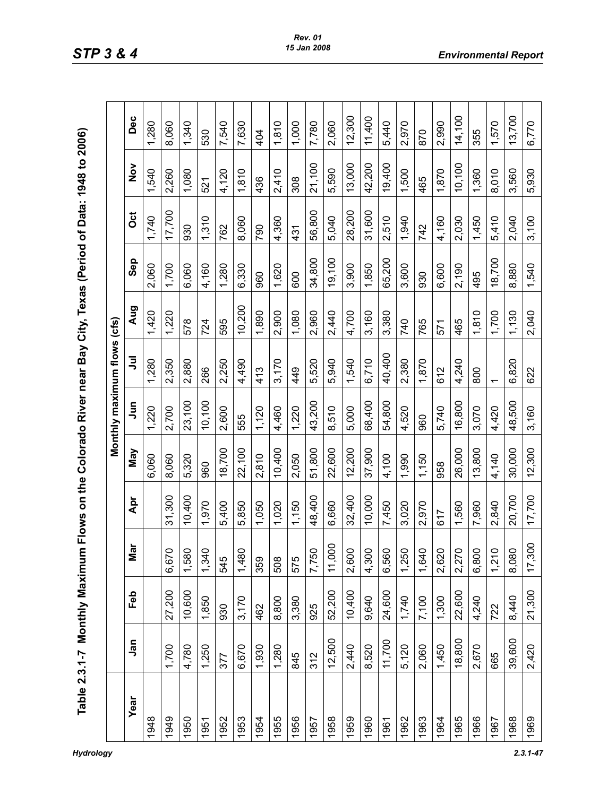| $\frac{1}{2}$ |
|---------------|
|               |
|               |
|               |
| <br>りりりにいい    |
|               |
|               |
|               |
| ١             |
|               |
|               |
|               |
| י<br>ו        |
|               |
|               |
|               |
|               |
|               |
|               |
| ים<br>י       |
|               |
|               |
|               |
|               |
|               |
|               |
|               |
|               |
|               |
| י<br>י        |
|               |
|               |
| j             |
|               |
|               |
|               |
|               |
|               |
|               |
|               |
|               |
| ¢             |
|               |
|               |
|               |
| ľ<br>ı        |
| ŧ             |
|               |
| i<br>Ó        |
| I<br>ī        |
|               |

|      |            |        |                   |        |        |             | Monthly maximum flows (cfs) |        |        |        |               |        |
|------|------------|--------|-------------------|--------|--------|-------------|-----------------------------|--------|--------|--------|---------------|--------|
| Year | <b>Jan</b> | Feb    | <b>1</b><br>Σã    | Apr    | Nay    | $\tilde{a}$ | ミ                           | Aug    | Sep    | ö      | $\frac{5}{2}$ | Dec    |
| 1948 |            |        |                   |        | 6,060  | 1,220       | 1,280                       | 1,420  | 2,060  | 1,740  | 540           | 1,280  |
| 1949 | 1,700      | 27,200 | 6,670             | 31,300 | 8,060  | 2,700       | 2,350                       | 1,220  | 1,700  | 17,700 | 2,260         | 8,060  |
| 1950 | 4,780      | 10,600 | 1,580             | 10,400 | 5,320  | 23,100      | 2,880                       | 578    | 6,060  | 930    | 1,080         | 1,340  |
| 1951 | 1,250      | 1,850  | 1,340             | 1,970  | 960    | 10,100      | 266                         | 724    | 4,160  | 1,310  | 521           | 530    |
| 1952 | 377        | 930    | 545               | 5,400  | 18,700 | 2,600       | 2,250                       | 595    | 1,280  | 762    | 4,120         | 7,540  |
| 1953 | 6,670      | 3,170  | 1,480             | 5,850  | 22,100 | 555         | 4,490                       | 10,200 | 6,330  | 8,060  | 1,810         | 7,630  |
| 1954 | 1,930      | 462    | 359               | 1,050  | 2,810  | 1,120       | 413                         | 1,890  | 960    | 790    | 436           | 404    |
| 1955 | 1,280      | 8,800  | 508               | 1,020  | 10,400 | 4,460       | 3,170                       | 2,900  | 1,620  | 4,360  | 2,410         | 1,810  |
| 1956 | 845        | 3,380  | 575               | 1,150  | 2,050  | 1,220       | 449                         | 1,080  | 600    | 431    | 308           | 1,000  |
| 1957 | 312        | 925    | 7,750             | 48,400 | 51,800 | 43,200      | 5,520                       | 2,960  | 34,800 | 56,800 | 21,100        | 7,780  |
| 1958 | 12,500     | 52,200 | $\circ$<br>11,000 | 6,660  | 22,600 | 8,510       | 5,940                       | 2,440  | 19,100 | 5,040  | 5,590         | 2,060  |
| 1959 | 2,440      | 10,400 | 2,600             | 32,400 | 12,200 | 5,000       | 1,540                       | 4,700  | 3,900  | 28,200 | 13,000        | 12,300 |
| 1960 | 8,520      | 9,640  | 4,300             | 10,000 | 37,900 | 68,400      | 6,710                       | 3,160  | 1,850  | 31,600 | 42,200        | 11,400 |
| 1961 | 11,700     | 24,600 | 6,560             | 7,450  | 4,100  | 54,800      | 40,400                      | 3,380  | 65,200 | 2,510  | 19,400        | 5,440  |
| 1962 | 5,120      | 1,740  | 1,250             | 3,020  | 1,990  | 4,520       | 2,380                       | 740    | 3,600  | 1,940  | 1,500         | 2,970  |
| 1963 | 2,060      | 7,100  | 1,640             | 2,970  | 1,150  | 960         | 1,870                       | 765    | 930    | 742    | 465           | 870    |
| 1964 | 1,450      | 1,300  | 2,620             | 617    | 958    | 5,740       | 612                         | 571    | 6,600  | 4,160  | 1,870         | 2,990  |
| 1965 | 18,800     | 22,600 | 2,270             | 1,560  | 26,000 | 16,800      | 4,240                       | 465    | 2,190  | 2,030  | 10,100        | 14,100 |
| 1966 | 2,670      | 4,240  | 6,800             | 7,960  | 13,800 | 3,070       | 800                         | 1,810  | 495    | 1,450  | 1,360         | 355    |
| 1967 | 665        | 722    | 1,210             | 2,840  | 4,140  | 4,420       |                             | 1,700  | 18,700 | 5,410  | 8,010         | 1,570  |
| 1968 | 39,600     | 8,440  | 8,080             | 20,700 | 30,000 | 48,500      | 6,820                       | 1,130  | 8,880  | 2,040  | 3,560         | 13,700 |
| 1969 | 2,420      | 21,300 | 17,300            | 17,700 | 12,300 | 3,160       | 622                         | 2,040  | 1,540  | 3,100  | 5,930         | 6,770  |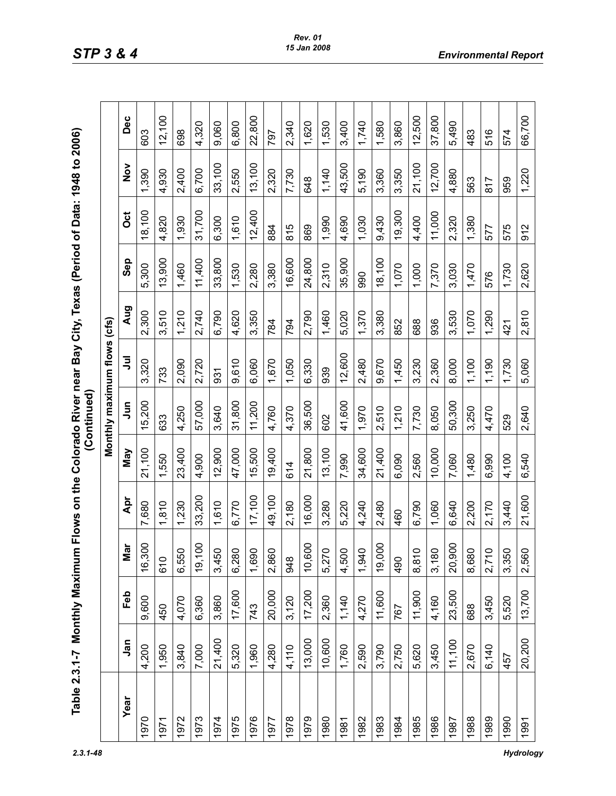| f Data: 194                                   |                 |
|-----------------------------------------------|-----------------|
| י<br>ד                                        |                 |
| lexas (Perior                                 |                 |
|                                               |                 |
|                                               |                 |
|                                               |                 |
|                                               |                 |
|                                               | <b>Telesion</b> |
|                                               |                 |
|                                               |                 |
|                                               |                 |
|                                               |                 |
|                                               |                 |
| Flows on the Colorado River near Bay City, Te |                 |
|                                               |                 |
|                                               |                 |
| <b>EA</b><br>--                               |                 |
| prithl                                        |                 |
| I<br>l                                        |                 |
|                                               |                 |
| $\epsilon$<br>۰<br>-                          |                 |

| Year<br>1972<br>1970<br>1971 |            |        |                                |        |        |           | Monthly maximum flows (cfs) |       |        |        |               |        |
|------------------------------|------------|--------|--------------------------------|--------|--------|-----------|-----------------------------|-------|--------|--------|---------------|--------|
|                              | <b>Jan</b> | Feb    | $\overline{\phantom{a}}$<br>Мa | Apr    | Vay    | $\bar{5}$ | ミ                           | Aug   | Sep    | ö      | $\frac{5}{2}$ | Dec    |
|                              | 4,200      | 9,600  | $\circ$<br>16,30               | 7,680  | 21,100 | 15,200    | 3,320                       | 2,300 | 5,300  | 8,100  | 1,390         | 603    |
|                              | 1,950      | 450    | 610                            | 1,810  | 1,550  | 633       | 733                         | 3,510 | 13,900 | 4,820  | 4,930         | 12,100 |
|                              | 3,840      | 4,070  | 6,550                          | 1,230  | 23,400 | 4,250     | 2,090                       | 1,210 | 1,460  | 1,930  | 2,400         | 698    |
| 1973                         | 7,000      | 6,360  | 19,100                         | 33,200 | 4,900  | 57,000    | 2,720                       | 2,740 | 11,400 | 31,700 | 6,700         | 4,320  |
| 1974                         | 21,400     | 3,860  | 3,450                          | 1,610  | 12,900 | 3,640     | 931                         | 6,790 | 33,800 | 6,300  | 33,100        | 9,060  |
| 1975                         | 5,320      | 17,600 | 6,280                          | 6,770  | 47,000 | 31,800    | 9,610                       | 4,620 | 1,530  | 1,610  | 2,550         | 6,800  |
| 1976                         | 1,960      | 743    | 1,690                          | 17,100 | 15,500 | 11,200    | 6,060                       | 3,350 | 2,280  | 12,400 | 13,100        | 22,800 |
| 1977                         | 4,280      | 20,000 | 2,860                          | 49,100 | 19,400 | 4,760     | 1,670                       | 784   | 3,380  | 884    | 2,320         | 797    |
| 1978                         | 4,110      | 3,120  | 948                            | 2,180  | 614    | 4,370     | 1,050                       | 794   | 16,600 | 815    | 7,730         | 2,340  |
| 1979                         | 13,000     | 17,200 | $\circ$<br>10,600              | 16,000 | 21,800 | 36,500    | 6,330                       | 2,790 | 24,800 | 869    | 648           | 1,620  |
| 1980                         | 10,600     | 2,360  | 5,270                          | 3,280  | 13,100 | 602       | 939                         | 1,460 | 2,310  | 1,990  | 1,140         | 1,530  |
| 1981                         | 1,760      | 1,140  | 4,500                          | 5,220  | 7,990  | 41,600    | 12,600                      | 5,020 | 35,900 | 4,690  | 43,500        | 3,400  |
| 1982                         | 2,590      | 4,270  | 1,940                          | 4,240  | 34,600 | 1,970     | 2,480                       | 1,370 | 990    | 1,030  | 5,190         | 1,740  |
| 1983                         | 3,790      | 11,600 | $\circ$<br>19,00               | 2,480  | 21,400 | 2,510     | 9,670                       | 3,380 | 18,100 | 9,430  | 3,360         | 1,580  |
| 1984                         | 2,750      | 767    | 490                            | 460    | 6,090  | 1,210     | 1,450                       | 852   | 1,070  | 19,300 | 3,350         | 3,860  |
| 1985                         | 5,620      | 11,900 | 8,810                          | 6,790  | 2,560  | 7,730     | 3,230                       | 688   | 1,000  | 4,400  | 21,100        | 2,500  |
| 1986                         | 3,450      | 4,160  | 3,180                          | 1,060  | 10,000 | 8,050     | 2,360                       | 936   | 7,370  | 11,000 | 12,700        | 37,800 |
| 1987                         | 11,100     | 23,500 | 0<br>20,900                    | 6,640  | 7,060  | 50,300    | 8,000                       | 3,530 | 3,030  | 2,320  | 4,880         | 5,490  |
| 1988                         | 2,670      | 688    | 8,680                          | 2,200  | 1,480  | 3,250     | 1,100                       | 1,070 | 1,470  | 1,380  | 563           | 483    |
| 1989                         | 6,140      | 3,450  | 2,710                          | 2,170  | 6,990  | 4,470     | 1,190                       | 1,290 | 576    | 577    | 817           | 516    |
| 1990                         | 457        | 5,520  | 3,350                          | 3,440  | 4,100  | 529       | 1,730                       | 421   | 1,730  | 575    | 959           | 574    |
| 1991                         | 20,200     | 13,700 | 2,560                          | 21,600 | 6,540  | 2,640     | 5,060                       | 2,810 | 2,620  | 912    | 1,220         | 66,700 |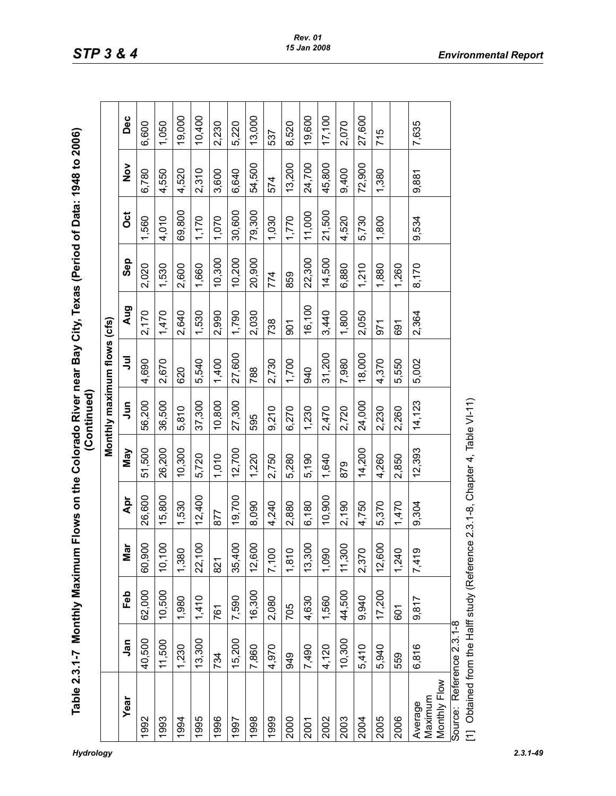| ſ<br>l<br>ſ<br>I        |                                                                                                                                                                                                                                                                                                                                                                                                                                                                                                                                                                 |
|-------------------------|-----------------------------------------------------------------------------------------------------------------------------------------------------------------------------------------------------------------------------------------------------------------------------------------------------------------------------------------------------------------------------------------------------------------------------------------------------------------------------------------------------------------------------------------------------------------|
| $\int$<br>j             | $\begin{array}{c} \begin{array}{c} \begin{array}{c} \begin{array}{c} \end{array}\\ \end{array} \end{array} \end{array} \end{array} \end{array} \end{array} \begin{array}{c} \begin{array}{c} \begin{array}{c} \begin{array}{c} \end{array}\\ \end{array} \end{array} \end{array} \end{array} \end{array} \begin{array}{c} \begin{array}{c} \begin{array}{c} \end{array}\\ \end{array} \end{array} \end{array} \begin{array}{c} \begin{array}{c} \begin{array}{c} \end{array}\\ \end{array} \end{array} \end{array} \end{array} \begin{array}{c} \begin{array}{$ |
|                         |                                                                                                                                                                                                                                                                                                                                                                                                                                                                                                                                                                 |
| Ũ                       |                                                                                                                                                                                                                                                                                                                                                                                                                                                                                                                                                                 |
| hla 7 2 1 - 7 Mani<br>ļ |                                                                                                                                                                                                                                                                                                                                                                                                                                                                                                                                                                 |

|                                                                                                            |        |        |         |        |        | Monthly maximum flows (cfs) |        |        |        |        |               |        |
|------------------------------------------------------------------------------------------------------------|--------|--------|---------|--------|--------|-----------------------------|--------|--------|--------|--------|---------------|--------|
| Year                                                                                                       | Jan    | Feb    | ►<br>Мa | Apr    | Vay    | $\bar{5}$                   | ミ      | Aug    | Sep    | ö      | $\frac{8}{2}$ | Dec    |
| 1992                                                                                                       | 40,500 | 62,000 | 60,900  | 26,600 | 51,500 | 56,200                      | 4,690  | 2,170  | 2,020  | 1,560  | 6,780         | 6,600  |
| 1993                                                                                                       | 11,500 | 10,500 | 10,100  | 5,800  | 26,200 | 36,500                      | 2,670  | 1,470  | 1,530  | 4,010  | 4,550         | 1,050  |
| 1994                                                                                                       | 1,230  | 1,980  | 1,380   | 1,530  | 10,300 | 5,810                       | 620    | 2,640  | 2,600  | 69,800 | 4,520         | 19,000 |
| 1995                                                                                                       | 13,300 | 1,410  | 22,100  | 12,400 | 5,720  | 37,300                      | 5,540  | 1,530  | 1,660  | 1,170  | 2,310         | 10,400 |
| 1996                                                                                                       | 734    | 761    | 821     | 877    | 1,010  | 10,800                      | 1,400  | 2,990  | 10,300 | 1,070  | 3,600         | 2,230  |
| 1997                                                                                                       | 15,200 | 7,590  | 35,400  | 19,700 | 12,700 | 27,300                      | 27,600 | 1,790  | 10,200 | 30,600 | 6,640         | 5,220  |
| 1998                                                                                                       | 7,860  | 16,300 | 12,600  | 8,090  | 1,220  | 595                         | 788    | 2,030  | 20,900 | 79,300 | 54,500        | 13,000 |
| 1999                                                                                                       | 4,970  | 2,080  | 7,100   | 4,240  | 2,750  | 9,210                       | 2,730  | 738    | 774    | 1,030  | 574           | 537    |
| 2000                                                                                                       | 949    | 705    | 1,810   | 2,880  | 5,280  | 6,270                       | 1,700  | 601    | 859    | 1,770  | 13,200        | 8,520  |
| 2001                                                                                                       | 7,490  | 4,630  | 13,300  | 6,180  | 5,190  | 1,230                       | 940    | 16,100 | 22,300 | 11,000 | 24,700        | 19,600 |
| 2002                                                                                                       | 4,120  | 1,560  | 1,090   | 10,900 | 1,640  | 2,470                       | 31,200 | 3,440  | 14,500 | 21,500 | 45,800        | 17,100 |
| 2003                                                                                                       | 10,300 | 44,500 | 11,300  | 2,190  | 879    | 2,720                       | 7,980  | 1,800  | 6,880  | 4,520  | 9,400         | 2,070  |
| 2004                                                                                                       | 5,410  | 9,940  | 2,370   | 4,750  | 14,200 | 24,000                      | 18,000 | 2,050  | 1,210  | 5,730  | 72,900        | 27,600 |
| 2005                                                                                                       | 5,940  | 17,200 | 12,600  | 5,370  | 4,260  | 2,230                       | 4,370  | 971    | 1,880  | 1,800  | 1,380         | 715    |
| 2006                                                                                                       | 559    | 601    | 1,240   | 1,470  | 2,850  | 2,260                       | 5,550  | 691    | 1,260  |        |               |        |
| Monthly Flow<br>Maximum<br>Average                                                                         | 6,816  | 9,817  | 7,419   | 9,304  | 12,393 | 14,123                      | 5,002  | 2,364  | 8,170  | 9,534  | 9,881         | 7,635  |
| [1] Obtained from the Halff study (Reference 2.3.1-8, Chapter 4, Table VI-11)<br>Source: Reference 2.3.1-8 |        |        |         |        |        |                             |        |        |        |        |               |        |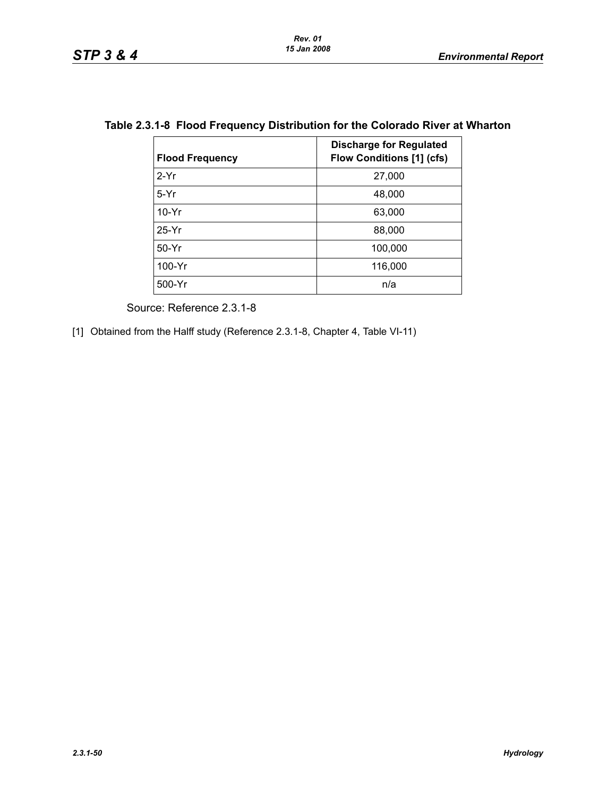| <b>Flood Frequency</b> | <b>Discharge for Regulated</b><br><b>Flow Conditions [1] (cfs)</b> |
|------------------------|--------------------------------------------------------------------|
| $2-Yr$                 | 27,000                                                             |
| $5-Yr$                 | 48,000                                                             |
| $10-Yr$                | 63,000                                                             |
| $25-Yr$                | 88,000                                                             |
| $50-Yr$                | 100,000                                                            |
| 100-Yr                 | 116,000                                                            |
| 500-Yr                 | n/a                                                                |

# **Table 2.3.1-8 Flood Frequency Distribution for the Colorado River at Wharton**

Source: Reference 2.3.1-8

[1] Obtained from the Halff study (Reference 2.3.1-8, Chapter 4, Table VI-11)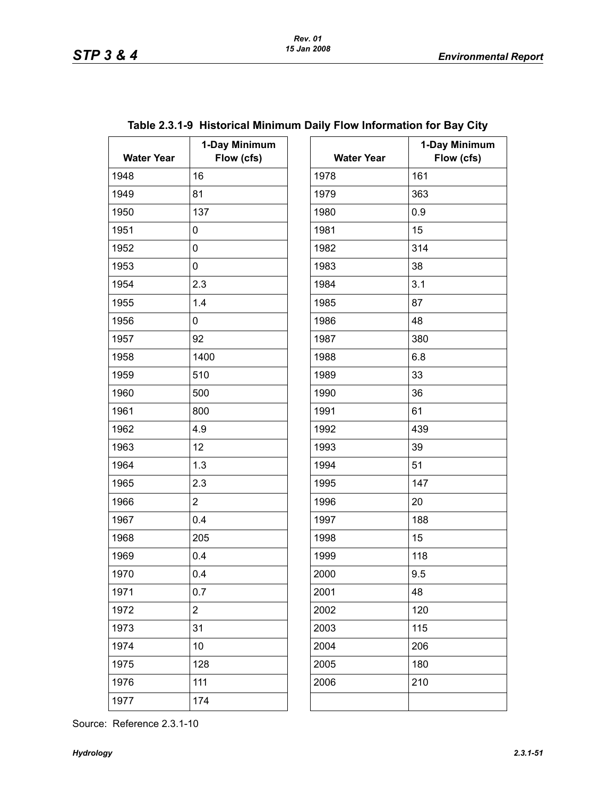| <b>Water Year</b> | 1-Day Minimum<br>Flow (cfs) | <b>Water Year</b> | $\ddagger$ |
|-------------------|-----------------------------|-------------------|------------|
| 1948              | 16                          | 1978              | 161        |
| 1949              | 81                          | 1979              | 363        |
| 1950              | 137                         | 1980              | 0.9        |
| 1951              | 0                           | 1981              | 15         |
| 1952              | 0                           | 1982              | 314        |
| 1953              | 0                           | 1983              | 38         |
| 1954              | 2.3                         | 1984              | 3.1        |
| 1955              | 1.4                         | 1985              | 87         |
| 1956              | 0                           | 1986              | 48         |
| 1957              | 92                          | 1987              | 380        |
| 1958              | 1400                        | 1988              | 6.8        |
| 1959              | 510                         | 1989              | 33         |
| 1960              | 500                         | 1990              | 36         |
| 1961              | 800                         | 1991              | 61         |
| 1962              | 4.9                         | 1992              | 439        |
| 1963              | 12                          | 1993              | 39         |
| 1964              | 1.3                         | 1994              | 51         |
| 1965              | 2.3                         | 1995              | 147        |
| 1966              | $\overline{2}$              | 1996              | 20         |
| 1967              | 0.4                         | 1997              | 188        |
| 1968              | 205                         | 1998              | 15         |
| 1969              | 0.4                         | 1999              | 118        |
| 1970              | 0.4                         | 2000              | 9.5        |
| 1971              | 0.7                         | 2001              | 48         |
| 1972              | $\overline{2}$              | 2002              | 120        |
| 1973              | 31                          | 2003              | 115        |
| 1974              | 10                          | 2004              | 206        |
| 1975              | 128                         | 2005              | 180        |
| 1976              | 111                         | 2006              | 210        |
| 1977              | 174                         |                   |            |

|  |  |  |  |  | Table 2.3.1-9 Historical Minimum Daily Flow Information for Bay City |
|--|--|--|--|--|----------------------------------------------------------------------|
|--|--|--|--|--|----------------------------------------------------------------------|

| ay Minimum<br>Flow (cfs) | <b>Water Year</b> | 1-Day Minimum<br>Flow (cfs) |
|--------------------------|-------------------|-----------------------------|
|                          | 1978              | 161                         |
|                          | 1979              | 363                         |
|                          | 1980              | 0.9                         |
|                          | 1981              | 15                          |
|                          | 1982              | 314                         |
|                          | 1983              | 38                          |
|                          | 1984              | 3.1                         |
|                          | 1985              | 87                          |
|                          | 1986              | 48                          |
|                          | 1987              | 380                         |
|                          | 1988              | 6.8                         |
|                          | 1989              | 33                          |
|                          | 1990              | 36                          |
|                          | 1991              | 61                          |
|                          | 1992              | 439                         |
|                          | 1993              | 39                          |
|                          | 1994              | 51                          |
|                          | 1995              | 147                         |
|                          | 1996              | 20                          |
|                          | 1997              | 188                         |
|                          | 1998              | 15                          |
|                          | 1999              | 118                         |
|                          | 2000              | 9.5                         |
|                          | 2001              | 48                          |
|                          | 2002              | 120                         |
|                          | 2003              | 115                         |
|                          | 2004              | 206                         |
|                          | 2005              | 180                         |
|                          | 2006              | 210                         |
|                          |                   |                             |
|                          |                   |                             |

Source: Reference 2.3.1-10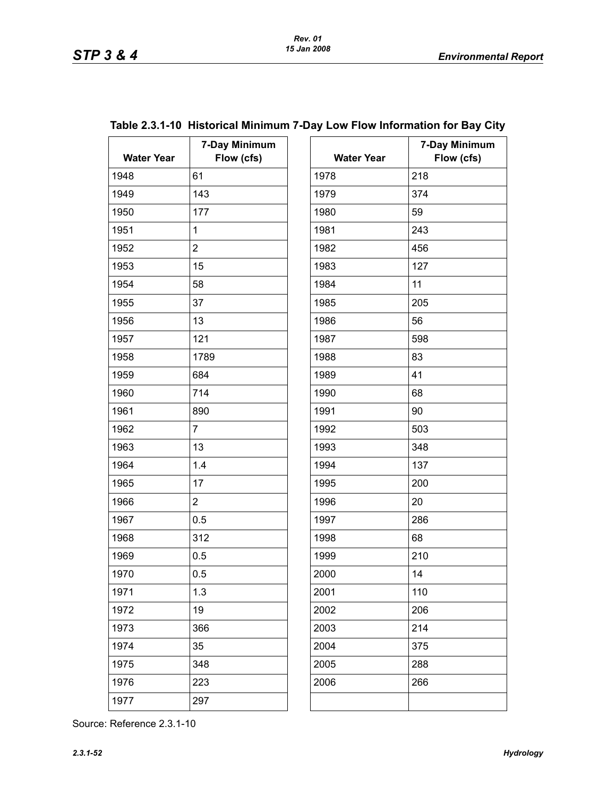| <b>Water Year</b> | 7-Day Minimum<br>Flow (cfs) | <b>Water Year</b> | 7.  |
|-------------------|-----------------------------|-------------------|-----|
| 1948              | 61                          | 1978              | 218 |
| 1949              | 143                         | 1979              | 374 |
| 1950              | 177                         | 1980              | 59  |
| 1951              | $\mathbf{1}$                | 1981              | 243 |
| 1952              | $\overline{2}$              | 1982              | 456 |
| 1953              | 15                          | 1983              | 127 |
| 1954              | 58                          | 1984              | 11  |
| 1955              | 37                          | 1985              | 205 |
| 1956              | 13                          | 1986              | 56  |
| 1957              | 121                         | 1987              | 598 |
| 1958              | 1789                        | 1988              | 83  |
| 1959              | 684                         | 1989              | 41  |
| 1960              | 714                         | 1990              | 68  |
| 1961              | 890                         | 1991              | 90  |
| 1962              | $\overline{7}$              | 1992              | 503 |
| 1963              | 13                          | 1993              | 348 |
| 1964              | 1.4                         | 1994              | 137 |
| 1965              | 17                          | 1995              | 200 |
| 1966              | $\overline{2}$              | 1996              | 20  |
| 1967              | 0.5                         | 1997              | 286 |
| 1968              | 312                         | 1998              | 68  |
| 1969              | 0.5                         | 1999              | 210 |
| 1970              | 0.5                         | 2000              | 14  |
| 1971              | 1.3                         | 2001              | 110 |
| 1972              | 19                          | 2002              | 206 |
| 1973              | 366                         | 2003              | 214 |
| 1974              | 35                          | 2004              | 375 |
| 1975              | 348                         | 2005              | 288 |
| 1976              | 223                         | 2006              | 266 |
| 1977              | 297                         |                   |     |
|                   |                             |                   |     |

# **Table 2.3.1-10 Historical Minimum 7-Day Low Flow Information for Bay City**

| <b>Water Year</b> | 7-Day Minimum<br>Flow (cfs) |
|-------------------|-----------------------------|
| 1978              | 218                         |
| 1979              | 374                         |
| 1980              | 59                          |
| 1981              | 243                         |
| 1982              | 456                         |
| 1983              | 127                         |
| 1984              | 11                          |
| 1985              | 205                         |
| 1986              | 56                          |
| 1987              | 598                         |
| 1988              | 83                          |
| 1989              | 41                          |
| 1990              | 68                          |
|                   |                             |
| 1991              | 90                          |
| 1992              | 503                         |
| 1993              | 348                         |
| 1994              | 137                         |
| 1995              | 200                         |
| 1996              | 20                          |
| 1997              | 286                         |
| 1998              | 68                          |
| 1999              | 210                         |
| 2000              | 14                          |
| 2001              | 110                         |
| 2002              | 206                         |
| 2003              | 214                         |
| 2004              | 375                         |
| 2005              | 288                         |
| 2006              | 266                         |
|                   |                             |

Source: Reference 2.3.1-10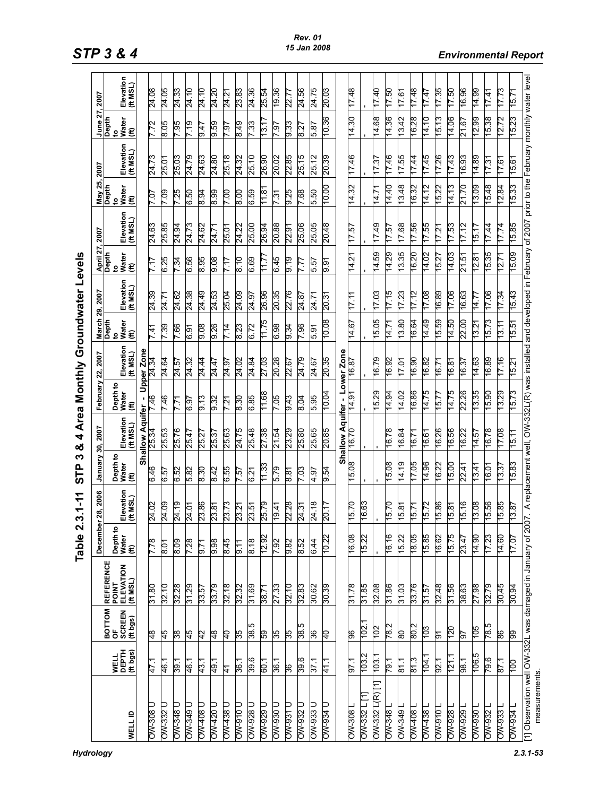|                                                                           |                                  |                                                  |                                                       | Fable 2                   | 3.1-11                | M<br>բ<br>Տ               | 4<br>ఱ                 |                           |                            |                                 | Area Monthly Groundwater Levels                                                                                             |                                                                                                                                                                                        |                       |                        |                       |                           |                       |
|---------------------------------------------------------------------------|----------------------------------|--------------------------------------------------|-------------------------------------------------------|---------------------------|-----------------------|---------------------------|------------------------|---------------------------|----------------------------|---------------------------------|-----------------------------------------------------------------------------------------------------------------------------|----------------------------------------------------------------------------------------------------------------------------------------------------------------------------------------|-----------------------|------------------------|-----------------------|---------------------------|-----------------------|
|                                                                           |                                  |                                                  |                                                       | <b>December</b>           | 2006<br>28,           | 30,<br>January            | 2007                   | February                  | 2007<br>ឳ,                 | ని,<br>March<br>Depth           | 2007                                                                                                                        |                                                                                                                                                                                        | 2007                  | 25,<br>May 25<br>Depth | 2007                  | $\frac{June 27}{Depth}$   | 2007                  |
| <b>WELL ID</b>                                                            | <b>WELL</b><br>DEPTH<br>(ft bgs) | <b>BOTTOM</b><br>OF<br><b>SCREEN</b><br>(ft bgs) | <b>REFERENCE<br/>POINT<br/>ELEVATION<br/>(ft MSL)</b> | Depth to<br>Water<br>(ft) | Elevation<br>(ft MSL) | Depth to<br>Water<br>(ft) | Elevation<br>(ft MSL)  | Depth to<br>Water<br>(ft) | Elevation<br>(ft MSL)      | vater<br>(ft)<br>$\overline{S}$ | Elevation<br>(ft MSL)                                                                                                       | $\begin{array}{l} \Delta \mathrm{pril} \; 27, \\ \mathrm{Depth} \\ \mathrm{to} \\ \mathrm{Water} \\ \left(\begin{matrix} \mathfrak{m} \\ \mathfrak{m} \end{matrix}\right) \end{array}$ | Elevation<br>(ft MSL) | to<br>Water<br>(ft)    | Elevation<br>(ft MSL) | vater<br>(ft)<br><u>۽</u> | Elevation<br>(ft MSL) |
|                                                                           |                                  |                                                  |                                                       |                           |                       |                           | <b>Shallow Aquifer</b> |                           | Upper Zone                 |                                 |                                                                                                                             |                                                                                                                                                                                        |                       |                        |                       |                           |                       |
| ⊃<br>$OW-308$                                                             | 47.1                             | $\frac{8}{4}$                                    | 31.80                                                 | 7.78                      | 24.02                 | 646                       | 25.34                  | 7.46                      | 24.34                      | 7.41                            | 24.39                                                                                                                       | 7.17                                                                                                                                                                                   | 24.63                 | 7.07                   | 24.73                 | 7.72                      | 24.08                 |
| OW-332 U                                                                  | 46.1                             | 45                                               | 32.10                                                 | 8.01                      | 24.09                 | 6.57                      | 25.53                  | 7.46                      | 24.64                      | 7.39                            | 24.71                                                                                                                       | 6.25                                                                                                                                                                                   | 25.85                 | 7.09                   | 25.01                 | 8.05                      | 24.05                 |
| <b>DW-348 U</b>                                                           | 39.1                             | 38                                               | 32.28                                                 | 8.09                      | 24.19                 | 6.52                      | 25.76                  | 7.71                      | 24.57                      | 7.66                            | 24.62                                                                                                                       | 7.34                                                                                                                                                                                   | 24.94                 | 7.25                   | 25.03                 | 7.95                      | 24.33                 |
| OW-349 U                                                                  | 46.1                             | 45                                               | 31.29                                                 | 7.28                      | 24.01                 | 5.82                      | 25.47                  | 6.97                      | 24.32                      | 6.91                            | 24.38                                                                                                                       | 6.56                                                                                                                                                                                   | 24.73                 | 6.50                   | 24.79                 | 719                       | 24.10                 |
| OW-408 U                                                                  | 43.1                             | 42                                               | 33.57                                                 | 5.71                      | 23.86                 | 8.30                      | 25.27                  | 9.13                      | 24.44                      | 0.08                            | 24.49                                                                                                                       | 8.95                                                                                                                                                                                   | 24.62                 | 8.94                   | 24.63                 | 9.47                      | 24.10                 |
| OW-420 U                                                                  | 49.1                             | $\frac{8}{3}$                                    | 33.79                                                 | 9.98                      | 23.81                 | 8.42                      | 25.37                  | 9.32                      | 24.47                      | 9.26                            | 24.53                                                                                                                       | 0.08                                                                                                                                                                                   | 24.71                 | 8.99                   | 24.80                 | 9.59                      | 24.20                 |
| 0 8 st WO                                                                 | 41                               | ₽                                                | 32.18                                                 | 8.45                      | 23.73                 | 6.55                      | 25.63                  | 7.21                      | 24.97                      | 7.14                            | 25.04                                                                                                                       | 717                                                                                                                                                                                    | 25.01                 | 00 <sub>1</sub>        | 25.18                 | $-61$                     | 24.21                 |
| <b>006-MO</b>                                                             | 36.1                             | 35                                               | 32.32                                                 | 5. f                      | 23.21                 | 7.57                      | 24.75                  | 8.30                      | 24.02                      | 8.23                            | 24.09                                                                                                                       | 8.10                                                                                                                                                                                   | 24.22                 | 8.00                   | 24.32                 | 8.49                      | 23.83                 |
| <b>OW-928 U</b>                                                           | 39.6                             | 38.5                                             | 31.69                                                 | $\frac{8}{8}$             | 23.51                 | 6.27                      | 25.48                  | 6.85                      | 24.84                      | 6.72                            | 24.97                                                                                                                       | 6.69                                                                                                                                                                                   | 25.00                 | 6.59                   | 25.10                 | 7.33                      | 24.36                 |
| <b>OW-929 U</b>                                                           | 60.1                             | S5                                               | 38.71                                                 | 12.92                     | 25.79                 | 11.33                     | 27.38                  | 11.68                     | 27.03                      | 11.75                           | 26.96                                                                                                                       | 7<br>11                                                                                                                                                                                | 26.94                 | 11.8'                  | 26.90                 | 13.1                      | 25.54                 |
| <b>DW-930 D</b>                                                           | 36.1                             | 35                                               | 27.33                                                 | 7.92                      | 19.41                 | 5.79                      | 21.54                  | 7.05                      | 20.28                      | 6.98                            | 20.35                                                                                                                       | 6.45                                                                                                                                                                                   | 20.88                 | 7.31                   | 20.02                 | 7.97                      | 19.36                 |
| <b>DW-931 D</b>                                                           | 36                               | 55                                               | 32.10                                                 | 9.82                      | 22.28                 | 8.81                      | 23.29                  | 9.43                      | 22.67                      | 9.34                            | 22.76                                                                                                                       | $\frac{9}{19}$                                                                                                                                                                         | 22.91                 | 9.25                   | 22.85                 | 9.33                      | 22.77                 |
| <b>OW-932 U</b>                                                           | 39.6                             | 38.5                                             | 32.83                                                 | 8.52                      | 24.31                 | 7.03                      | 25.80                  | 8.04                      | 24.79                      | 7.96                            | 24.87                                                                                                                       | 7.77                                                                                                                                                                                   | 25.06                 | 7.68                   | 25.15                 | 8.27                      | 24.56                 |
| <b>DW-933 U</b>                                                           | 37.1                             | 86                                               | 30.62                                                 | 6.44                      | 24.18                 | 4.97                      | 25.65                  | 5.95                      | 24.67                      | 5.91                            | 24.71                                                                                                                       | 5.57                                                                                                                                                                                   | 25.05                 | 5.50                   | 25.12                 | 5.87                      | 24.75                 |
| <b>DW-934 D</b>                                                           | 41.1                             | $\overline{P}$                                   | 30.39                                                 | 10.22                     | 20.17                 | 9.54                      | 20.85                  | 10.04                     | 20.35                      | 10.08                           | 20.31                                                                                                                       | 9.91                                                                                                                                                                                   | 20.48                 | 10.00                  | 20.39                 | 10.36                     | 20.03                 |
|                                                                           |                                  |                                                  |                                                       |                           |                       |                           |                        |                           | $\frac{Lower Zone}{16.87}$ |                                 |                                                                                                                             |                                                                                                                                                                                        |                       |                        |                       |                           |                       |
| 1808-MO                                                                   | 57.1                             | 8                                                | 31.78                                                 | 16.08                     | 15.70                 | 15.08                     |                        | 14.91                     |                            | 14.67                           | 17.11                                                                                                                       | 14.21                                                                                                                                                                                  | 17.57                 | 14.32                  | 17.46                 | 14.30                     | 17.48                 |
| $OW-332$ L [1                                                             | 103.2                            | 102.1                                            | 31.85                                                 | 15.22                     | 16.63                 |                           |                        |                           |                            |                                 |                                                                                                                             |                                                                                                                                                                                        |                       |                        |                       |                           |                       |
| $OW-332$ L(R) [1]                                                         | 103.1                            | 102                                              | 32.08                                                 |                           |                       |                           |                        | 5.29                      | 16.79                      | 15.05                           | 17.03                                                                                                                       | 14.59                                                                                                                                                                                  | 17.49                 | 14.71                  | 17.37                 | 14.68                     | 17.40                 |
| <b>OW-348</b>                                                             | 79.1                             | 782                                              | 31.86                                                 | 16.16                     | 15.70                 | 15.08                     | 16.78                  | 14.94                     | 16.92                      | 14.71                           | 7.15                                                                                                                        | 14.29                                                                                                                                                                                  | 17.57                 | 14.40                  | 17.46                 | 14.36                     | 17.50                 |
| OW-349                                                                    | 811                              | ဓ္ထ                                              | 31.03                                                 | 15.22                     | 15.81                 | 14.19                     | 16.84                  | 14.02                     | 17.01                      | 13.80                           | 7.23                                                                                                                        | 13.35                                                                                                                                                                                  | 17.68                 | 13.48                  | 17.55                 | 13.42                     | 17.61                 |
| OW-408                                                                    | 81.3                             | 802                                              | 33.76                                                 | 18.05                     | 15.71                 | 17.05                     | 16.71                  | 6.86                      | 16.90                      | 16.64                           | 17.12                                                                                                                       | 16.20                                                                                                                                                                                  | 17.56                 | 16.32                  | 17.44                 | 16.28                     | 17.48                 |
| $OW-438$                                                                  | 104.1                            | 103                                              | 31.57                                                 | 15.85                     | 15.72                 | 14.96                     | 16.61                  | 14.75                     | 16.82                      | 14.49                           | 17.08                                                                                                                       | 14.02                                                                                                                                                                                  | 17.55                 | 14.12                  | 1745                  | 14.10                     | 17.47                 |
| OW-910                                                                    | 92.1                             | ৯                                                | 32.48                                                 | 16.62                     | 15.86                 | 16.22                     | 16.26                  | 15.77                     | 16.71                      | 15.59                           | 16.89                                                                                                                       | 15.27                                                                                                                                                                                  | 17.21                 | 15.22                  | 17.26                 | 15.13                     | 17.35                 |
| <b>OW-928</b>                                                             | 121.1                            | 120                                              | 31.56                                                 | 15.75                     | 15.81                 | 15.00                     | 16.56                  | 14.75                     | 16.81                      | 14.50                           | 17.06                                                                                                                       | 14.03                                                                                                                                                                                  | 17.53                 | 14.13                  | 17.43                 | 14.06                     | 17.50                 |
| <b>OW-929</b>                                                             | $-86$                            | 5                                                | 38.63                                                 | 23.47                     | 15.16                 | 22.41                     | 16.22                  | 22.26                     | 16.37                      | 22.00                           | 16.63                                                                                                                       | 21.51                                                                                                                                                                                  | 17.12                 | 21.70                  | 16.93                 | 21.67                     | 16.96                 |
| <b>OW-930</b>                                                             | 106.5                            | $rac{105}{105}$                                  | 27.98                                                 | 14.90                     | 13.08                 | 13.41                     | 14.57                  | 13.35                     | 14.63                      | 13.21                           | 14.77                                                                                                                       | 12.81                                                                                                                                                                                  | 15.17                 | 13.09                  | 14.89                 | 12.99                     | 14.99                 |
| <b>CM-932</b>                                                             | 79.6                             | 78.5                                             | 32.79                                                 | 17.23                     | 15.56                 | 16.01                     | 16.78                  | 15.90                     | 16.89                      | 15.73                           | 17.06                                                                                                                       | 15.35                                                                                                                                                                                  | 17.44                 | 15.48                  | 17.31                 | 15.38                     | 17.41                 |
| <b>188-MO</b>                                                             | 87.1                             | 88                                               | 30.45                                                 | 14.60                     | 15.85                 | 13.37                     | 17.08                  | 3.29                      | 17.16                      | 13.11                           | 17.34                                                                                                                       | 12.71                                                                                                                                                                                  | 17.74                 | 12.84                  | $-9.1$                | 12.72                     | 17.73                 |
| 1 PS6-MO                                                                  | 100                              | 8                                                | 30.94                                                 | 17.07                     | 13.87                 | 15.83                     | $-5.11$                | 5.73                      | 15.21                      | 5.51                            | 15.43                                                                                                                       | 5.09                                                                                                                                                                                   | 15.85                 | 5.33                   | 5.61                  | 15.23                     | 15.71                 |
| 1] Observation well OW-332L was damaged in January of 200<br>measurements |                                  |                                                  |                                                       |                           |                       |                           |                        |                           |                            |                                 | 7. A replacement well, OW-332L(R) was installed and developed in February of 2007 prior to the February monthly water level |                                                                                                                                                                                        |                       |                        |                       |                           |                       |

*STP 3 & 4 Environmental Report*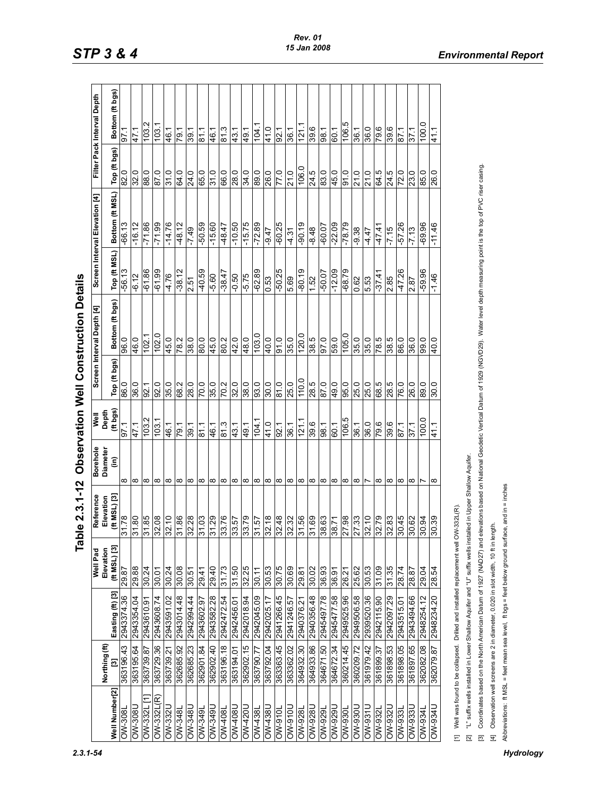|                          |                    |                                                                                                              |                                   | Fable 2.3.1-12                                                                                                             |                             |                   |                  | <b>Observation Well Construction Details</b>                                                                                                                                                              |              |                               |              |                            |
|--------------------------|--------------------|--------------------------------------------------------------------------------------------------------------|-----------------------------------|----------------------------------------------------------------------------------------------------------------------------|-----------------------------|-------------------|------------------|-----------------------------------------------------------------------------------------------------------------------------------------------------------------------------------------------------------|--------------|-------------------------------|--------------|----------------------------|
|                          |                    |                                                                                                              | Well Pad                          | Reference                                                                                                                  | <b>Borehole</b><br>Diameter | Well              |                  | Screen Interval Depth [4]                                                                                                                                                                                 |              | Screen Interval Elevation [4] |              | Filter Pack Interval Depth |
| Well Number[2]           | Northing (ft)<br>Ξ | Easting (ft) [3]                                                                                             | $($ ft MSL $)$ $[3]$<br>Elevation | $(ft$ MSL $)$ $[3]$<br>Elevation                                                                                           | ίm)                         | Depth<br>(ft bgs) | Top (ft bgs)     | Bottom (ft bgs)                                                                                                                                                                                           | Top (ft MSL) | Bottom (ft MSL)               | Top (ft bgs) | Bottom (ft bgs)            |
| <b>1808-MO</b>           | 363196.43          | 2943374.36                                                                                                   | 29.87                             | 81.78                                                                                                                      | $^\infty$                   | $-26$             | 86.0             | 0.96                                                                                                                                                                                                      | $-56.13$     | $-66.13$                      | 82.0         | 57.1                       |
| <b>DIN-308</b>           | 363195.64          | 2943354.04                                                                                                   | 29.88                             | 31.80                                                                                                                      | $\infty$                    | 47.1              | 36.0             | 46.0                                                                                                                                                                                                      | $-6.12$      | $-16.12$                      | 32.0         | 47.1                       |
| <b>7285-MO</b>           | 363739.87          | 0.0198425                                                                                                    | 30.24                             | 31.85                                                                                                                      | $\infty$                    | 103.2             | 92.1             | 102.                                                                                                                                                                                                      | $-61.86$     | $-71.86$                      | 0.88         | 103.                       |
| OW-332L(R)               | 363729.36          | <b>7294360874</b>                                                                                            | 30.01                             | 32.08                                                                                                                      | $\infty$                    | 103               | 92.0             | 102.0                                                                                                                                                                                                     | 66'19-       | $-71.99$                      | 87.0         | $103$ .                    |
| <b>OW-3321</b>           | 363739.21          | 2943591.02                                                                                                   | 30.24                             | 32.10                                                                                                                      | $\infty$                    | 46.1              | 35.0<br>68.2     | 45.0                                                                                                                                                                                                      | $-4.76$      | $-14.76$                      | 31.0         | 46.1                       |
| <b>OW-348</b>            | 362685.92          | 2943014.48                                                                                                   | 30.08                             | 31.86<br>32.28                                                                                                             | $\infty$ $\infty$           | 79.1              |                  | $\frac{78.2}{38.0}$                                                                                                                                                                                       | $-38.12$     | $-48.12$                      | 64.0         | 79.1                       |
| OW-348L                  | 362685.23          | <b>7942994.44</b>                                                                                            | 30.51                             |                                                                                                                            |                             | 391               | 28.0             |                                                                                                                                                                                                           | 2.51         | $-7.49$                       | 24.0         | 39.1                       |
| <b>OW-349L</b>           | 362901.84          | 2943602.97                                                                                                   | 29.41                             | 31.03                                                                                                                      | $\infty$                    | 81.1              | $\frac{0.01}{2}$ | 80.0                                                                                                                                                                                                      | $-40.59$     | $-50.59$                      | 65.0         | 81.1                       |
| <b>OW-349L</b>           | 362902.40          | 2943582.28                                                                                                   | 29.40                             | 31.29                                                                                                                      | $\infty$                    | 46.1              | 35.0             | 45.0                                                                                                                                                                                                      | $-5.60$      | $-15.60$                      | 31.0         | 46.1                       |
| 180 <del>1</del> -MO     | 363196.18          | 2942472.54                                                                                                   | 31.73                             |                                                                                                                            | $\infty$                    | 81.3              | 70.2             | 80.2                                                                                                                                                                                                      | $-38.47$     | $-48.47$                      | 66.0         | 81.3                       |
| <b>0W-408L</b>           | 10 16 1595         | 2942456.01                                                                                                   | 31.50                             | 33.57                                                                                                                      | $\infty$                    | 43.1              | 32.0             | 42.0                                                                                                                                                                                                      | 0.50         | $-10.50$                      | 28.0         | 43.1                       |
| <b>OW-420U</b>           | 362902.15          | 2942018.94                                                                                                   | 32.25                             |                                                                                                                            |                             | 49.1              | 38.0             | 48.0                                                                                                                                                                                                      | $-5.75$      | $-15.75$                      | 34.0         | 49.1                       |
| 1887-MO                  | <b>ZZ</b> :062898  | 2942045.09                                                                                                   | 11.08                             |                                                                                                                            | $\infty$ $\infty$ $\infty$  | 104.              | 93.0             | 0.801                                                                                                                                                                                                     | $-62.89$     | $-72.89$                      | 0.68         | 104.                       |
| <b>NSSt-MO</b>           | 363792.04          | 2942025.17                                                                                                   | £2 0.5                            |                                                                                                                            |                             | 41.0              | 30.0             | 40.0                                                                                                                                                                                                      | 0.53         | $-9.47$                       | 26.0         | 41.0                       |
| OW-910L                  | 363363.45          | 2941266.45                                                                                                   | 30.75                             | $\frac{8}{33.56}$<br>$\frac{8}{37.58}$<br>$\frac{8}{32.48}$                                                                | $\infty$                    | 92.1              | 81.0             | 91.0                                                                                                                                                                                                      | $-50.25$     | $-60.25$                      | 77.0         | 92.1                       |
| 1016-MQ                  | 363362.02          | 2941246.57                                                                                                   | 30.69                             | $\frac{2}{35}$<br>$\frac{2}{35}$<br>$\frac{2}{35}$<br>$\frac{2}{35}$<br>$\frac{2}{35}$<br>$\frac{2}{35}$<br>$\frac{2}{35}$ | $\infty$                    | 36.1              | 25.0             | 35.0                                                                                                                                                                                                      | 69           | $-4.31$                       | 21.0         | 36.1                       |
| <b>DW-928L</b>           | 364932.30          | 2940376.21                                                                                                   | 29.81                             |                                                                                                                            | $\infty$                    | 121.1             | 110.0            | 120.0                                                                                                                                                                                                     | $-80.19$     | $-90.19$                      | 106.0        | 121.7                      |
| <b>DW-928L</b>           | 364933.86          | 2940356.48                                                                                                   | 30.02                             |                                                                                                                            |                             | 39.6              | 28.5             | 38.5                                                                                                                                                                                                      | 1.52         | $-8.48$                       | 24.5         | 39.6                       |
| <b>I6Z6-MO</b>           | 364671.50          | 2945497.78                                                                                                   | 36.93                             |                                                                                                                            | $\infty$ $\infty$ $\infty$  | .86               | 87.0             | 97.0                                                                                                                                                                                                      | $-50.07$     | $-60.07$                      | 83.0         | .86                        |
| <b>DW-929U</b>           | 364672.34          | 2945477.58                                                                                                   | 36.91                             |                                                                                                                            |                             | 60.1              | 49.0             | $\overline{59.0}$                                                                                                                                                                                         | $-12.09$     | $-22.09$                      | 45.0         | 60.1                       |
| <b>OW-930L</b>           | 360214.45          | 2949525.96                                                                                                   | 26.21                             | 27.98                                                                                                                      |                             | 106.5             | <b>95.0</b>      | 105.0                                                                                                                                                                                                     | $-68.79$     |                               | 91.0         | 106.5                      |
| <b>DW-930U</b>           | 360209.72          | 2949506.58                                                                                                   | 25.62                             | 27.33                                                                                                                      | $\infty$                    | 36.1              | 25.0             | 35.0                                                                                                                                                                                                      | 0.62         | $-9.38$                       | 21.0         | 36.1                       |
| <b>1086-MO</b>           | 361979.42          | 2939520.36                                                                                                   | 30.53                             | $\frac{1}{32.10}$                                                                                                          |                             | 36.0              | 25.0             | 35.0                                                                                                                                                                                                      | 5.53         | $-4.47$                       | 21.0         | 36.0                       |
| OW-9321                  | 361899.37          | 2942115.90                                                                                                   | 80.13                             | 32.79                                                                                                                      | ∞                           | 79.6              | 68.5             | 5.87                                                                                                                                                                                                      | $-37.41$     | $-47.41$                      | 64.5         | 9.67                       |
| <b>7286-MO</b>           | 361898.53          | 2942097.29                                                                                                   | 31.35                             | 32.83<br>30.45                                                                                                             | $\infty$                    | 39.6              | 28.5             | 38.5                                                                                                                                                                                                      | 2.85         | $-7.15$                       | 24.5         | 39.6                       |
| <b>1886-MO</b>           | 361898.05          | 2943515.01                                                                                                   | 28.74                             |                                                                                                                            | $\infty$                    | 87.1              | 76.0             | 86.0                                                                                                                                                                                                      | $-47.26$     | $-57.26$                      | 72.0         | 87.1                       |
| <b>JEE6-MO</b>           | 361897.65          | 2943494.66                                                                                                   | 48.82                             | 30.62                                                                                                                      | $\infty$                    | 37.1              | 26.0             | 36.0                                                                                                                                                                                                      | 2.87         | $-7.13$                       | 23.0         | 37.1                       |
| <b>1<sub>26</sub>-MO</b> | 362082.08          | 2948254.12                                                                                                   | 29.04                             | 30.94                                                                                                                      |                             | 100.0             | 0.68             | 99.0                                                                                                                                                                                                      | $-59.96$     | $-69.96$                      | 85.0         | 100.0                      |
| <b>1FS6-MO</b>           | 362079.87          | 2948234.20                                                                                                   | 28.54                             | 30.39                                                                                                                      | $\infty$                    |                   | 0.05             | $\frac{40.0}{ }$                                                                                                                                                                                          | $-1.46$      | $-11.46$                      | 0.92         | 41.1                       |
|                          |                    | [1] Well was found to be collapsed. Drilled and installed replacement well OW-332L(R).                       |                                   |                                                                                                                            |                             |                   |                  |                                                                                                                                                                                                           |              |                               |              |                            |
| $\overline{\mathbb{Z}}$  |                    | "L" suffix wells installed in Lower Shallow Aquifer and "U" suffix wells installed in Upper Shallow Aquifer. |                                   |                                                                                                                            |                             |                   |                  |                                                                                                                                                                                                           |              |                               |              |                            |
| $\overline{5}$           |                    |                                                                                                              |                                   |                                                                                                                            |                             |                   |                  | Coordinates based on the North American Datum of 1927 (NAD27) and elevations based on National Geodetic Vertical Datum of 1929 (NGVD29). Water level depth measuring point is the top of PVC riser casing |              |                               |              |                            |
| $\overline{E}$           |                    | Observation well screens are 2 in diameter, 0.020 in slot width, 10 ft in length.                            |                                   |                                                                                                                            |                             |                   |                  |                                                                                                                                                                                                           |              |                               |              |                            |
|                          |                    | Abbreviations: ft MSL = feet mean sea level, ft bgs = feet below ground surface, and in = inches             |                                   |                                                                                                                            |                             |                   |                  |                                                                                                                                                                                                           |              |                               |              |                            |
|                          |                    |                                                                                                              |                                   |                                                                                                                            |                             |                   |                  |                                                                                                                                                                                                           |              |                               |              |                            |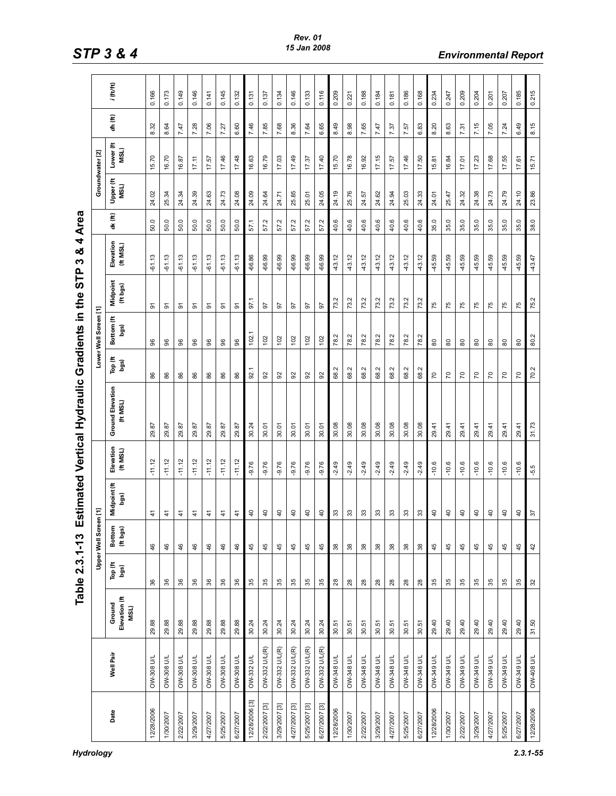|                |                   |                                 | Table 2.3.1-13   |                        |                      |                     | Estimated Vertical Hydraulic       |                 | Gradients in the      | բ<br>Տ                               | ×<br>M                | 4 Area        |                   |                   |         |             |
|----------------|-------------------|---------------------------------|------------------|------------------------|----------------------|---------------------|------------------------------------|-----------------|-----------------------|--------------------------------------|-----------------------|---------------|-------------------|-------------------|---------|-------------|
|                |                   |                                 |                  | <b>Upper Well Scre</b> | en [1]               |                     |                                    |                 | Lower Well Screen [1] |                                      |                       |               | Groundwater [2]   |                   |         |             |
| Date           | Well Pair         | Elevation (ft<br>Ground<br>MSL) | Top (ft<br>logs) | Bottom<br>(ft bgs)     | Midpoint (ft<br>bgs) | Elevation<br>(HMSL) | <b>Ground Elevation</b><br>(H MSL) | Top (ft<br>bgs) | £<br>Bottom<br>bgs)   | Midpoint<br>(ft bgs)                 | Elevation<br>(ft MSL) | dx (ft)       | Upper (ft<br>MSL) | Lower (ft<br>MSL) | dh (ft) | $i$ (ft/ft) |
| 12/28/2006     | <b>OW-308 U/L</b> | 29.88                           | 36               | 46                     | 41                   | $-11.12$            | 29.87                              | 86              | 96                    | ଚ                                    | $-61.13$              | 50.0          | 24.02             | 15.70             | ಜ<br>∞  | 0.166       |
| 1/30/2007      | <b>OW-308 U/L</b> | 29.88                           | 36               | 46                     | $\frac{4}{1}$        | $-11.12$            | 29.87                              | 86              | 96                    | 5                                    | $-61.13$              | $\circ$<br>S. | 25.34             | 16.70             | 64<br>∞ | 0.173       |
| 2/22/2007      | OW-308 U/L        | 29.88                           | 36               | 46                     | $\frac{4}{1}$        | $-11.12$            | 29.87                              | 86              | 96                    | ଚ                                    | $-61.13$              | 50.0          | 24.34             | 16.87             | 7.47    | 0.149       |
| 3/29/2007      | OW-308 U/L        | 29.88                           | 36               | 46                     | $\ddot{+}$           | $-11.12$            | 29.87                              | 86              | 96                    | ଚ                                    | $-61.13$              | 50.0          | 24.39             | 17.11             | 7.28    | 0.146       |
| 4/27/2007      | OW-308 U/L        | 29.88                           | $36\,$           | 46                     | $\ddot{+}$           | $-11.12$            | 29.87                              | 86              | 96                    | ଚ                                    | $-61.13$              | 50.0          | 24.63             | 17.57             | 7.06    | 0.141       |
| 5/25/2007      | <b>OW-308 U/L</b> | 29.88                           | 36               | 46                     | $\ddot{4}$           | $-11.12$            | 29.87                              | 86              | 8                     | ଚ                                    | $-61.13$              | 50.0          | 24.73             | 17.46             | 7.27    | 0.145       |
| 6/27/2007      | <b>OW-308 U/L</b> | 29.88                           | $36\,$           | 46                     | $\ddot{4}$           | $-11.12$            | 29.87                              | 86              | 96                    | ଚ                                    | $-61.13$              | 50.0          | 24.08             | 17.48             | 6.60    | 0.132       |
| 12/28/2006 [3] | OW-332 U/L        | 30.24                           | 35               | 45                     | $\overline{4}$       | $-9.76$             | 30.24                              | 92.1            | 102.                  | 97.1                                 | $-66.86$              | 57.1          | 24.09             | 16.63             | 7.46    | 0.131       |
| 2/22/2007 [3]  | OW-332 U/L(R)     | 30.24                           | $35\,$           | 45                     | $\overline{a}$       | -9.76               | 30.01                              | 92              | 102                   | 5                                    | $-66.99$              | Ņ<br>57.      | 24.64             | 16.79             | 7.85    | 0.137       |
| 3/29/2007 [3]  | OW-332 U/L(R)     | 30.24                           | 35               | 45                     | $\overline{4}$       | $-9.76$             | 30.01                              | 92              | 102                   | 97                                   | $-66.99$              | Ņ<br>57.      | 24.71             | 17.03             | 7.68    | 0.134       |
| 4/27/2007 [3]  | OW-332 U/L(R)     | 30.24                           | $35\,$           | 45                     | $\overline{4}$       | $-9.76$             | 30.01                              | 92              | 102                   | 57                                   | $-66.99$              | 57.2          | 25.85             | 17.49             | 8.36    | 0.146       |
| 5/25/2007 [3]  | OW-332 U/L(R)     | 30.24                           | 35               | 45                     | $\overline{4}$       | $-9.76$             | 30.01                              | 92              | 102                   | 57                                   | $-66.99$              | 57.2          | 25.01             | 17.37             | 7.64    | 0.133       |
| 6/27/2007 [3]  | OW-332 U/L(R)     | 30.24                           | 35               | 45                     | $\overline{4}$       | $-9.76$             | 30.01                              | 92              | 102                   | 57                                   | $-66.99$              | Ņ<br>57.      | 24.05             | 17.40             | 6.65    | 0.116       |
| 12/28/2006     | OW-348 U/L        | 30.51                           | $28$             | $38$                   | $33\,$               | $-2.49$             | 30.08                              | 68.2            | Ņ<br>78               | $\mathbf{\Omega}$<br>$\overline{73}$ | $-43.12$              | 40.6          | 24.19             | 15.70             | 8.49    | 0.209       |
| 1/30/2007      | <b>OW-348 U/L</b> | 30.51                           | $28$             | $_{38}$                | $33\,$               | $-2.49$             | 30.08                              | 68.2            | 78.2                  | 73.2                                 | $-43.12$              | 40.6          | 25.76             | 16.78             | 98<br>∞ | 0.221       |
| 2/22/2007      | OW-348 U/L        | 30.51                           | $28$             | $38\,$                 | $33\,$               | $-2.49$             | 30.08                              | 68.2            | 78.2                  | 73.2                                 | $-43.12$              | 40.6          | 24.57             | 16.92             | 7.65    | 0.188       |
| 3/29/2007      | <b>OW-348 U/L</b> | 30.51                           | $28$             | $_{38}$                | $33\,$               | $-2.49$             | 30.08                              | 68.2            | 78.2                  | 73.2                                 | $-43.12$              | 40.6          | 24.62             | 17.15             | 7.47    | 0.184       |
| 4/27/2007      | <b>OW-348 U/L</b> | 30.51                           | 28               | $38\,$                 | ౢ                    | $-2.49$             | 30.08                              | 68.2            | Ņ<br>78.              | 73.2                                 | $-43.12$              | 40.6          | 24.94             | 17.57             | 7.37    | 0.181       |
| 5/25/2007      | <b>OW-348 U/L</b> | 30.51                           | $28$             | $38\,$                 | $33\,$               | $-2.49$             | 30.08                              | 68.2            | 78.2                  | 73.2                                 | $-43.12$              | 40.6          | 25.03             | 17.46             | 7.57    | 0.186       |
| 6/27/2007      | OW-348 U/L        | 30.51                           | $28$             | $38$                   | $33\,$               | $-2.49$             | 30.08                              | 68.2            | Ņ<br>78.              | 73.2                                 | $-43.12$              | 40.6          | 24.33             | 17.50             | 6.83    | 0.168       |
| 12/28/2006     | <b>OW-349 U/L</b> | 29.40                           | 35               | 45                     | $\overline{4}$       | $-10.6$             | 29.41                              | $\overline{70}$ | 80                    | 75                                   | 45.59                 | 35.0          | 24.01             | 15.81             | 8.20    | 0.234       |
| 1/30/2007      | <b>DW-349 U/L</b> | 29.40                           | 35               | 45                     | $\overline{4}$       | $-10.6$             | 29.41                              | $\overline{70}$ | $\rm ^{80}$           | 75                                   | $-45.59$              | 35.0          | 25.47             | 16.84             | 8.63    | 0.247       |
| 2/22/2007      | <b>OW-349 U/L</b> | 29.40                           | 35               | 45                     | $\overline{a}$       | $-10.6$             | 29.41                              | $\overline{C}$  | 80                    | 75                                   | $-45.59$              | 35.0          | 24.32             | 17.01             | 7.31    | 0.209       |
| 3/29/2007      | <b>OW-349 U/L</b> | 29.40                           | 35               | 45                     | $\overline{4}$       | $-10.6$             | 29.41                              | $\overline{70}$ | 80                    | 75                                   | $-45.59$              | 35.0          | 24.38             | 17.23             | 7.15    | 0.204       |
| 4/27/2007      | <b>OW-349 U/L</b> | 29.40                           | 35               | 45                     | $\overline{4}$       | $-10.6$             | 29.41                              | $\overline{70}$ | 80                    | 75                                   | $-45.59$              | 35.0          | 24.73             | 17.68             | 7.05    | 0.201       |
| 5/25/2007      | <b>DW-349 U/L</b> | 29.40                           | 35               | 45                     | $\overline{4}$       | $-10.6$             | 29.41                              | $\overline{C}$  | $\rm ^{80}$           | 75                                   | $-45.59$              | 35.0          | 24.79             | 17.55             | 7.24    | 0.207       |
| 6/27/2007      | <b>OW-349 U/L</b> | 29.40                           | 35               | 45                     | $\overline{a}$       | $-10.6$             | 29.41                              | $\overline{70}$ | $\rm ^{\rm 8}$        | 75                                   | $-45.59$              | 35.0          | 24.10             | 17.61             | 6.49    | 0.185       |
| 12/28/2006     | <b>OW-408 U/L</b> | 31.50                           | 32               | 42                     | 57                   | $-5.5$              | 31.73                              | 70.2            | 80.2                  | 75.2                                 | 43.47                 | 38.0          | 23.86             | 15.71             | 8.15    | 0.215       |

# Estimated Vertical Hydraulic Gradients in the STP 3 & 4 Area **Table 231-13**

*Hydrology 2.3.1-55*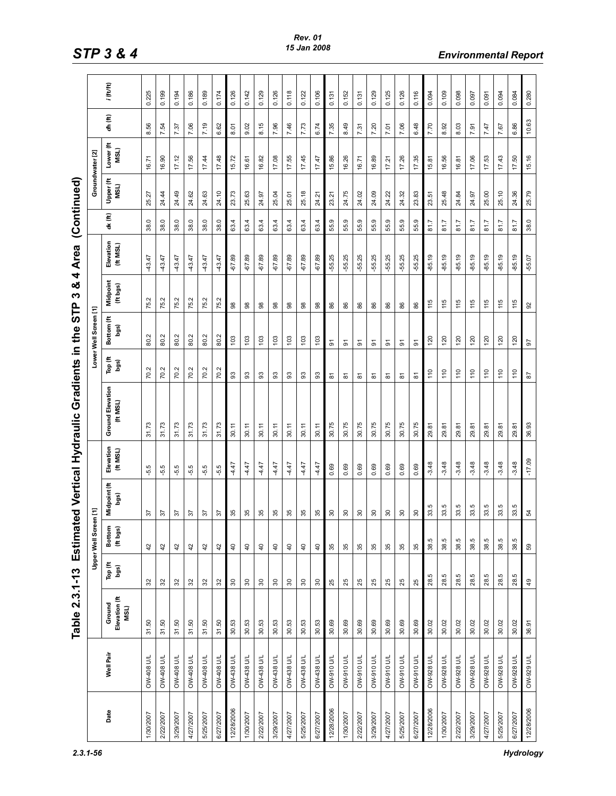|            |                   | Table 2.3.1-13 Estima           |                 |                       | ted Vertical Hydraulic |                     |                                    | Gradients in    | <br>Ե<br>ഗ<br>the     | 4<br>ఱ<br>ო              | Area                  |                          | (Continued)        |                    |         |             |
|------------|-------------------|---------------------------------|-----------------|-----------------------|------------------------|---------------------|------------------------------------|-----------------|-----------------------|--------------------------|-----------------------|--------------------------|--------------------|--------------------|---------|-------------|
|            |                   |                                 |                 | <b>Upper Well Scr</b> | een[1]                 |                     |                                    |                 | Lower Well Screen [1] |                          |                       |                          | Groundwater [2]    |                    |         |             |
| Date       | Well Pair         | Elevation (ft<br>Ground<br>MSL) | Top (ft<br>bgs) | Bottom<br>(ft bgs)    | Midpoint (ft<br>bgs)   | Elevation<br>(HMSL) | <b>Ground Elevation</b><br>(H MSL) | Top (ft<br>bgs) | Bottom (ft<br>bgs)    | Midpoint<br>(ft bgs)     | Elevation<br>(ft MSL) | dx (ft)                  | £<br>MSL)<br>Upper | £<br>MSL)<br>Lower | dh (ft) | $i$ (ft/ft) |
| 1/30/2007  | <b>OW-408 U/L</b> | 31.50                           | 32              | 42                    | 22                     | ю<br>မှ             | 31.73                              | 70.2            | 80.2                  | Ņ<br>75.                 | $-43.47$              | 38.0                     | 25.27              | 16.71              | 8.56    | 0.225       |
| 2/22/2007  | <b>OW-408 U/L</b> | 31.50                           | 32              | 42                    | 57                     | ю<br>ယုံ            | 73<br>$\frac{1}{2}$                | 70.2            | 80.2                  | $\mathbf{\Omega}$<br>75. | $-43.47$              | 38.0                     | 24.44              | 16.90              | 7.54    | 0.199       |
| 3/29/2007  | <b>OW-408 U/L</b> | 31.50                           | 32              | 42                    | 57                     | ю<br>မှ             | 31.73                              | 70.2            | 80.2                  | Ņ<br>75.                 | $-43.47$              | 38.0                     | 24.49              | 17.12              | 7.37    | 0.194       |
| 4/27/2007  | <b>OW-408 U/L</b> | 31.50                           | $32$            | 42                    | 57                     | ю<br>မှ             | 31.73                              | 70.2            | 80.2                  | $\mathbf{\Omega}$<br>75. | $-43.47$              | 38.0                     | 24.62              | 17.56              | 7.06    | 0.186       |
| 5/25/2007  | <b>DW-408 U/L</b> | 31.50                           | 32              | 42                    | 57                     | ю<br>မှ             | 31.73                              | 70.2            | 80.2                  | Ņ<br>75.                 | $-43.47$              | 38.0                     | 24.63              | 17.44              | 7.19    | 0.189       |
| 6/27/2007  | OW-408 U/L        | 31.50                           | 32              | 42                    | 57                     | Ю<br>မှ             | 31.73                              | Ņ<br>20         | 80.2                  | N<br>75.                 | $-43.47$              | 38.0                     | 24.10              | 17.48              | 6.62    | 0.174       |
| 12/28/2006 | <b>OW-438 U/L</b> | 30.53                           | $30\,$          | $\overline{40}$       | 35                     | 4.47                | 30.11                              | 3               | 103                   | $_{98}$                  | $-67.89$              | 63.4                     | 23.73              | 15.72              | 8.01    | 0.126       |
| 1/30/2007  | <b>OW-438 U/L</b> | 30.53                           | $30\,$          | $\overline{4}$        | 35                     | 4.47                | 30.11                              | 3               | 103                   | $_{\rm 8}^{\rm 8}$       | $-67.89$              | 4<br>$\ddot{\mathbf{c}}$ | 25.63              | 16.61              | 9.02    | 0.142       |
| 2/22/2007  | <b>DW-438 U/L</b> | 30.53                           | $30\,$          | $\overline{40}$       | 35                     | 4.47                | 30.11                              | 3               | 103                   | $_{\rm 98}$              | $-67.89$              | 63.4                     | 24.97              | 16.82              | 8.15    | 0.129       |
| 3/29/2007  | <b>OW-438 U/L</b> | 30.53                           | $30\,$          | $\overline{4}$        | 35                     | 4.47                | 30.11                              | 93              | ĝ                     | 88                       | 89<br>$-67$ .         | 63.4                     | 25.04              | 17.08              | 7.96    | 0.126       |
| 4/27/2007  | <b>DW-438 U/L</b> | 30.53                           | $30\,$          | $\overline{4}$        | 35                     | 4.47                | 30.11                              | 3               | 103                   | $_{\rm 8}^{\rm 8}$       | $-67.89$              | 63.4                     | 25.01              | 17.55              | 7.46    | 0.118       |
| 5/25/2007  | <b>DW-438 U/L</b> | 30.53                           | $30\,$          | $\overline{40}$       | 35                     | 4.47                | 30.11                              | 3               | 103                   | 98                       | $-67.89$              | 63.4                     | 25.18              | 17.45              | 7.73    | 0.122       |
| 6/27/2007  | <b>OW-438 U/L</b> | 30.53                           | $30\,$          | $\overline{4}$        | 35                     | 4.47                | 30.11                              | 3               | 103                   | $_{\rm 8}^{\rm 8}$       | $-67.89$              | 63.4                     | 24.21              | 17.47              | 6.74    | 0.106       |
| 12/28/2006 | OW-910 U/L        | 30.69                           | 25              | 35                    | $\rm{S}$               | 0.69                | 30.75                              | 5               | $\overline{5}$        | 86                       | -55.25                | 55.9                     | 23.21              | 15.86              | 7.35    | 0.131       |
| 1/30/2007  | OW-910 U/L        | 30.69                           | 25              | 35                    | $30\,$                 | 0.69                | 30.75                              | ౚ               | ଚ                     | 86                       | $-55.25$              | თ<br>55                  | 24.75              | 16.26              | 8.49    | 0.152       |
| 2/22/2007  | <b>DW-910 U/L</b> | 30.69                           | 25              | 35                    | $30\,$                 | 0.69                | 30.75                              | ౚ               | 5                     | 86                       | $-55.25$              | თ<br>55                  | 24.02              | 16.71              | 7.31    | 0.131       |
| 3/29/2007  | <b>DW-910 U/L</b> | 30.69                           | 25              | 35                    | $\rm s$                | 0.69                | 30.75                              | ౚ               | ଚ                     | 86                       | $-55.25$              | 55.9                     | 24.09              | 16.89              | 7.20    | 0.129       |
| 4/27/2007  | <b>OW-910 U/L</b> | 30.69                           | 25              | 35                    | $30\,$                 | 0.69                | 30.75                              | ౚ               | 5                     | 86                       | $-55.25$              | 55.9                     | 24.22              | 17.21              | 7.01    | 0.125       |
| 5/25/2007  | <b>OW-910 U/L</b> | 30.69                           | 25              | 35                    | $\rm s$                | 0.69                | 30.75                              | 5               | ଚ                     | 86                       | $-55.25$              | 55.9                     | 24.32              | 17.26              | 7.06    | 0.126       |
| 6/27/2007  | <b>OW-910 U/L</b> | 30.69                           | 25              | 35                    | $30\,$                 | 0.69                | 30.75                              | ౚ               | 5                     | 86                       | $-55.25$              | 55.9                     | 23.83              | 17.35              | 6.48    | 0.116       |
| 12/28/2006 | <b>OW-928 U/L</b> | 30.02                           | ю<br>28.        | 38.5                  | 33.5                   | $-3.48$             | 29.81                              | 110             | 120                   | $\frac{115}{11}$         | $-85.19$              | 81.7                     | 23.51              | 15.81              | 7.70    | 0.094       |
| 1/30/2007  | OW-928 U/L        | 30.02                           | 28.5            | 38.5                  | 33.5                   | $-3.48$             | 29.81                              | 110             | $\overline{20}$       | 115                      | $-85.19$              | 81.7                     | 25.48              | 16.56              | 8.92    | 0.109       |
| 2/22/2007  | <b>OW-928 U/L</b> | 30.02                           | 28.5            | 38.5                  | 33.5                   | $-3.48$             | 29.81                              | 110             | 120                   | 115                      | $-85.19$              | 81.7                     | 24.84              | 16.81              | 8.03    | 0.098       |
| 3/29/2007  | <b>OW-928 U/L</b> | 30.02                           | 28.5            | 38.5                  | 33.5                   | $-3.48$             | 29.81                              | 110             | 120                   | 115                      | $-85.19$              | 81.7                     | 24.97              | 17.06              | 7.91    | 0.097       |
| 4/27/2007  | OW-928 U/L        | 30.02                           | 28.5            | In<br>38.             | 33.5                   | $-3.48$             | 29.81                              | 110             | $\overline{20}$       | 115                      | $-85.19$              | 81.7                     | 25.00              | 17.53              | 7.47    | 0.091       |
| 5/25/2007  | OW-928 U/L        | 30.02                           | 28.5            | 38.5                  | 33.5                   | $-3.48$             | 29.81                              | 110             | 120                   | 115                      | $-85.19$              | 81.7                     | 25.10              | 17.43              | 7.67    | 0.094       |
| 6/27/2007  | <b>OW-928 U/L</b> | 30.02                           | 28.5            | 38.5                  | 33.5                   | $-3.48$             | 29.81                              | $\frac{1}{10}$  | 120                   | 115                      | $-85.19$              | 81.7                     | 24.36              | 17.50              | 6.86    | 0.084       |
| 12/28/2006 | <b>OW-929 U/L</b> | 36.91                           | $\frac{9}{4}$   | 59                    | 54                     | $-17.09$            | 36.93                              | $_{\rm 87}$     | 67                    | 92                       | $-55.07$              | 38.0                     | 25.79              | 15.16              | 10.63   | 0.280       |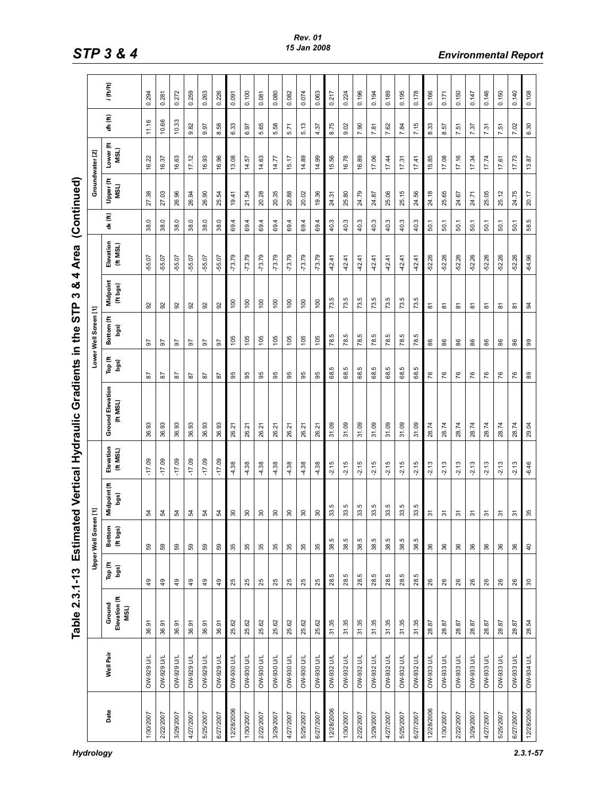|            |                   | Table 2.3.1-13 Estima           |                  |                       |                          |                     | ted Vertical Hydraulic Gradients in the |                 | ၉<br>က                | 4<br>ఱ<br>ო          | Area                |         | (Continued)       |                   |          |             |
|------------|-------------------|---------------------------------|------------------|-----------------------|--------------------------|---------------------|-----------------------------------------|-----------------|-----------------------|----------------------|---------------------|---------|-------------------|-------------------|----------|-------------|
|            |                   |                                 |                  | <b>Upper Well Scr</b> | reen[1]                  |                     |                                         |                 | Lower Well Screen [1] |                      |                     |         | Groundwater [2]   |                   |          |             |
| Date       | Well Pair         | Elevation (ft<br>Ground<br>MSL) | Top (ft<br>legs) | Bottom<br>(ft bgs)    | Midpoint (ft<br>bgs)     | Elevation<br>(HMSL) | <b>Ground Elevation</b><br>(HMSL)       | Top (ft<br>bgs) | Bottom (ft<br>bgs)    | Midpoint<br>(ft bgs) | Elevation<br>(HMSL) | dx (ft) | Upper (ft<br>MSL) | Lower (ft<br>MSL) | ah (ft)  | $i$ (ft/ft) |
| 1/30/2007  | <b>OW-929 U/L</b> | 36.91                           | 49               | 59                    | 54                       | $-17.09$            | 36.93                                   | 28              | 50                    | 92                   | 55.07               | 38.0    | 27.38             | 16.22             | 11.16    | 0.294       |
| 2/22/2007  | <b>OW-929 U/L</b> | 36.91                           | $\overline{49}$  | 59                    | 54                       | $-17.09$            | 36.93                                   | 87              | 50                    | 92                   | $-55.07$            | 38.0    | 27.03             | 16.37             | 10.66    | 0.281       |
| 3/29/2007  | <b>NO 626-MO</b>  | 36.91                           | 49               | 59                    | 54                       | $-17.09$            | 36.93                                   | 5s              | 5                     | 92                   | -55.07              | 38.0    | 26.96             | 16.63             | 10.33    | 0.272       |
| 4/27/2007  | <b>OW-929 U/L</b> | 36.91                           | $\overline{49}$  | 59                    | 54                       | $-17.09$            | 36.93                                   | 5               | 26                    | 92                   | $-55.07$            | 38.0    | 26.94             | 17.12             | 9.82     | 0.259       |
| 5/25/2007  | <b>DW-929 U/L</b> | 36.91                           | 49               | 59                    | 54                       | $-17.09$            | 36.93                                   | 55              | 56                    | 92                   | $-55.07$            | 38.0    | 26.90             | 16.93             | 9.97     | 0.263       |
| 6/27/2007  | <b>OW-929 U/L</b> | 36.91                           | 49               | 59                    | 54                       | $-17.09$            | 36.93                                   | 5               | 57                    | 92                   | $-55.07$            | 38.0    | 25.54             | 16.96             | 38<br>ထံ | 0.226       |
| 12/28/2006 | <b>T/N 086-MO</b> | 25.62                           | 25               | 35                    | $30\,$                   | 4.38                | 26.21                                   | 95              | 105                   | 100                  | $-73.79$            | 69.4    | 19.41             | 13.08             | 6.33     | 0.091       |
| 1/30/2007  | <b>J/N 086-MO</b> | 25.62                           | 25               | 35                    | $30\,$                   | 4.38                | 21<br>26.                               | 95              | 105                   | 100                  | $-73.79$            | 69.4    | 21.54             | 14.57             | 6.97     | 0.100       |
| 2/22/2007  | <b>DW-930 U/L</b> | 25.62                           | 25               | 35                    | $30\,$                   | 4.38                | 26.21                                   | 95              | 105                   | 100                  | $-73.79$            | 69.4    | 20.28             | 14.63             | 5.65     | 0.081       |
| 3/29/2007  | <b>DW-930 U/L</b> | 25.62                           | 25               | 35                    | 90                       | 4.38                | 넌<br>26.                                | 95              | 105                   | 100                  | $-73.79$            | 69.4    | 20.35             | 14.77             | 5.58     | 0.080       |
| 4/27/2007  | OW-930 U/L        | 25.62                           | 25               | 35                    | $30\,$                   | 4.38                | 26.21                                   | 95              | 105                   | 100                  | $-73.79$            | 69.4    | 20.88             | 15.17             | 5.71     | 0.082       |
| 5/25/2007  | <b>J/n 086-MO</b> | 25.62                           | 25               | 35                    | $30\,$                   | 4.38                | 26.21                                   | 95              | 105                   | 100                  | $-73.79$            | 69.4    | 20.02             | 14.89             | 5.13     | 0.074       |
| 6/27/2007  | <b>T/N 086-MO</b> | 25.62                           | 25               | 35                    | $30\,$                   | 4.38                | 26.21                                   | 95              | 105                   | 100                  | $-73.79$            | 69.4    | 19.36             | 14.99             | 4.37     | 0.063       |
| 12/28/2006 | OW-932 U/L        | 31.35                           | 28.5             | 38.5                  | rú<br>33                 | $-2.15$             | 31.09                                   | ю<br>8          | ю<br>78               | 73.5                 | $-42.41$            | 40.3    | 24.31             | 15.56             | 8.75     | 0.217       |
| 1/30/2007  | OW-932 U/L        | 31.35                           | 28.5             | 38.5                  | 33.5                     | $-2.15$             | 31.09                                   | ъ<br>88         | Ю<br>78               | 5<br>73.             | $-42.41$            | 40.3    | 25.80             | 16.78             | 9.02     | 0.224       |
| 2/22/2007  | OW-932 U/L        | 31.35                           | 28.5             | 38.5                  | 33.5                     | $-2.15$             | 31.09                                   | rú<br>68        | ю<br>78.              | 73.5                 | $-42.41$            | 40.3    | 24.79             | 16.89             | 7.90     | 0.196       |
| 3/29/2007  | OW-932 U/L        | 31.35                           | 28.5             | 38.5                  | 33.5                     | $-2.15$             | 31.09                                   | ю<br>8          | ю<br>78               | 73.5                 | $-42.41$            | 40.3    | 24.87             | 17.06             | 7.81     | 0.194       |
| 4/27/2007  | OW-932 U/L        | 31.35                           | 28.5             | 38.5                  | rú<br>33                 | $-2.15$             | 31.09                                   | rú<br>88        | ю<br>78               | 73.5                 | $-42.41$            | 40.3    | 25.06             | 17.44             | 7.62     | 0.189       |
| 5/25/2007  | OW-932 U/L        | 31.35                           | 28.5             | 38.5                  | 33.5                     | $-2.15$             | 31.09                                   | rú<br>88        | ю<br>78.              | 73.5                 | $-42.41$            | 40.3    | 25.15             | 17.31             | 7.84     | 0.195       |
| 6/27/2007  | OW-932 U/L        | 31.35                           | 28.5             | 38.5                  | 33.5                     | $-2.15$             | 31.09                                   | rú.<br>88       | ю<br>78               | 73.5                 | $-42.41$            | 40.3    | 24.56             | 17.41             | 7.15     | 0.178       |
| 12/28/2006 | OW-933 U/L        | 28.87                           | 26               | 36                    | $\overline{5}$           | $-2.13$             | 28.74                                   | 76              | 86                    | ౚ                    | $-52.26$            | 50.1    | 24.18             | 15.85             | 8.33     | 0.166       |
| 1/30/2007  | OW-933 U/L        | 28.87                           | 26               | $36\,$                | ᢌ                        | $-2.13$             | 28.74                                   | 76              | 86                    | ᇮ                    | $-52.26$            | 50.1    | 25.65             | 17.08             | 8.57     | 0.171       |
| 2/22/2007  | OW-933 U/L        | 28.87                           | 26               | 36                    | ᢌ                        | $-2.13$             | 28.74                                   | 76              | 86                    | ᇮ                    | $-52.26$            | 50.1    | 24.67             | 17.16             | 7.51     | 0.150       |
| 3/29/2007  | OW-933 U/L        | 28.87                           | 26               | $36\,$                | 5                        | $-2.13$             | 28.74                                   | 76              | 86                    | ౚ                    | $-52.26$            | 50.1    | 24.71             | 17.34             | 7.37     | 0.147       |
| 4/27/2007  | OW-933 U/L        | 28.87                           | 26               | 36                    | $\overline{5}$           | $-2.13$             | 28.74                                   | 76              | 86                    | ᇮ                    | $-52.26$            | 50.1    | 25.05             | 17.74             | 7.31     | 0.146       |
| 5/25/2007  | OW-933 U/L        | 28.87                           | 26               | $36\,$                | ᢌ                        | $-2.13$             | 28.74                                   | 76              | 86                    | 5                    | $-52.26$            | 50.1    | 25.12             | 17.61             | 7.51     | 0.150       |
| 6/27/2007  | OW-933 U/L        | 28.87                           | 26               | $36\,$                | $\overline{\mathcal{E}}$ | $-2.13$             | 28.74                                   | 76              | 86                    | 5                    | $-52.26$            | 50.1    | 24.75             | 17.73             | 7.02     | 0.140       |
| 12/28/2006 | <b>OW-934 U/L</b> | 28.54                           | $30\,$           | $\overline{4}$        | 35                       | $-6.46$             | 29.04                                   | $_{\tt 80}$     | 8                     | $\overline{a}$       | $-64.96$            | 58.5    | 20.17             | 13.87             | 6.30     | 0.108       |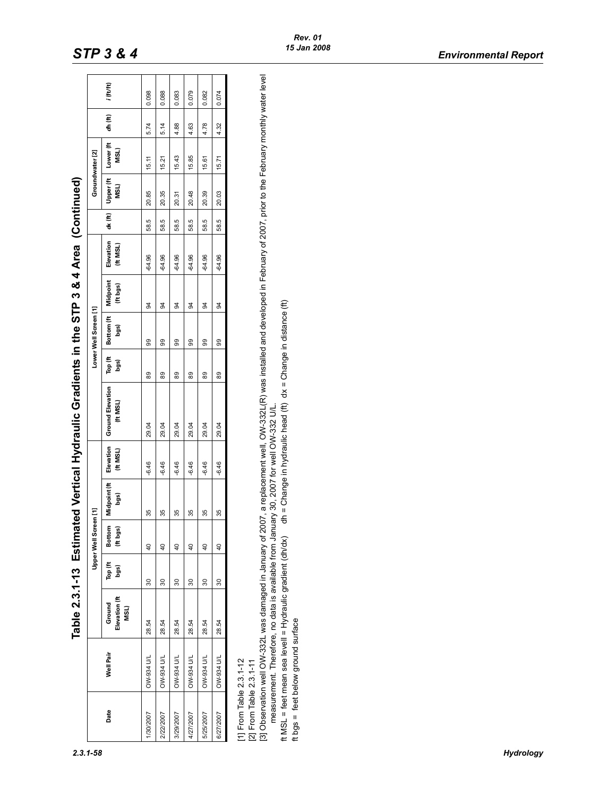|                                                    |                                                                                                                                                                                             |                                 |                 |                       |                      |                      | Table 2.3.1-13 Estimated Vertical Hydraulic Gradients in the STP 3 & 4 Area (Continued)                                                                                                                                                                   |                 |                       |                    |                      |         |                   |                   |         |           |
|----------------------------------------------------|---------------------------------------------------------------------------------------------------------------------------------------------------------------------------------------------|---------------------------------|-----------------|-----------------------|----------------------|----------------------|-----------------------------------------------------------------------------------------------------------------------------------------------------------------------------------------------------------------------------------------------------------|-----------------|-----------------------|--------------------|----------------------|---------|-------------------|-------------------|---------|-----------|
|                                                    |                                                                                                                                                                                             |                                 |                 | Upper Well Screen [1] |                      |                      |                                                                                                                                                                                                                                                           |                 | Lower Well Screen [1] |                    |                      |         | Groundwater [2]   |                   |         |           |
| Date                                               | Well Pair                                                                                                                                                                                   | Elevation (ft<br>Ground<br>MSL) | Top (ft<br>bgs) | Bottom<br>(ft bgs)    | Midpoint (ft<br>bgs) | Elevation<br>(H MSL) | <b>Ground Elevation</b><br>(HMSL)                                                                                                                                                                                                                         | Top (ft<br>bgs) | Bottom (ft<br>bgs)    | Midpoint<br>(#bgs) | Elevation<br>(H MSL) | dx (ft) | Upper (ft<br>MSL) | Lower (ft<br>MSL) | dh (ft) | i (tt/tt) |
| 1/30/2007                                          | <b>DW-934 U/L</b>                                                                                                                                                                           | 28.54                           | 30              | $\overline{40}$       | 35                   | $-6.46$              | 29.04                                                                                                                                                                                                                                                     | 89              | 99                    | 34                 | $-64.96$             | 58.5    | 20.85             | 15.11             | 5.74    | 0.098     |
| 2/22/2007                                          | <b>J/N +66-MO</b>                                                                                                                                                                           | 28.54                           | 30              | $\overline{40}$       | 35                   | $-6.46$              | 29.04                                                                                                                                                                                                                                                     | 89              | 99                    | 34                 | $-64.96$             | 58.5    | 20.35             | 15.21             | 5.14    | 0.088     |
| 3/29/2007                                          | <b>DW-934 U/L</b>                                                                                                                                                                           | 28.54                           | 30              | $\overline{40}$       | 35                   | $-6.46$              | 29.04                                                                                                                                                                                                                                                     | 89              | 99                    | 34                 | $-64.96$             | 58.5    | 20.31             | 15.43             | 4.88    | 0.083     |
| 4/27/2007                                          | <b>DW-934 U/L</b>                                                                                                                                                                           | 28.54                           | 30              | $\overline{0}$        | 35                   | $-6.46$              | 29.04                                                                                                                                                                                                                                                     | 89              | 99                    | 94                 | $-64.96$             | 58.5    | 20.48             | 15.85             | 4.63    | 0.079     |
| 5/25/2007                                          | <b>DW-934 U/L</b>                                                                                                                                                                           | 28.54                           | 30              | $\overline{0}$        | 35                   | $-6.46$              | 29.04                                                                                                                                                                                                                                                     | 89              | 99                    | 94                 | $-64.96$             | 58.5    | 20.39             | 15.61             | 4.78    | 0.082     |
| 6/27/2007                                          | <b>OW-934 U/L</b>                                                                                                                                                                           | 28.54                           | 30              | $\overline{40}$       | 35                   | $-6.46$              | 29.04                                                                                                                                                                                                                                                     | 89              | 99                    | 34                 | $-64.96$             | 58.5    | 20.03             | 15.71             | 4.32    | 0.074     |
| [1] From Table 2.3.1-12<br>[2] From Table 2.3.1-11 | measurement. Therefore, no data is available from January 30, 2007 for well OW-332 U/L.<br>ft MSL = feet mean sea levell = Hydraulic gradient (dh/dx)<br>ft bgs = feet below ground surface |                                 |                 |                       |                      |                      | [3] Observation well OW-332L was damaged in January of 2007, a replacement well, OW-332L(R) was installed and developed in February of 2007, prior to the February monthly water level<br>dh = Change in hydraulic head (ft) dx = Change in distance (ft) |                 |                       |                    |                      |         |                   |                   |         |           |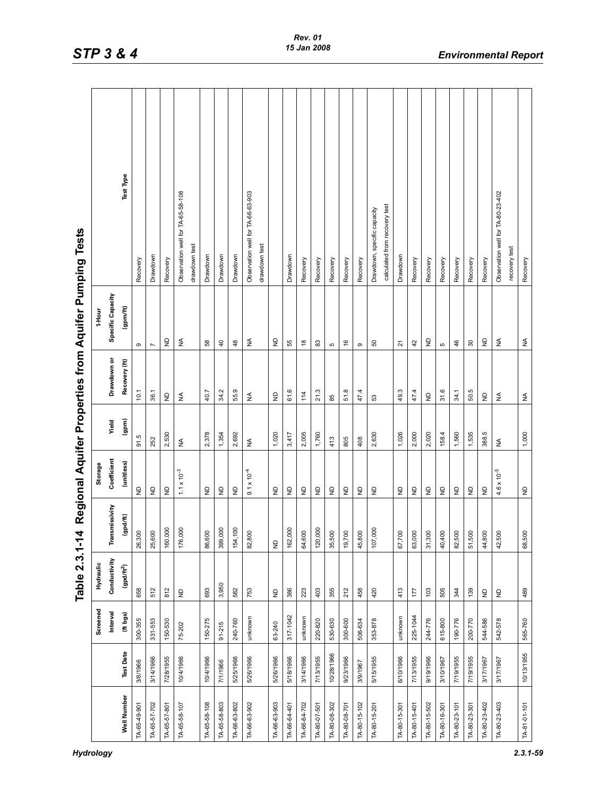| $2.3.1 - 59$ |
|--------------|
|              |

|                                                        |           |                   | Test Type        | Recovery             | Drawdown       | Recovery                                 | Observation well for TA-65-58-108           | drawdown test | Drawdown                                                      | Drawdown                | Drawdown      | Observation well for TA-66-63-903 | drawdown test |                                          | Drawdown     | Recovery                  | Recovery     | Recovery     | Recovery      | Recovery     | Drawdown, specific capacity | calculated from recovery test | Drawdown                        | Recovery     | Recovery     | Recovery     | Recovery     | Recovery     | Recovery                                 | Observation well for TA-80-23-402        | recovery test | Recovery     |
|--------------------------------------------------------|-----------|-------------------|------------------|----------------------|----------------|------------------------------------------|---------------------------------------------|---------------|---------------------------------------------------------------|-------------------------|---------------|-----------------------------------|---------------|------------------------------------------|--------------|---------------------------|--------------|--------------|---------------|--------------|-----------------------------|-------------------------------|---------------------------------|--------------|--------------|--------------|--------------|--------------|------------------------------------------|------------------------------------------|---------------|--------------|
| Regional Aquifer Properties from Aquifer Pumping Tests | 1-Hour    | Specific Capacity | (gpm/ft)         | ၜ                    | $\overline{ }$ | $\varrho$                                | $\lessgtr$                                  |               | 58                                                            | $\overline{4}$          | $\frac{8}{3}$ | ₹                                 |               | g                                        | 55           | $\overset{\infty}{\cdot}$ | $_{83}$      | 5            | $\frac{6}{5}$ | $\circ$      | SO                          |                               | 21                              | 42           | £            | Ю            | 46           | $30\,$       | g                                        | ₹                                        |               | $\lessgtr$   |
|                                                        |           | Drawdown or       | Recovery (ft)    | 10.1                 | 36.1           | $\mathrel{\mathop{\mathsf{S}}\nolimits}$ | $\lessgtr$                                  |               | 40.7                                                          | 34.2                    | 55.9          | $\lessgtr$                        |               | $\mathrel{\mathop{\boxdot}}$             | 61.6         | 114                       | 21.3         | 85           | 51.8          | 47.4         | 53                          |                               | 49.3                            | 47.4         | g            | 31.6         | 34.1         | 50.5         |                                          | $\lessgtr$                               |               | $\lessgtr$   |
|                                                        |           | Yield             | (qpm)            | က္<br>$\overline{5}$ | 252            | 2,530                                    | $\mathop{\mathsf{S}}\limits_{{\mathsf{Z}}}$ |               | 2,378                                                         | 1,354                   | 2,692         | $\lessgtr$                        |               | 1,020                                    | 3,417        | 2,005                     | 1,760        | 413          | 805           | 408          | 2,630                       |                               | 1,026                           | 2,000        | 2,020        | 158.4        | 1,560        | 1,535        | 388.5                                    | ≨                                        |               | 1,000        |
|                                                        | Storage   | Coefficient       | (unitless)       | $\varrho$            |                | $\varrho$                                | $1.1 \times 10^{-3}$                        |               | $\mathrel{\mathop{\raisebox{1.5pt}{\scriptsize g}}\nolimits}$ | $\frac{\Omega}{\Sigma}$ | $\mathsf{P}$  | $9.1 \times 10^{-4}$              |               | $\mathrel{\mathop{\mathsf{E}}\nolimits}$ | $\mathsf{P}$ | $\varrho$                 | $\varrho$    | ş            | $\varrho$     | ş            | $\varrho$                   |                               | $\frac{\mathsf{D}}{\mathsf{Z}}$ | $\varrho$    | $\varrho$    | $\varrho$    | $\varrho$    | $\varrho$    | $\varrho$                                | $4.6 \times 10^{-5}$                     |               | $\varrho$    |
| 4                                                      |           | Transmissivity    | (gpd/ft)         | 26,300               | 25,600         | 160,000                                  | 176,000                                     |               | 86,600                                                        | 399,000                 | ,100<br>154,  | 82,800                            |               | $\varrho$                                | 162,000      | 64,600                    | 120,000      | 35,500       | 19,700        | 45,800       | 107,000                     |                               | 67,700                          | 63,000       | 31,300       | 40,400       | 82,500       | 51,500       | 44,800                                   | 42,500                                   |               | 68,500       |
| Table 2.3.1-1                                          | Hydraulic | Conductivity      | $(gpd/ft^2)$     | 658                  | 512            | 812                                      | $\varrho$                                   |               | 693                                                           | 3,950                   | 582           | 753                               |               | $\Xi$                                    | 386          | 223                       | 403          | 355          | 212           | 458          | 420                         |                               | 413                             | 177          | 103          | 505          | 344          | 139          | $\mathrel{\mathop{\mathsf{P}}\nolimits}$ | $\mathrel{\mathop{\mathsf{E}}\nolimits}$ |               | 489          |
|                                                        | Screened  | Interval          | (ft bgs)         | 300-355              | 331-553        | 150-530                                  | 75-202                                      |               | 150-275                                                       | $91 - 215$              | 240-760       | unknown                           |               | 63-240                                   | 317-1042     | unknown                   | 220-820      | 530-630      | 300-600       | 506-634      | 353-878                     |                               | unknown                         | 225-1044     | 244-776      | 615-800      | 190-776      | 200-770      | 544-586                                  | 542-578                                  |               | 565-760      |
|                                                        |           |                   | <b>Test Date</b> | 3/8/1966             | 3/14/1966      | 7/28/1955                                | 10/4/1966                                   |               | 10/4/1966                                                     | 7/1/1966                | 5/25/1966     | 5/26/1966                         |               | 5/26/1966                                | 5/18/1966    | 3/14/1966                 | 7/13/1955    | 10/28/1966   | 9/23/1966     | 3/9/1967     | 5/15/1955                   |                               | 6/10/1966                       | 7/13/1955    | 9/19/1966    | 3/10/1967    | 7/19/1955    | 7/19/1955    | 3/17/1967                                | 3/17/1967                                |               | 10/13/1955   |
|                                                        |           |                   | Well Number      | TA-65-49-901         | TA-65-57-702   | TA-65-57-801                             | TA-65-58-107                                |               | TA-65-58-108                                                  | TA-65-58-803            | TA-66-63-802  | TA-66-63-902                      |               | TA-66-63-903                             | TA-66-64-401 | TA-66-64-702              | TA-80-07-501 | TA-80-08-302 | TA-80-08-701  | TA-80-15-102 | TA-80-15-201                |                               | TA-80-15-301                    | TA-80-15-401 | TA-80-15-502 | TA-80-16-301 | TA-80-23-101 | TA-80-23-301 | TA-80-23-402                             | TA-80-23-403                             |               | TA-81-01-101 |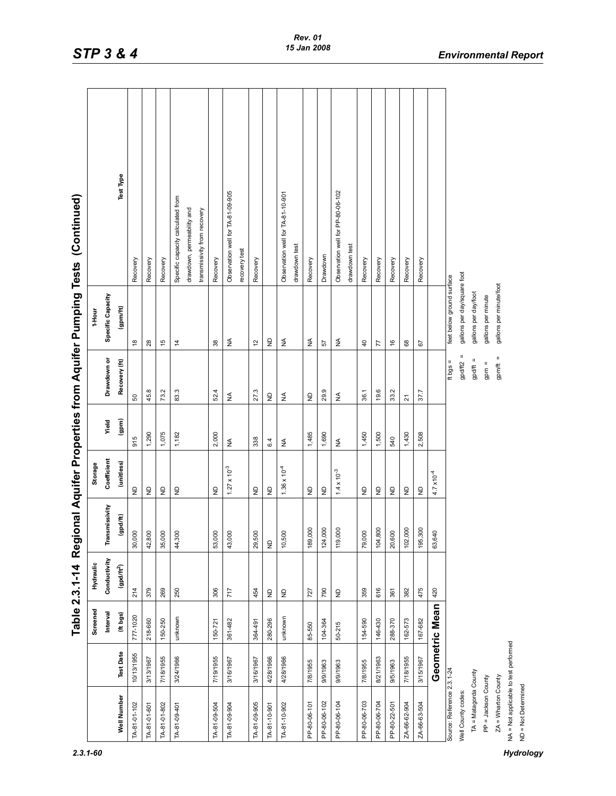|  |  | s.<br>ï |  |
|--|--|---------|--|
|  |  |         |  |

|                                       |                  |                | Table 2.3.1-14 Regi                      |                |                                                     |                              |                      |                             | onal Aquifer Properties from Aquifer Pumping Tests (Continued) |
|---------------------------------------|------------------|----------------|------------------------------------------|----------------|-----------------------------------------------------|------------------------------|----------------------|-----------------------------|----------------------------------------------------------------|
|                                       |                  | Screened       | Hydraulic                                |                | Storage                                             |                              |                      | 1-Hour                      |                                                                |
|                                       |                  | Interval       | Conductivity                             | Transmissivity | Coefficient                                         | Yield                        | Drawdown or          | Specific Capacity           |                                                                |
| <b>Well Number</b>                    | <b>Test Date</b> | (ft bgs)       | $(gpd/ft^2)$                             | (qpd/ft)       | (unitless)                                          | (gpm)                        | Recovery (ft)        | gpm/ft                      | Test Type                                                      |
| TA-81-01-102                          | 10/13/1955       | 777-1020       | 214                                      | 30,000         | $\ominus$                                           | 915                          | 50                   | $\frac{8}{1}$               | Recovery                                                       |
| TA-81-01-601                          | 3/13/1967        | 218-660        | 379                                      | 42,800         | $\mathrel{\mathop{\mathsf{S}}\nolimits}$            | 1,290                        | $\infty$<br>45.      | 28                          | Recovery                                                       |
| TA-81-01-802                          | 7/18/1955        | 150-250        | 269                                      | 35,000         | $\mathrel{\mathop{\mathsf{S}}\nolimits}$            | 1,075                        | 73.2                 | $\frac{15}{2}$              | Recovery                                                       |
| TA-81-09-401                          | 3/24/1966        | unknown        | 250                                      | 44,300         | $\varrho$                                           | 1,182                        | 83.3                 | $\frac{1}{4}$               | Specific capacity calculated from                              |
|                                       |                  |                |                                          |                |                                                     |                              |                      |                             | drawdown, permeability and                                     |
|                                       |                  |                |                                          |                |                                                     |                              |                      |                             | transmissivity from recovery                                   |
| TA-81-09-504                          | 7/19/1955        | 150-721        | 306                                      | 53,000         | $\overline{z}$                                      | 2,000                        | 52                   | $38$                        | Recovery                                                       |
| TA-81-09-904                          | 3/16/1967        | 361482         | 717                                      | 43,000         | $1.27 \times 10^{-3}$                               | $\lessgtr$                   | $\lessgtr$           | ₹                           | Observation well for TA-81-09-905                              |
|                                       |                  |                |                                          |                |                                                     |                              |                      |                             | recovery test                                                  |
| TA-81-09-905                          | 3/16/1967        | 364-491        | 454                                      | 29,500         | $\ominus$                                           | 338                          | 27.3                 | $\tilde{c}$                 | Recovery                                                       |
| TA-81-10-901                          | 4/28/1966        | 280-296        | $\mathrel{\mathop{\mathsf{S}}\nolimits}$ | $\varrho$      | $\epsilon$                                          | 6.4                          | $\mathsf{P}$         | $\epsilon$                  |                                                                |
| TA-81-10-902                          | 4/28/1966        | unknown        | $\mathsf{P}$                             | 10,500         | $1.36 \times 10^{-4}$                               | $\stackrel{\triangle}{\geq}$ | $\lessgtr$           | $\lessgtr$                  | Observation well for TA-81-10-901                              |
|                                       |                  |                |                                          |                |                                                     |                              |                      |                             | drawdown test                                                  |
| PP-80-06-101                          | 7/8/1955         | 85-550         | 727                                      | 189,000        | ę                                                   | 1,485                        | $\mathsf{P}$         | ₹                           | Recovery                                                       |
| PP-80-06-102                          | 9/9/1963         | 104-364        | 790                                      | 124,000        | $\frac{\mathsf{D}}{\mathsf{Z}}$                     | 1,690                        | 29.9                 | 57                          | Drawdown                                                       |
| PP-80-06-104                          | 9/9/1963         | $50 - 215$     |                                          | 119,000        | $1.4 \times 10^{-3}$                                | $\lessgtr$                   | $\lessgtr$           | ₹                           | Observation well for PP-80-06-102                              |
|                                       |                  |                |                                          |                |                                                     |                              |                      |                             | drawdown test                                                  |
| PP-80-06-703                          | 7/8/1955         | 154-590        | 359                                      | 79,000         | $\varrho$                                           | 1,450                        | 36.1                 | $\overline{a}$              | Recovery                                                       |
| PP-80-06-704                          | 8/21/1963        | 146-430        | 616                                      | 104,800        | $\varrho$                                           | 1,500                        | 19.6                 | 77                          | Recovery                                                       |
| PP-80-22-501                          | 9/5/1963         | 288-370        | 361                                      | 20,600         | $\mathrel{\mathop{\unbox{=}}\limits_{\mathrel{=}}}$ | 540                          | 33.2                 | $\frac{6}{5}$               | Recovery                                                       |
| ZA-66-62-904                          | 7/18/1955        | 162-573        | 382                                      | 102,000        | $\mathrel{\mathop{\mathsf{S}}\nolimits}$            | 1,430                        | $\overline{2}1$      | 68                          | Recovery                                                       |
| ZA-66-63-504                          | 3/15/1967        | 167-682        | 475                                      | 195,300        | $\epsilon$                                          | 2,508                        | 37.7                 | 67                          | Recovery                                                       |
|                                       |                  | Geometric Mean | 420                                      | 63,640         | $4.7 \times 10^{-4}$                                |                              |                      |                             |                                                                |
| Source: Reference 2.3.1-24            |                  |                |                                          |                |                                                     |                              | $=$ spq ft           | feet below ground surface   |                                                                |
| Well County codes:                    |                  |                |                                          |                |                                                     |                              | Ш<br>gpd/ft2         | gallons per day/square foot |                                                                |
| TA = Matagorda County                 |                  |                |                                          |                |                                                     |                              | Ш<br>gpd/ft          | gallons per day/foot        |                                                                |
| PP = Jackson County                   |                  |                |                                          |                |                                                     |                              | $\mathsf{II}$<br>gpm | gallons per minute          |                                                                |
| $ZA = Wharton County$                 |                  |                |                                          |                |                                                     |                              | $gpm/ft =$           | gallons per minute/foot     |                                                                |
| NA = Not applicable to test performed |                  |                |                                          |                |                                                     |                              |                      |                             |                                                                |
| ND = Not Determined                   |                  |                |                                          |                |                                                     |                              |                      |                             |                                                                |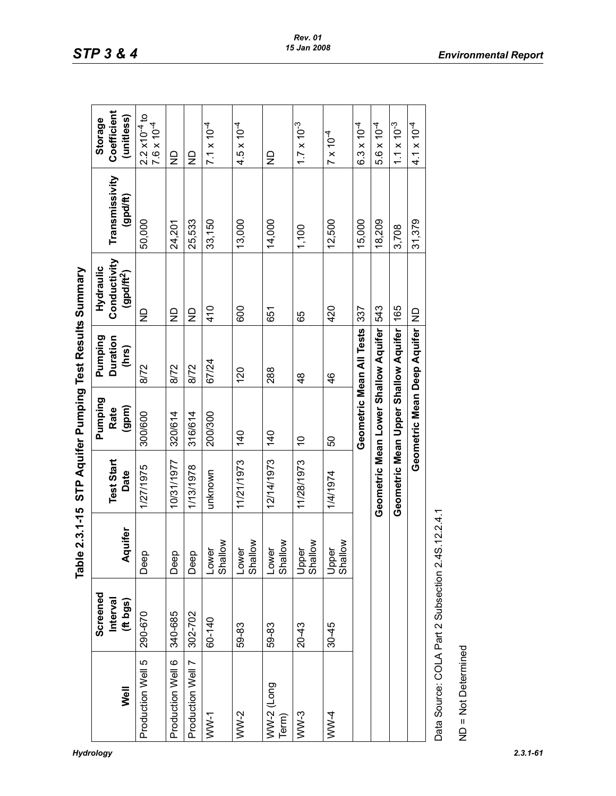| :<br>ہ<br>،                |
|----------------------------|
| Resul                      |
|                            |
| $-$ mning<br>$\frac{1}{2}$ |
| Aau                        |
| ၉<br>51                    |
| $e2.3.1 - 15$              |
|                            |

|                                         |                      | Table 2.3.1-15 STP Aquifer Pumping Test Results Summary |                           |                                          |                          |                                       |                            |                                                                                    |
|-----------------------------------------|----------------------|---------------------------------------------------------|---------------------------|------------------------------------------|--------------------------|---------------------------------------|----------------------------|------------------------------------------------------------------------------------|
|                                         | Screened             |                                                         |                           | Pumping                                  | Pumping                  | Hydraulic                             |                            | <b>Storage</b>                                                                     |
| Well                                    | Interval<br>(ft bgs) | Aquifer                                                 | <b>Test Start</b><br>Date | (qpm)<br>Rate                            | <b>Duration</b><br>(hrs) | Conductivity<br>(gpdft <sup>2</sup> ) | Transmissivity<br>(gpd/ft) | Coefficient<br>(unitless)                                                          |
| Production Well 5                       | 290-670              | Deep                                                    | 1/27/1975                 | 300/600                                  | 8/72                     | ç                                     | 50,000                     | $\begin{array}{l} 2.2 \times 10^{-4} \text{ to} \\ 7.6 \times 10^{-4} \end{array}$ |
| Production Well 6                       | 340-685              | Deep                                                    | 10/31/1977                | 320/614                                  | 8/72                     | $\frac{\Omega}{\Sigma}$               | 24,201                     | $\overline{z}$                                                                     |
| Production Well 7                       | 302-702              | Deep                                                    | 1/13/1978                 | 316/614                                  | 8/72                     | $\frac{\Omega}{\Sigma}$               | 25,533                     | $\Xi$                                                                              |
| $WW-1$                                  | 60-140               | $\sum_{i=1}^{\infty}$<br>Lower<br>Shall                 | unknown                   | 200/300                                  | 67/24                    | 410                                   | 33,150                     | $7.1 \times 10^{-4}$                                                               |
| $WW-2$                                  | 59-83                | $\geq$<br>Lower<br>Shall                                | 11/21/1973                | 140                                      | 120                      | 600                                   | 13,000                     | $4.5 \times 10^{-4}$                                                               |
| $WW-2$ (Long<br>Term)                   | 59-83                | $\sum_{i=1}^{\infty}$<br>Lower<br><b>Shall</b>          | 12/14/1973                | 140                                      | 288                      | 651                                   | 14,000                     | $\frac{\Omega}{\Sigma}$                                                            |
| $WW-3$                                  | $20 - 43$            | $\geq$<br>Upper<br>Shall                                | 11/28/1973                | $\tilde{0}$                              | $\frac{8}{4}$            | 65                                    | 1,100                      | $1.7 \times 10^{-3}$                                                               |
| $WW-4$                                  | $30 - 45$            | $\geq$<br>Upper<br>Shallov                              | 1/4/1974                  | 50                                       | 46                       | 420                                   | 12,500                     | $7 \times 10^{-4}$                                                                 |
|                                         |                      |                                                         |                           | Geometric Mean All Tests                 |                          | 337                                   | 15,000                     | $6.3 \times 10^{-4}$                                                               |
|                                         |                      |                                                         |                           | Geometric Mean Lower Shallow Aquifer     |                          | 543                                   | 18,209                     | $5.6 \times 10^{-4}$                                                               |
|                                         |                      |                                                         |                           | Geometric Mean Upper Shallow Aquifer 165 |                          |                                       | 3,708                      | $1.1 \times 10^{-3}$                                                               |
|                                         |                      |                                                         |                           | Geometric Mean Deep Aquifer              |                          | $\frac{1}{2}$                         | 31,379                     | $4.1 \times 10^{-4}$                                                               |
| Data Source: COLA Part 2 Subsection 2.4 |                      | S.12.2.4.1                                              |                           |                                          |                          |                                       |                            |                                                                                    |
| ND = Not Determined                     |                      |                                                         |                           |                                          |                          |                                       |                            |                                                                                    |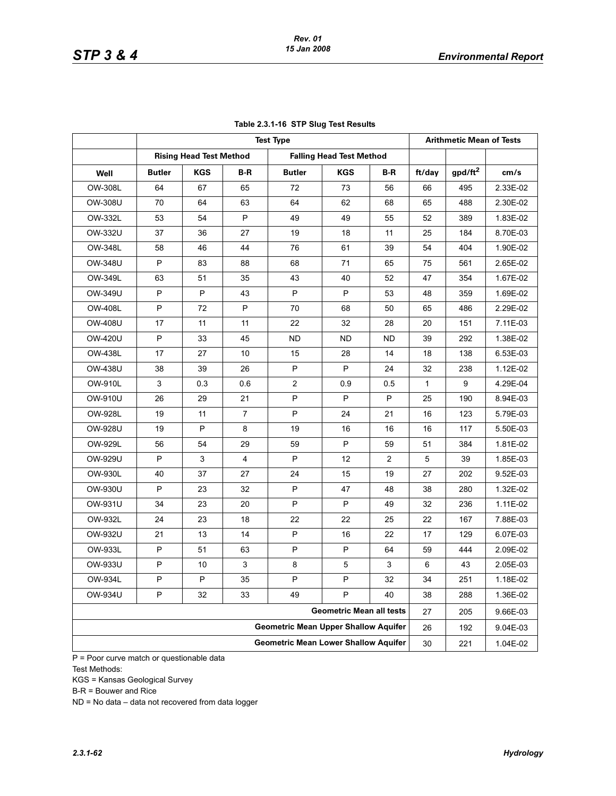|                |               |                                |     | <b>Test Type</b>                            |                                 |                         |        | <b>Arithmetic Mean of Tests</b> |          |  |  |  |  |
|----------------|---------------|--------------------------------|-----|---------------------------------------------|---------------------------------|-------------------------|--------|---------------------------------|----------|--|--|--|--|
|                |               | <b>Rising Head Test Method</b> |     |                                             | <b>Falling Head Test Method</b> |                         |        |                                 |          |  |  |  |  |
| Well           | <b>Butler</b> | <b>KGS</b>                     | B-R | <b>Butler</b>                               | <b>KGS</b>                      | $B-R$                   | ft/day | gpd/ft <sup>2</sup>             | cm/s     |  |  |  |  |
| OW-308L        | 64            | 67                             | 65  | 72                                          | 73                              | 56                      | 66     | 495                             | 2.33E-02 |  |  |  |  |
| OW-308U        | 70            | 64                             | 63  | 64                                          | 62                              | 68                      | 65     | 488                             | 2.30E-02 |  |  |  |  |
| OW-332L        | 53            | 54                             | P   | 49                                          | 49                              | 55                      | 52     | 389                             | 1.83E-02 |  |  |  |  |
| OW-332U        | 37            | 36                             | 27  | 19                                          | 18                              | 11                      | 25     | 184                             | 8.70E-03 |  |  |  |  |
| OW-348L        | 58            | 46                             | 44  | 76                                          | 61                              | 39                      | 54     | 404                             | 1.90E-02 |  |  |  |  |
| OW-348U        | P             | 83                             | 88  | 68                                          | 71                              | 65                      | 75     | 561                             | 2.65E-02 |  |  |  |  |
| OW-349L        | 63            | 51                             | 35  | 43                                          | 40                              | 52                      | 47     | 354                             | 1.67E-02 |  |  |  |  |
| OW-349U        | P             | P                              | 43  | P                                           | P                               | 53                      | 48     | 359                             | 1.69E-02 |  |  |  |  |
| <b>OW-408L</b> | P             | 72                             | P   | 70                                          | 68                              | 50                      | 65     | 486                             | 2.29E-02 |  |  |  |  |
| OW-408U        | 17            | 11                             | 11  | 22                                          | 32                              | 28                      | 20     | 151                             | 7.11E-03 |  |  |  |  |
| OW-420U        | P             | 33                             | 45  | <b>ND</b>                                   | <b>ND</b>                       | <b>ND</b>               | 39     | 292                             | 1.38E-02 |  |  |  |  |
| OW-438L        | 17            | 27                             | 10  | 15                                          | 28                              | 14                      | 18     | 138                             | 6.53E-03 |  |  |  |  |
| OW-438U        | 38            | 39                             | 26  | P                                           | P                               | 24                      | 32     | 238                             | 1.12E-02 |  |  |  |  |
| OW-910L        | 3             | 0.3                            | 0.6 | 2                                           | 0.9                             | 0.5                     | 1      | 9                               | 4.29E-04 |  |  |  |  |
| OW-910U        | 26            | 29                             | 21  | P                                           | P                               | P                       | 25     | 190                             | 8.94E-03 |  |  |  |  |
| OW-928L        | 19            | 11                             | 7   | P                                           | 24                              | 21                      | 16     | 123                             | 5.79E-03 |  |  |  |  |
| OW-928U        | 19            | P                              | 8   | 19                                          | 16                              | 16                      | 16     | 117                             | 5.50E-03 |  |  |  |  |
| OW-929L        | 56            | 54                             | 29  | 59                                          | P                               | 59                      | 51     | 384                             | 1.81E-02 |  |  |  |  |
| OW-929U        | P             | 3                              | 4   | P                                           | 12                              | $\overline{\mathbf{c}}$ | 5      | 39                              | 1.85E-03 |  |  |  |  |
| OW-930L        | 40            | 37                             | 27  | 24                                          | 15                              | 19                      | 27     | 202                             | 9.52E-03 |  |  |  |  |
| OW-930U        | P             | 23                             | 32  | P                                           | 47                              | 48                      | 38     | 280                             | 1.32E-02 |  |  |  |  |
| OW-931U        | 34            | 23                             | 20  | P                                           | P                               | 49                      | 32     | 236                             | 1.11E-02 |  |  |  |  |
| OW-932L        | 24            | 23                             | 18  | 22                                          | 22                              | 25                      | 22     | 167                             | 7.88E-03 |  |  |  |  |
| OW-932U        | 21            | 13                             | 14  | P                                           | 16                              | 22                      | 17     | 129                             | 6.07E-03 |  |  |  |  |
| OW-933L        | P             | 51                             | 63  | P                                           | P                               | 64                      | 59     | 444                             | 2.09E-02 |  |  |  |  |
| OW-933U        | P             | 10                             | 3   | 8                                           | 5                               | 3                       | 6      | 43                              | 2.05E-03 |  |  |  |  |
| OW-934L        | P             | P                              | 35  | P                                           | P                               | 32                      | 34     | 251                             | 1.18E-02 |  |  |  |  |
| OW-934U        | P             | 32                             | 33  | 49                                          | P                               | 40                      | 38     | 288                             | 1.36E-02 |  |  |  |  |
|                |               |                                |     |                                             | <b>Geometric Mean all tests</b> |                         | 27     | 205                             | 9.66E-03 |  |  |  |  |
|                |               |                                |     | <b>Geometric Mean Upper Shallow Aquifer</b> |                                 |                         | 26     | 192                             | 9.04E-03 |  |  |  |  |
|                |               |                                |     | <b>Geometric Mean Lower Shallow Aquifer</b> |                                 |                         | 30     | 221                             | 1.04E-02 |  |  |  |  |

### **Table 2.3.1-16 STP Slug Test Results**

 $\overline{P}$  = Poor curve match or questionable data Test Methods:

KGS = Kansas Geological Survey

B-R = Bouwer and Rice

ND = No data – data not recovered from data logger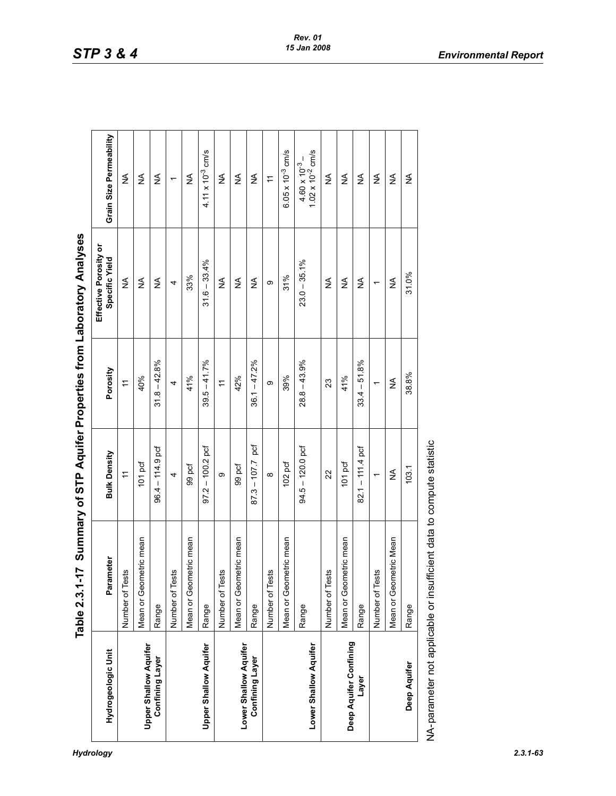*Hydrology 2.3.1-63*

|                              | <b>L17</b><br>Table 2.3.1                                             |                       |                 | Sumary of STP Aquifer Properties from Laboratory Analyses |                                                  |
|------------------------------|-----------------------------------------------------------------------|-----------------------|-----------------|-----------------------------------------------------------|--------------------------------------------------|
| Hydrogeologic Unit           | Parameter                                                             | <b>Bulk Density</b>   | Porosity        | Effective Porosity or<br>Specific Yield                   | Grain Size Permeability                          |
|                              | Tests<br>Number of                                                    | $\tilde{t}$           | $\overline{r}$  | ≨                                                         | ≸                                                |
| <b>Upper Shallow Aquifer</b> | Mean or Geometric mean                                                | 101 pcf               | 40%             | ≨                                                         | ≨                                                |
| <b>Confining Layer</b>       | Range                                                                 | $-114.9$ pcf<br>96.4  | $31.8 - 42.8\%$ | $\lessgtr$                                                | ≨                                                |
|                              | Tests<br>Number of                                                    | 4                     | 4               | 4                                                         |                                                  |
|                              | Mean or Geometric mean                                                | 99 pcf                | 41%             | 33%                                                       | ≨                                                |
| <b>Upper Shallow Aquifer</b> | Range                                                                 | $97.2 - 100.2$ pcf    | $39.5 - 41.7%$  | $31.6 - 33.4%$                                            | 4.11 $\times$ 10 <sup>-3</sup> cm/s              |
|                              | Tests<br>Number of                                                    | σ                     | $\tilde{t}$     | ≨                                                         | ≸                                                |
| Lower Shallow Aquifer        | Mean or Geometric mean                                                | 99 pcf                | 42%             | ≨                                                         | ≨                                                |
| <b>Confining Layer</b>       | Range                                                                 | pcf<br>$87.3 - 107.7$ | $36.1 - 47.2%$  | ₹                                                         | ₹                                                |
|                              | Tests<br>Number of                                                    | $\infty$              | თ               | თ                                                         | H                                                |
|                              | Mean or Geometric mean                                                | 102 pcf               | 39%             | 31%                                                       | $6.05 \times 10^{-3}$ cm/s                       |
| Lower Shallow Aquifer        | Range                                                                 | $94.5 - 120.0$ pcf    | $28.8 - 43.9%$  | $23.0 - 35.1\%$                                           | $4.60 \times 10^{-3} - 1.02 \times 10^{-2}$ cm/s |
|                              | Tests<br>Number of                                                    | $\overline{2}$        | 23              | ≸                                                         | ≸                                                |
| Deep Aquifer Confining       | Mean or Geometric mean                                                | 101 pcf               | 41%             | ≨                                                         | ≨                                                |
| Layer                        | Range                                                                 | $82.1 - 111.4$ pcf    | $33.4 - 51.8%$  | ≨                                                         | ≸                                                |
|                              | Tests<br>Number of                                                    | $\overline{a}$        | $\overline{ }$  | $\overline{a}$                                            | ≸                                                |
|                              | Mean or Geometric Mean                                                | ≨                     | ≨               | ≨                                                         | ≸                                                |
| Deep Aquifer                 | Range                                                                 | 103.1                 | 38.8%           | 31.0%                                                     | ₹                                                |
|                              | NA-parameter not applicable or insufficient data to compute statistic |                       |                 |                                                           |                                                  |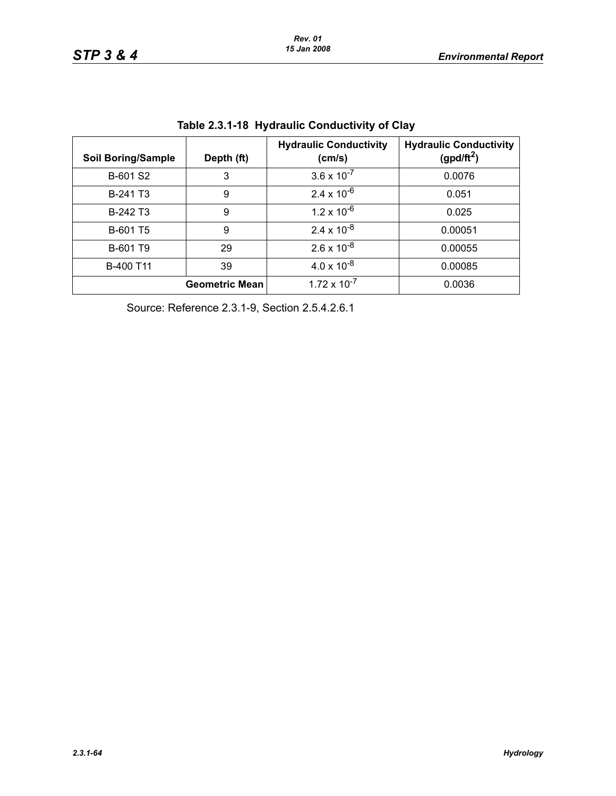| <b>Soil Boring/Sample</b> | Depth (ft)            | <b>Hydraulic Conductivity</b><br>(cm/s) | <b>Hydraulic Conductivity</b><br>(gpd/ft <sup>2</sup> ) |
|---------------------------|-----------------------|-----------------------------------------|---------------------------------------------------------|
| B-601 S2                  | 3                     | $3.6 \times 10^{-7}$                    | 0.0076                                                  |
| B-241 T3                  | 9                     | $2.4 \times 10^{-6}$                    | 0.051                                                   |
| B-242 T3                  | 9                     | $1.2 \times 10^{-6}$                    | 0.025                                                   |
| B-601 T5                  | 9                     | $2.4 \times 10^{-8}$                    | 0.00051                                                 |
| B-601 T9                  | 29                    | $2.6 \times 10^{-8}$                    | 0.00055                                                 |
| B-400 T11                 | 39                    | $4.0 \times 10^{-8}$                    | 0.00085                                                 |
|                           | <b>Geometric Mean</b> | $1.72 \times 10^{-7}$                   | 0.0036                                                  |

| Table 2.3.1-18 Hydraulic Conductivity of Clay |  |  |  |
|-----------------------------------------------|--|--|--|
|-----------------------------------------------|--|--|--|

Source: Reference 2.3.1-9, Section 2.5.4.2.6.1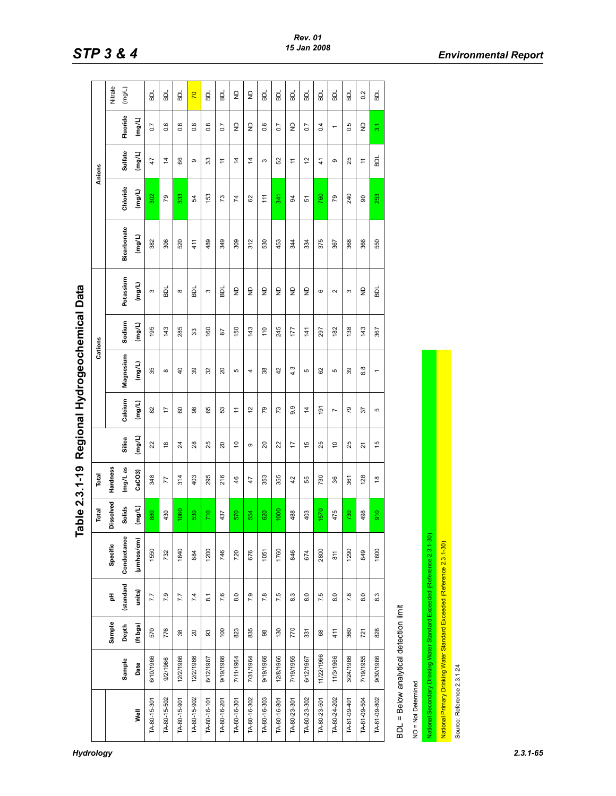|                                                                         |            |                    |                    |             | Total     | Total                |                 |                |                | Cations |                |                    |                | Anions                                    |                          |                         |
|-------------------------------------------------------------------------|------------|--------------------|--------------------|-------------|-----------|----------------------|-----------------|----------------|----------------|---------|----------------|--------------------|----------------|-------------------------------------------|--------------------------|-------------------------|
|                                                                         |            | Sample             | 푐                  | Specific    | Dissolved | Hardness             |                 |                |                |         |                |                    |                |                                           |                          | Nitrate                 |
|                                                                         | Sample     | Depth              | (standard          | Conductance | Solids    | mg/L as              | Silica          | Calcium        | Magnesium      | Sodium  | Potassium      | <b>Bicarbonate</b> | Chloride       | Sulfate                                   | Fluoride                 | (mg/L)                  |
| Well                                                                    | Date       | (ft bgs)           | units)             | (µmhos/cm)  | (mg/L)    | CaCO3                | (mg/L)          | (mg/L)         | (mg/L)         | (mg/L)  | (mg/L)         | (mg/L)             | (mg/L)         | (mg/L)                                    | (mg/L)                   |                         |
| TA-80-15-301                                                            | 6/10/1966  | 570                | 7.7                | 1550        | 880       | 348                  | 22              | 82             | 35             | 195     | S              | 382                | 302            | 47                                        | $\overline{0}$ .7        | <b>BDL</b>              |
| TA-80-15-502                                                            | 9/2/1966   | 776                | 7.9                | 732         | 430       | 77                   | $\frac{8}{3}$   | $\ddot{ }$     | $\infty$       | 143     | ᇟ              | 306                | 79             | $\dot{4}$                                 | 0.6                      | 힚                       |
| TA-80-15-901                                                            | 12/2/1966  | $38$               | 7.7                | 1840        | 1060      | 314                  | $\overline{24}$ | 60             | $\overline{4}$ | 285     | $\infty$       | 520                | 333            | 66                                        | $0.\overline{8}$         | <b>BDL</b>              |
| TA-80-15-902                                                            | 12/2/1966  | $20$               | 7.4                | 884         | 530       | 403                  | 28              | 88             | 39             | 33      | 힒              | 411                | 54             | $\sigma$                                  | $0.\overline{8}$         | $\overline{2}$          |
| TA-80-16-101                                                            | 6/12/1967  | SS                 | $\overline{8}$ . 1 | 1200        | 710       | 295                  | 25              | 65             | 32             | 160     | S              | 489                | 153            | 33                                        | $0.\overline{8}$         | ᇟ                       |
| TA-80-16-201                                                            | 9/19/1966  | 100                | 7.6                | 746         | 437       | 216                  | $\overline{c}$  | S3             | 20             | 28      | <b>BDL</b>     | 349                | 73             | $\stackrel{\textstyle{+}}{\textstyle{+}}$ | 0.7                      | 힒                       |
| TA-80-16-301                                                            | 7/11/1964  | 823                | $\overline{8.0}$   | 720         | 570       | 46                   | $\tilde{c}$     | <u>h</u>       | Ю              | 150     | $\overline{z}$ | 309                | $\overline{7}$ | 4                                         | $\frac{\Omega}{\Sigma}$  | $\frac{\Omega}{\Sigma}$ |
| TA-80-16-302                                                            | 7/31/1964  | 835                | 7.9                | 676         | 554       | 47                   | ၜ               | $\tilde{c}$    | 4              | 143     | $\frac{1}{2}$  | 312                | 62             | $\dot{4}$                                 | $\frac{1}{2}$            | $\frac{1}{2}$           |
| TA-80-16-303                                                            | 9/19/1966  | $_{\rm 8}^{\rm 8}$ | 7.8                | 1051        | 620       | 353                  | 20              | 54             | 38             | 110     | $\overline{z}$ | 530                | 111            | S                                         | 0.6                      | БDL                     |
| TA-80-16-801                                                            | 12/8/1966  | 130                | 7.5                | 1760        | 1000      | 355                  | 22              | 73             | 42             | 245     | $\overline{z}$ | 453                | 341            | 52                                        | 0.7                      | ВDL                     |
| TA-80-23-301                                                            | 7/19/1955  | 770                | 8.3                | 846         | 488       | 42                   | $\ddot{ }$      | 9.9            | 4.3            | 177     | $\overline{z}$ | 344                | 3              | $\overline{1}$                            | $\frac{1}{2}$            | 힚                       |
| TA-80-23-302                                                            | 6/12/1967  | 331                | 8.0                | 674         | 403       | 55                   | 15              | 4              | 5              | 141     | $\overline{z}$ | 334                | 51             | 57                                        | 0.7                      | 힚                       |
| TA-80-23-501                                                            | 11/22/1966 | $^{\rm 68}$        | 7.5                | 2800        | 1570      | 730                  | 25              | $\frac{5}{2}$  | 8              | 297     | ဖ              | 375                | 760            | $\frac{4}{3}$                             | 0.4                      | БL                      |
| TA-80-24-202                                                            | 11/3/1966  | 411                | 8.0                | 811         | 475       | 36                   | $\overline{c}$  | $\overline{ }$ | Б              | 182     | $\sim$         | 367                | 79             | ၜ                                         | $\overline{\phantom{0}}$ | 힚                       |
| TA-81-09-401                                                            | 3/24/1966  | 360                | 7.8                | 1290        | 730       | 361                  | 25              | 54             | 39             | 138     | S              | 368                | 240            | 25                                        | 0.5                      | БDL                     |
| TA-81-09-504                                                            | 7/19/1955  | 721                | 8.0                | 849         | 498       | 128                  | $\overline{2}$  | 57             | 8.8            | 143     | $\frac{1}{2}$  | 366                | 8              | $\overline{r}$                            | $\frac{1}{2}$            | 0.2                     |
| TA-81-09-802                                                            | 9/30/1966  | 828                | 8.3                | 1600        | 910       | $\overset{\circ}{=}$ | 15              | Б              | $\leftarrow$   | 367     | BDL            | 550                | 253            | <b>DI</b>                                 | 3 <sub>1</sub>           | ᇟ                       |
| BDL = Below analytical detection limit                                  |            |                    |                    |             |           |                      |                 |                |                |         |                |                    |                |                                           |                          |                         |
| ND = Not Determined                                                     |            |                    |                    |             |           |                      |                 |                |                |         |                |                    |                |                                           |                          |                         |
| National Secondary Drinking Water Standard Exceeded (Reference 2.3.1-30 |            |                    |                    |             |           |                      |                 |                |                |         |                |                    |                |                                           |                          |                         |
| National Primary Drinking Water Standard Exceeded (Reference 2.3.1-30)  |            |                    |                    |             |           |                      |                 |                |                |         |                |                    |                |                                           |                          |                         |
| Source: Reference 2.3.1-24                                              |            |                    |                    |             |           |                      |                 |                |                |         |                |                    |                |                                           |                          |                         |

Table 2.3.1-19 Regional Hydrogeochemical Data **Table 2.3.1-19 Regional Hydrogeochemical Data**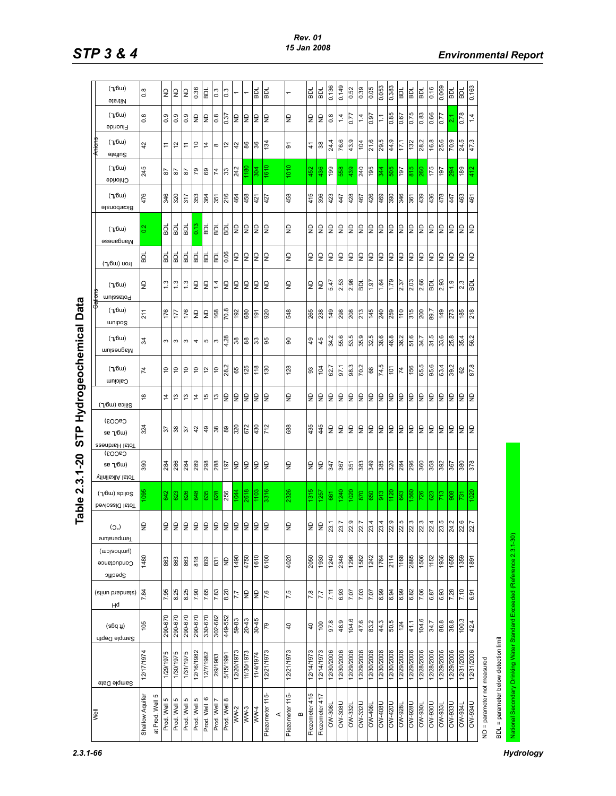|      | (7/6u)<br><b>etentiV</b>                                          | $\frac{8}{0}$                         | $\frac{\mathsf{D}}{\mathsf{D}}$ | $\frac{\Omega}{\Sigma}$ | lθ             | 0.36           | TOB            | $0.\overline{3}$ | 0.3             |                         |                 | <b>DI</b>        | <b>DI</b>            | $\overline{\phantom{0}}$ |          | 힖              | <b>DI</b>       | 0.136         | 0.149      | 0.52       | 0.39           | 0.05         | 0.053        | 0.383                            | <b>DI</b>     | <b>Ide</b>     | Ida            | 0.16           | 0.069                    | IGB            | <b>DL</b>     | 0.163               |                             |
|------|-------------------------------------------------------------------|---------------------------------------|---------------------------------|-------------------------|----------------|----------------|----------------|------------------|-----------------|-------------------------|-----------------|------------------|----------------------|--------------------------|----------|----------------|-----------------|---------------|------------|------------|----------------|--------------|--------------|----------------------------------|---------------|----------------|----------------|----------------|--------------------------|----------------|---------------|---------------------|-----------------------------|
|      | (7/6u)<br>Fluoride                                                | $\frac{8}{2}$                         | თ<br>ö                          | 0.9                     | 0.9            | $\overline{a}$ | $\epsilon$     | 0.8              | 0.37            | 5                       | ξ               | ξ                | gΝ                   | ę                        |          | g              | <b>G</b>        | 0.8           | 1.4        | 0.77       | $\overline{4}$ | 0.97         |              | 0.85                             | 190           | 0.75           | 0.83           | 0.66           | 77                       | οî             | 0.78          | 4                   |                             |
|      | (7/6u)<br>Sulfate                                                 | 42                                    | <u>h</u>                        | 5,                      | Ξ              | $\overline{c}$ | $\frac{4}{5}$  | $\infty$         | 5,              | 42                      | 88              | 36               | 134                  | 5                        |          | 4              | 38              | 24.           | 76.6       | တ<br>43.   | 104            | ِ<br>21.     | 5<br> ଅ      | $\overline{O}$<br>$\overline{4}$ | 17.1          | 132            | 28.2           | $\infty$<br>؋. | ဖ<br>25.                 | တ<br>5c        | S<br>24.      | c.<br>4             |                             |
|      | (7/6u)<br>Chloride                                                | 245                                   | ౚ                               | $\frac{8}{2}$           | S <sub>2</sub> | 67             | 69             | 74               | 33              | 242                     | $\frac{180}{2}$ | 304              | 610                  | 1010                     |          | 452            | 436             | 66            | 558        | 439        | 240            | 195          | 344          | 13                               | 197           | 815            | 260            | 175            | 197                      | 294            | 189           |                     |                             |
|      | (7/6u)<br>Bicarbonate                                             | 476                                   | 346                             | 320                     | 317            | 353            | 364            | 351              | 216             | 464                     | 458             | 421              | 427                  | 458                      |          | 415            | 396             | 423           | 447        | 428        | 467            | 426          | 469          | 390                              | 346           | 361            | 439            | 436            | 478                      | 447            | 463           | 461                 |                             |
|      | (7/6u)<br>Manganese                                               | 0.2                                   | 즶                               | <b>IOB</b>              | БDL            | 0.13           | TOB            | 힒                | БDI             | Ξ                       | ξ               | le               | ξ                    | GN                       |          | $\frac{1}{2}$  | ξ               | gΝ            | ξ          | ξ          | ξ              | Ξ            | ξ            | le                               | ξ             | $\mathsf{S}$   | ξ              | ξ              | ξ                        | $\overline{a}$ | le            | le                  |                             |
|      | ונסט (ש6/ך)                                                       | 힒                                     | 힒                               | Ida                     | ГQЯ            | ГQВ            | 힒              | TOB              | 0.06            | $\overline{z}$          | $\overline{z}$  | ξ                | GN                   | g                        |          | g              | 9               | e             | ξ          | 5          | S              | ā            | å            | $\frac{1}{2}$                    | ξ             | $\mathsf{R}$   | ξ              | ξ              | GN                       | $\overline{a}$ | <b>Q</b>      | e                   |                             |
|      | (7/6u)<br>muissato <sup>q</sup>                                   | e                                     | $\frac{3}{2}$                   | 1.3                     | 1.3            | $\overline{a}$ | $\epsilon$     | 1.4              | 5               | $\overline{z}$          | ξ               | le               | 9                    | ę                        |          | ę              | $\overline{a}$  | 5.47          | 2.53       | 2.98       | TOB            | 1.97         | 1.64         | 62.1                             | 2.37          | 2.03           | 2.66           | TOB            | 2.93                     | $\frac{0}{1}$  | 2.3           | PDL                 |                             |
|      | (7/6u)<br>muibog                                                  | 211                                   | 176                             | 177                     | 176            | $\epsilon$     | $\epsilon$     | 168              | 70.8            | 192                     | 680             | 191              | 920                  | 548                      |          | 265            | 238             | 671           | 298        | 208        | 213            | 145          | 240          | 259                              | 011           | 315            | 200            | 89.            | 149                      | 273            | 185           | 218                 |                             |
|      | (7/6u)<br>muisenpaM                                               | 34                                    | 3                               | S                       | S              | 4              | $\mathbf{G}$   | S                | 4.28            | 38                      | 88              | ္က               | 86                   | 90                       |          | $\overline{6}$ | 45              | 34.2          | 55.6       | 53.5       | 35.9           | 32.5         | 38.6         | 46.8                             | Ņ<br>36.      | 51.6           | 34.            | 31.5           | 33.                      | 25.8           | 35.           | $\sim$<br>56        |                             |
|      | (7/6u)<br>Calcium                                                 | 74                                    | ă                               | S                       | 5              | $\tilde{c}$    | 5,             | $\overline{0}$   | 28.2            | 65                      | 125             | 118              | 130                  | 128                      |          | 3              | 104             | 62.7          | 97.1       | 98.3       | 70.2           | 66           | 74.5         | 101                              | 74            | 156            | 65.5           | 95.6           | 63.4                     | 39.2           | 62            | œ.<br>87.           |                             |
|      | Silica (mg/L)                                                     | $\frac{8}{1}$                         | 4                               | చ                       | $\frac{3}{2}$  | $\frac{4}{4}$  | $\frac{6}{7}$  | 51               | 9               | $\overline{z}$          | ξ               | le               | ξ                    | $\overline{a}$           |          | g              | l9              | lş            | ι          | ι          | ξ              | $\mathsf{R}$ | ξ            | $\epsilon$                       | ι             | $\overline{a}$ | ξ              | ξ              | ξ                        | $\overline{a}$ | $\epsilon$    | le                  |                             |
|      | CaCO <sub>3</sub> )<br>se $\gamma$ 6w)<br>Total Hardness          | 324                                   | 57                              | 38                      | $\frac{5}{2}$  | 42             | 49             | 38               | 88              | 320                     | 672             | 430              | 712                  | 688                      |          | 435            | 445             | eη            | ι          | ę          | ξ              | 5            | ι            | Ιę                               | e             | $\overline{z}$ | ξ              | ξ              | ξ                        | $\overline{z}$ | ξ             | ξ                   |                             |
|      | CaCO <sub>3</sub> )<br>se $\gamma$ 6w)<br><b>Vinils XIA</b> lstoT | 390                                   | 284                             | 286                     | 284            | 289            | 298            | 288              | 197             | $\overline{z}$          | $\epsilon$      | ι                | 9                    | ę                        |          | g              | $\mathsf{R}$    | 347           | 367        | 351        | 383            | 349          | 385          | 320                              | 284           | 296            | 360            | 358            | 392                      | 367            | 380           | 378                 |                             |
|      | (7/6w) spilog<br>bevlossid lstoT                                  | 095                                   | 642                             | 623                     | 626            | 648            | 635            | 628              | 256             | 1044                    | <b>819Z</b>     | 1103             | 3316                 | 2326                     |          | 315            | 1257            | 661           | 240        | 80         | 870            | 650          | 913          | $\frac{1}{20}$                   | 643           | 560            | 726            | 623            | 713                      | 908            | 731           | 020                 |                             |
|      | $(O^{\circ})$<br>Temperature                                      | GN                                    | $\overline{z}$                  | $\epsilon$              | $\vert$ 2      | $\triangleq$   | $\overline{z}$ | $\frac{1}{2}$    | le              | $\overline{\mathsf{z}}$ | 9               | $\epsilon$       | le                   | $\overline{a}$           |          | $\overline{z}$ | le              | 23.1<br>N     | 1.57       | 2.9<br>N.  | 2.7            | 23.4<br>↘    | $2.3 +$<br>N | 22.9<br>N.                       | rù<br>أي<br>N | 2.3<br>↘       | 2.3<br>↘       | 2.4            | $\ddot{3}.\ddot{5}$<br>∾ | 24.2           | 2.6<br>↘      | 7.7                 |                             |
|      | (wo/soyuurl)<br>Conductance<br>Specific                           | 1480                                  | 863                             | 863                     | 863            | 818            | 809            | 831              | <b>GN</b>       | 06tl                    | 4750            | 1610             | 0019                 | 4020                     |          | 2050           | 1930            | 1240          | 2348       | 1298       | 1582           | 1242         | 1764         | 2114                             | 1168          | 2885           | 1506           | 1152           | 936                      | 1658           | 1359          | 1891                |                             |
|      | (atinu brabnate)<br>Hq                                            | 7.84                                  | 7.95                            | 8.25                    | 8.25           | 7.90           | 7.65           | 7.83             | 8.20            | 7.7                     | $\epsilon$      | ξ                | 7.6                  | 7.5                      |          | 7.8            | 7.7             | 7.11          | 6.93       | 7.07       | 7.03           | 7.07         | 6.99         | 6.94                             | 6.99          | 6.82           | 7.06           | 6.87           | 6.93                     | 7.28           | 7.10          | $\overline{9}$<br>6 |                             |
|      | $(s6q \mu)$<br>Sample Depth                                       | 105                                   | 290-670                         | 290-670                 | 290-670        | 290-670        | 330-670        | 302-682          | 449-552         | 59-83                   | $20 - 43$       | 30-45            | 64                   | $\overline{40}$          |          | $\overline{a}$ | 00 <sub>1</sub> | 97.8          | 48.9       | 104.6      | 47.6           | 83.2         | 44.3         | 50.5                             | 124           | 41.1           | 104.6          | 34.7           | 88.8                     | 38.8           | 100.3         | 42.4                |                             |
|      | Sample Date                                                       | 12/17/1974                            | 1/29/1975                       | 1/30/1975               | 946118/1       | 12/16/1982     | 12/7/1982      | 2/9/1983         | 5/15/199        | 12/20/1973              | 11/30/1973      | <b>7791/4/11</b> | 12/21/1973           | 12/21/1973               |          | 12/14/1973     | 12/14/1973      | 12/30/2006    | 12/30/2006 | 12/29/2006 | 12/29/2006     | 12/30/2006   | 12/30/2006   | 12/30/2006                       | 12/29/2006    | 12/29/2006     | 12/28/2006     | 12/28/2006     | 12/29/2006               | 12/29/2006     | 12/31/2006    | 12/31/2006          |                             |
| Well |                                                                   | Shallow Aquifer<br>ю<br>at Prod. Well | Prod. Well 5                    | Prod. Well 5            | Prod. Well 5   | Prod. Well     | Prod. Well     | Prod. Well       | ∞<br>Prod. Well | WW-2                    | $WW-3$          | WW4              | Piezometer 115-<br>⋖ | Piezometer 115-          | $\bf{m}$ | Piezometer 415 | Piezometer 417  | <b>B08-MO</b> | OW-308U    | OW-3321    | <b>DW-332U</b> | 0W-408       | OW-408U      | <b>OW420U</b>                    | OW-928        | <b>DW-928U</b> | <b>OW-930L</b> | OW-930U        | <b>CC6-MO</b>            | <b>DES6-MO</b> | <b>DW-934</b> | <b>OW-934U</b>      | ND = parameter not measured |

Table 2.3.1-20 STP Hydrogeochemical Data **Table 2.3.1-20 STP Hydrogeochemical Data**

*2.3.1-66 Hydrology* 

BDL = parameter below detection limit

BDL = parameter below detection limit

National Secondary Drinking Water Standard Exceeded (Reference 2.3.1-30)

National Secondary Drinking Water Standard Exceeded (Reference 2.3.1-30)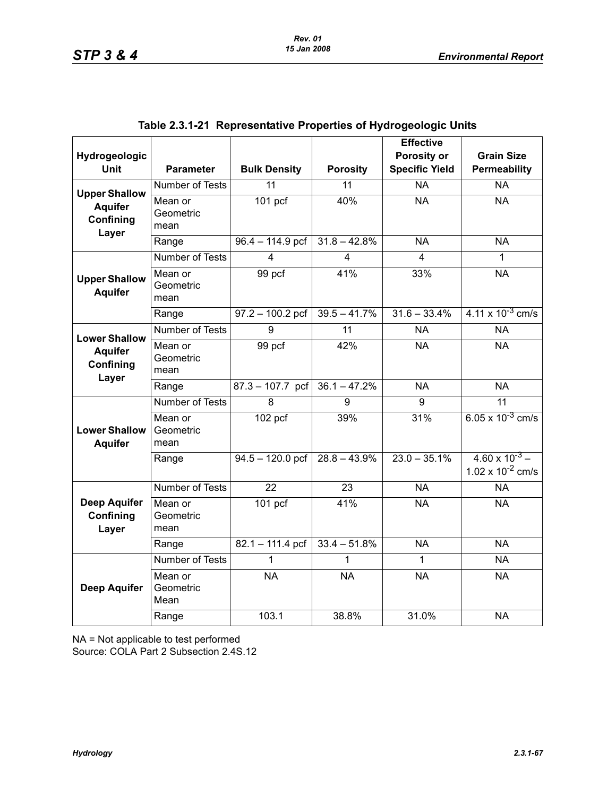| Hydrogeologic<br><b>Unit</b>                                 | <b>Parameter</b>             | <b>Bulk Density</b> | <b>Porosity</b> | <b>Effective</b><br>Porosity or<br><b>Specific Yield</b> | <b>Grain Size</b><br>Permeability                |
|--------------------------------------------------------------|------------------------------|---------------------|-----------------|----------------------------------------------------------|--------------------------------------------------|
|                                                              | Number of Tests              | $\overline{11}$     | $\overline{11}$ | $\overline{NA}$                                          | $\overline{NA}$                                  |
| <b>Upper Shallow</b><br><b>Aquifer</b><br>Confining<br>Layer | Mean or<br>Geometric<br>mean | $101$ pcf           | 40%             | <b>NA</b>                                                | <b>NA</b>                                        |
|                                                              | Range                        | $96.4 - 114.9$ pcf  | $31.8 - 42.8%$  | <b>NA</b>                                                | <b>NA</b>                                        |
|                                                              | <b>Number of Tests</b>       | 4                   | 4               | $\overline{4}$                                           | 1                                                |
| <b>Upper Shallow</b><br><b>Aquifer</b>                       | Mean or<br>Geometric<br>mean | 99 pcf              | 41%             | 33%                                                      | <b>NA</b>                                        |
|                                                              | Range                        | $97.2 - 100.2$ pcf  | $39.5 - 41.7%$  | $31.6 - 33.4%$                                           | $4.11 \times 10^{-3}$ cm/s                       |
| <b>Lower Shallow</b>                                         | <b>Number of Tests</b>       | 9                   | $\overline{11}$ | <b>NA</b>                                                | <b>NA</b>                                        |
| <b>Aquifer</b><br>Confining<br>Layer                         | Mean or<br>Geometric<br>mean | 99 pcf              | 42%             | <b>NA</b>                                                | <b>NA</b>                                        |
|                                                              | Range                        | $87.3 - 107.7$ pcf  | $36.1 - 47.2%$  | <b>NA</b>                                                | <b>NA</b>                                        |
|                                                              | Number of Tests              | 8                   | 9               | 9                                                        | $\overline{11}$                                  |
| <b>Lower Shallow</b><br><b>Aquifer</b>                       | Mean or<br>Geometric<br>mean | $102$ pcf           | 39%             | 31%                                                      | $6.05 \times 10^{-3}$ cm/s                       |
|                                                              | Range                        | $94.5 - 120.0$ pcf  | $28.8 - 43.9%$  | $23.0 - 35.1\%$                                          | $4.60 \times 10^{-3}$ –<br>1.02 x $10^{-2}$ cm/s |
|                                                              | <b>Number of Tests</b>       | 22                  | 23              | <b>NA</b>                                                | <b>NA</b>                                        |
| <b>Deep Aquifer</b><br>Confining<br>Layer                    | Mean or<br>Geometric<br>mean | 101 <sub>pcf</sub>  | 41%             | <b>NA</b>                                                | <b>NA</b>                                        |
|                                                              | Range                        | $82.1 - 111.4$ pcf  | $33.4 - 51.8\%$ | $\overline{NA}$                                          | $N_A$                                            |
|                                                              | Number of Tests              | 1                   | 1               | 1                                                        | <b>NA</b>                                        |
| <b>Deep Aquifer</b>                                          | Mean or<br>Geometric<br>Mean | <b>NA</b>           | <b>NA</b>       | <b>NA</b>                                                | <b>NA</b>                                        |
|                                                              | Range                        | 103.1               | 38.8%           | 31.0%                                                    | <b>NA</b>                                        |

|  | Table 2.3.1-21  Representative Properties of Hydrogeologic Units |  |  |  |  |
|--|------------------------------------------------------------------|--|--|--|--|
|--|------------------------------------------------------------------|--|--|--|--|

NA = Not applicable to test performed

Source: COLA Part 2 Subsection 2.4S.12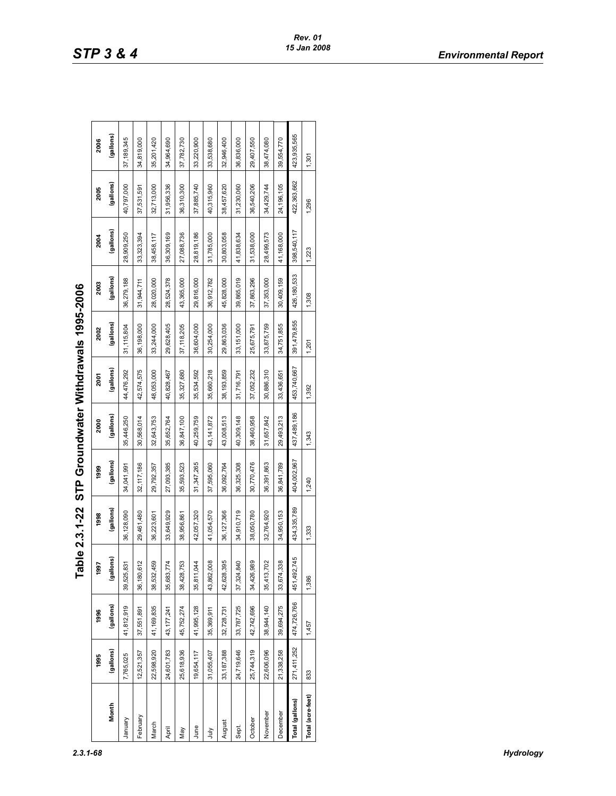|                   |             |              |                         | Table 2.3.1-22 STP Groundwater Withdrawals 1995-2006 |              |              |             |              |             |             |             |              |
|-------------------|-------------|--------------|-------------------------|------------------------------------------------------|--------------|--------------|-------------|--------------|-------------|-------------|-------------|--------------|
|                   | 1995        | 1996         | 1997                    | 1998                                                 | 1999         | 2000         | 2001        | 2002         | 2003        | 2004        | 2005        | 2006         |
| Month             | (gallons)   | (gallons)    | llons)<br>ē             | (gallons)                                            | (gallons)    | (gallons)    | (gallons)   | (gallons)    | (gallons)   | (gallons)   | (gallons)   | (gallons)    |
| January           | 7,765,025   | 41,812,919   | 831<br>39,525,          | 36,128,090                                           | 34,041,991   | 35,446,250   | 44,476,292  | 31, 115, 804 | 36,279,188  | 28,909,250  | 40,797,000  | 37, 189, 345 |
| February          | 12,521,357  | 37,551,891   | 612<br>36,180           | 29,461,480                                           | 32, 117, 186 | 30,568,014   | 42,574,575  | 36,198,000   | 31,944,711  | 33,323,394  | 37,531,591  | 34,819,000   |
| March             | 22,598,920  | 41,169,835   | 459<br>38,532           | 36,223,601                                           | 29,792,357   | 32,643,753   | 48,053,000  | 33,244,000   | 28,020,000  | 38,458,117  | 32,713,000  | 35,201,420   |
| April             | 24,601,783  | 43, 177, 241 | .774<br>35,683          | 33,649,929                                           | 27,093,385   | 35,652,764   | 40,828,467  | 29,628,405   | 28,524,378  | 36,309,169  | 31,956,336  | 34,964,690   |
| Vay               | 25,618,936  | 45,752,274   | ,753<br>38,428          | 38,956,861                                           | 35,593,523   | 36,847,100   | 35,327,680  | 37, 118, 205 | 43,365,000  | 27,088,736  | 36,310,300  | 37,782,730   |
| lune              | 19,654,117  | 41,995,128   | 044<br>35,811,          | 42,057,320                                           | 31,347,265   | 40,259,759   | 35,534,592  | 36,604,000   | 29,816,000  | 28,819,186  | 37,885,740  | 33,220,900   |
| È                 | 31,055,407  | 35,369,911   | $\frac{8}{2}$<br>43,862 | 41,054,570                                           | 37,595,060   | 43, 141, 872 | 35,660,218  | 30,254,000   | 36,912,782  | 31,785,000  | 40,315,960  | 33,538,680   |
| August            | 33,187,388  | 32,728,731   | 395<br>42,628           | 36, 127, 366                                         | 36,092,764   | 43,008,513   | 38,193,859  | 29,863,036   | 45,828,000  | 30,803,058  | 38,457,620  | 32,946,400   |
| Sept.             | 24,719,646  | 33,787,725   | 840<br>37,324           | 34,910,719                                           | 36,325,308   | 40,309,148   | 31,716,791  | 33,151,000   | 39,865,019  | 41,838,634  | 31,230,060  | 36,836,000   |
| October           | 25,744,319  | 42,742,696   | 989<br>34,426           | 38,050,780                                           | 30,770,476   | 38,460,958   | 37,052,232  | 25,675,791   | 37,863,296  | 31,538,000  | 36,540,206  | 29,407,550   |
| November          | 22,606,096  | 38,944,140   | 702<br>35,413,          | 32,764,920                                           | 36,391,863   | 31,657,842   | 30,886,310  | 33,875,759   | 37,353,000  | 28,499,573  | 34,429,744  | 38,474,080   |
| December          | 21,338,258  | 39,694,275   | 338<br>33,674           | 34,950,153                                           | 36,841,789   | 29,493,213   | 33,436,651  | 34,751,855   | 30,409,159  | 41,168,000  | 24,196,105  | 39,554,770   |
| Total (gallons)   | 271,411,252 | 474,726,766  | 2,745<br>451,49         | 434,335,789                                          | 404,002,967  | 437,489,186  | 453,740,667 | 391,479,855  | 426,180,533 | 398,540,117 | 422,363,662 | 423,935,565  |
| Total (acre-feet) | 833         | 1,457        | 1,386                   | 1,333                                                | 1,240        | 1,343        | 1,392       | 1,201        | 1,308       | 1,223       | 1,296       | 1,301        |

| くくし しく      |
|-------------|
|             |
|             |
|             |
|             |
|             |
|             |
|             |
|             |
|             |
|             |
|             |
|             |
|             |
|             |
|             |
|             |
|             |
|             |
|             |
|             |
|             |
|             |
|             |
|             |
|             |
|             |
|             |
|             |
|             |
| 1万          |
|             |
|             |
|             |
| STP Gro     |
|             |
| <b>1-22</b> |
|             |
|             |
|             |
|             |
|             |
| - 2002-     |
|             |
|             |
|             |
|             |